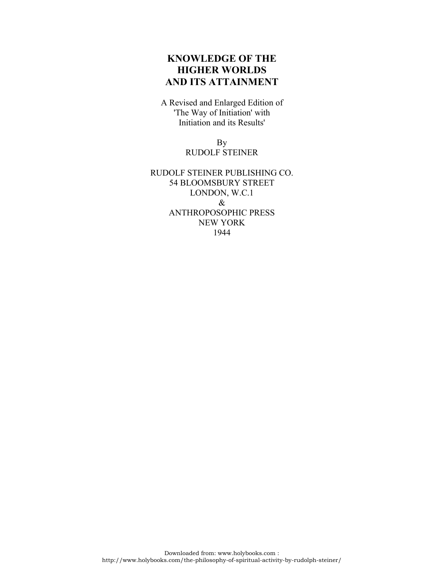# **KNOWLEDGE OF THE HIGHER WORLDS AND ITS ATTAINMENT**

A Revised and Enlarged Edition of 'The Way of Initiation' with Initiation and its Results'

> By RUDOLF STEINER

RUDOLF STEINER PUBLISHING CO. 54 BLOOMSBURY STREET LONDON, W.C.1 & ANTHROPOSOPHIC PRESS NEW YORK 1944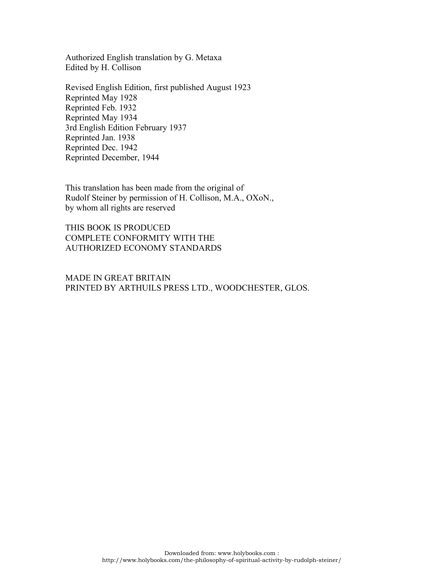Authorized English translation by G. Metaxa Edited by H. Collison

Revised English Edition, first published August 1923 Reprinted May 1928 Reprinted Feb. 1932 Reprinted May 1934 3rd English Edition February 1937 Reprinted Jan. 1938 Reprinted Dec. 1942 Reprinted December, 1944

This translation has been made from the original of Rudolf Steiner by permission of H. Collison, M.A., OXoN., by whom all rights are reserved

THIS BOOK IS PRODUCED COMPLETE CONFORMITY WITH THE AUTHORIZED ECONOMY STANDARDS

MADE IN GREAT BRITAIN PRINTED BY ARTHUILS PRESS LTD., WOODCHESTER, GLOS.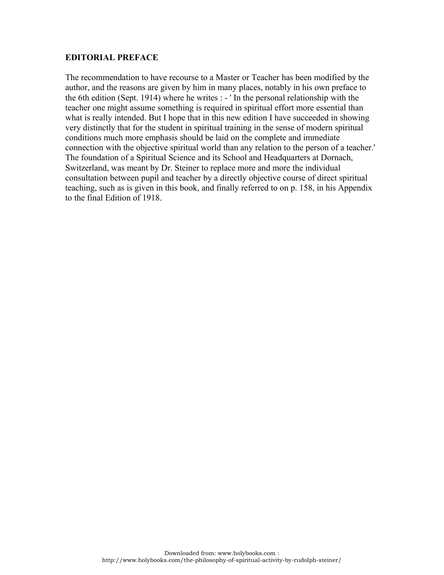### **EDITORIAL PREFACE**

The recommendation to have recourse to a Master or Teacher has been modified by the author, and the reasons are given by him in many places, notably in his own preface to the 6th edition (Sept. 1914) where he writes : - ' In the personal relationship with the teacher one might assume something is required in spiritual effort more essential than what is really intended. But I hope that in this new edition I have succeeded in showing very distinctly that for the student in spiritual training in the sense of modern spiritual conditions much more emphasis should be laid on the complete and immediate connection with the objective spiritual world than any relation to the person of a teacher.' The foundation of a Spiritual Science and its School and Headquarters at Dornach, Switzerland, was meant by Dr. Steiner to replace more and more the individual consultation between pupil and teacher by a directly objective course of direct spiritual teaching, such as is given in this book, and finally referred to on p. 158, in his Appendix to the final Edition of 1918.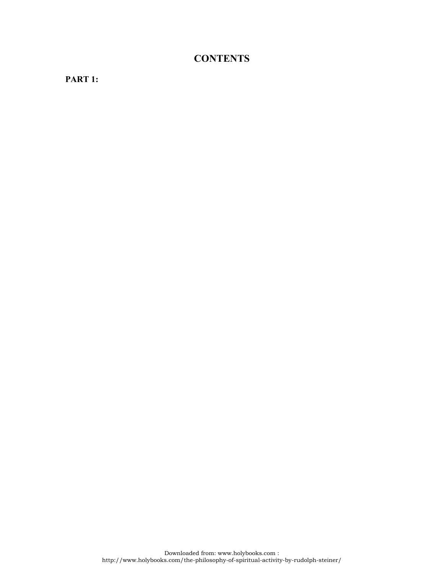# **CONTENTS**

**PART 1:**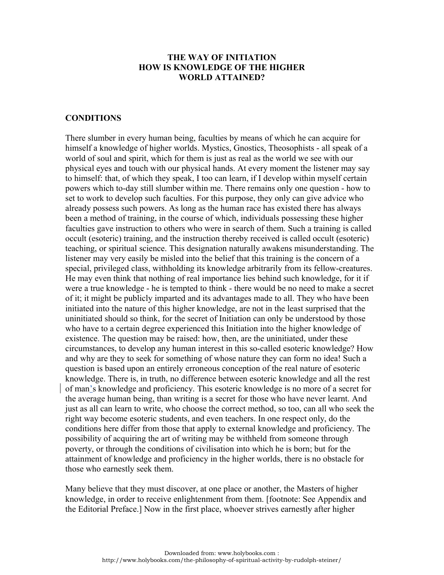## **THE WAY OF INITIATION HOW IS KNOWLEDGE OF THE HIGHER WORLD ATTAINED?**

### **CONDITIONS**

There slumber in every human being, faculties by means of which he can acquire for himself a knowledge of higher worlds. Mystics, Gnostics, Theosophists - all speak of a world of soul and spirit, which for them is just as real as the world we see with our physical eyes and touch with our physical hands. At every moment the listener may say to himself: that, of which they speak, I too can learn, if I develop within myself certain powers which to-day still slumber within me. There remains only one question - how to set to work to develop such faculties. For this purpose, they only can give advice who already possess such powers. As long as the human race has existed there has always been a method of training, in the course of which, individuals possessing these higher faculties gave instruction to others who were in search of them. Such a training is called occult (esoteric) training, and the instruction thereby received is called occult (esoteric) teaching, or spiritual science. This designation naturally awakens misunderstanding. The listener may very easily be misled into the belief that this training is the concern of a special, privileged class, withholding its knowledge arbitrarily from its fellow-creatures. He may even think that nothing of real importance lies behind such knowledge, for it if were a true knowledge - he is tempted to think - there would be no need to make a secret of it; it might be publicly imparted and its advantages made to all. They who have been initiated into the nature of this higher knowledge, are not in the least surprised that the uninitiated should so think, for the secret of Initiation can only be understood by those who have to a certain degree experienced this Initiation into the higher knowledge of existence. The question may be raised: how, then, are the uninitiated, under these circumstances, to develop any human interest in this so-called esoteric knowledge? How and why are they to seek for something of whose nature they can form no idea! Such a question is based upon an entirely erroneous conception of the real nature of esoteric knowledge. There is, in truth, no difference between esoteric knowledge and all the rest of man's knowledge and proficiency. This esoteric knowledge is no more of a secret for the average human being, than writing is a secret for those who have never learnt. And just as all can learn to write, who choose the correct method, so too, can all who seek the right way become esoteric students, and even teachers. In one respect only, do the conditions here differ from those that apply to external knowledge and proficiency. The possibility of acquiring the art of writing may be withheld from someone through poverty, or through the conditions of civilisation into which he is born; but for the attainment of knowledge and proficiency in the higher worlds, there is no obstacle for those who earnestly seek them.

Many believe that they must discover, at one place or another, the Masters of higher knowledge, in order to receive enlightenment from them. [footnote: See Appendix and the Editorial Preface.] Now in the first place, whoever strives earnestly after higher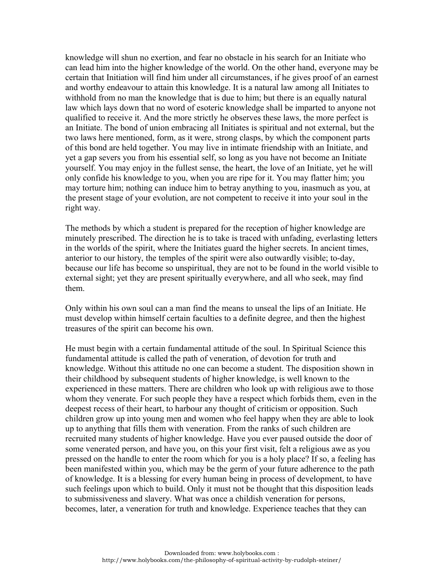knowledge will shun no exertion, and fear no obstacle in his search for an Initiate who can lead him into the higher knowledge of the world. On the other hand, everyone may be certain that Initiation will find him under all circumstances, if he gives proof of an earnest and worthy endeavour to attain this knowledge. It is a natural law among all Initiates to withhold from no man the knowledge that is due to him; but there is an equally natural law which lays down that no word of esoteric knowledge shall be imparted to anyone not qualified to receive it. And the more strictly he observes these laws, the more perfect is an Initiate. The bond of union embracing all Initiates is spiritual and not external, but the two laws here mentioned, form, as it were, strong clasps, by which the component parts of this bond are held together. You may live in intimate friendship with an Initiate, and yet a gap severs you from his essential self, so long as you have not become an Initiate yourself. You may enjoy in the fullest sense, the heart, the love of an Initiate, yet he will only confide his knowledge to you, when you are ripe for it. You may flatter him; you may torture him; nothing can induce him to betray anything to you, inasmuch as you, at the present stage of your evolution, are not competent to receive it into your soul in the right way.

The methods by which a student is prepared for the reception of higher knowledge are minutely prescribed. The direction he is to take is traced with unfading, everlasting letters in the worlds of the spirit, where the Initiates guard the higher secrets. In ancient times, anterior to our history, the temples of the spirit were also outwardly visible; to-day, because our life has become so unspiritual, they are not to be found in the world visible to external sight; yet they are present spiritually everywhere, and all who seek, may find them.

Only within his own soul can a man find the means to unseal the lips of an Initiate. He must develop within himself certain faculties to a definite degree, and then the highest treasures of the spirit can become his own.

He must begin with a certain fundamental attitude of the soul. In Spiritual Science this fundamental attitude is called the path of veneration, of devotion for truth and knowledge. Without this attitude no one can become a student. The disposition shown in their childhood by subsequent students of higher knowledge, is well known to the experienced in these matters. There are children who look up with religious awe to those whom they venerate. For such people they have a respect which forbids them, even in the deepest recess of their heart, to harbour any thought of criticism or opposition. Such children grow up into young men and women who feel happy when they are able to look up to anything that fills them with veneration. From the ranks of such children are recruited many students of higher knowledge. Have you ever paused outside the door of some venerated person, and have you, on this your first visit, felt a religious awe as you pressed on the handle to enter the room which for you is a holy place? If so, a feeling has been manifested within you, which may be the germ of your future adherence to the path of knowledge. It is a blessing for every human being in process of development, to have such feelings upon which to build. Only it must not be thought that this disposition leads to submissiveness and slavery. What was once a childish veneration for persons, becomes, later, a veneration for truth and knowledge. Experience teaches that they can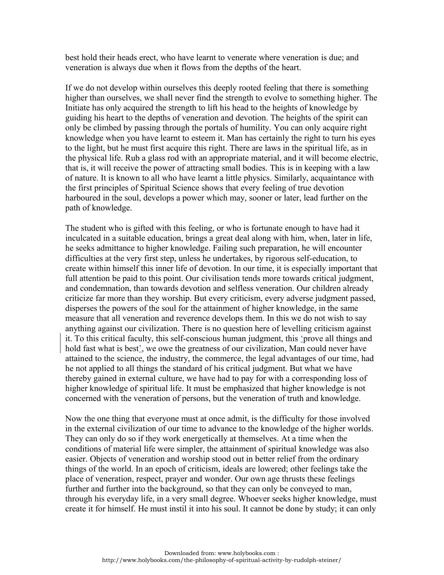best hold their heads erect, who have learnt to venerate where veneration is due; and veneration is always due when it flows from the depths of the heart.

If we do not develop within ourselves this deeply rooted feeling that there is something higher than ourselves, we shall never find the strength to evolve to something higher. The Initiate has only acquired the strength to lift his head to the heights of knowledge by guiding his heart to the depths of veneration and devotion. The heights of the spirit can only be climbed by passing through the portals of humility. You can only acquire right knowledge when you have learnt to esteem it. Man has certainly the right to turn his eyes to the light, but he must first acquire this right. There are laws in the spiritual life, as in the physical life. Rub a glass rod with an appropriate material, and it will become electric, that is, it will receive the power of attracting small bodies. This is in keeping with a law of nature. It is known to all who have learnt a little physics. Similarly, acquaintance with the first principles of Spiritual Science shows that every feeling of true devotion harboured in the soul, develops a power which may, sooner or later, lead further on the path of knowledge.

The student who is gifted with this feeling, or who is fortunate enough to have had it inculcated in a suitable education, brings a great deal along with him, when, later in life, he seeks admittance to higher knowledge. Failing such preparation, he will encounter difficulties at the very first step, unless he undertakes, by rigorous self-education, to create within himself this inner life of devotion. In our time, it is especially important that full attention be paid to this point. Our civilisation tends more towards critical judgment, and condemnation, than towards devotion and selfless veneration. Our children already criticize far more than they worship. But every criticism, every adverse judgment passed, disperses the powers of the soul for the attainment of higher knowledge, in the same measure that all veneration and reverence develops them. In this we do not wish to say anything against our civilization. There is no question here of levelling criticism against it. To this critical faculty, this self-conscious human judgment, this 'prove all things and hold fast what is best', we owe the greatness of our civilization, Man could never have attained to the science, the industry, the commerce, the legal advantages of our time, had he not applied to all things the standard of his critical judgment. But what we have thereby gained in external culture, we have had to pay for with a corresponding loss of higher knowledge of spiritual life. It must be emphasized that higher knowledge is not concerned with the veneration of persons, but the veneration of truth and knowledge.

Now the one thing that everyone must at once admit, is the difficulty for those involved in the external civilization of our time to advance to the knowledge of the higher worlds. They can only do so if they work energetically at themselves. At a time when the conditions of material life were simpler, the attainment of spiritual knowledge was also easier. Objects of veneration and worship stood out in better relief from the ordinary things of the world. In an epoch of criticism, ideals are lowered; other feelings take the place of veneration, respect, prayer and wonder. Our own age thrusts these feelings further and further into the background, so that they can only be conveyed to man, through his everyday life, in a very small degree. Whoever seeks higher knowledge, must create it for himself. He must instil it into his soul. It cannot be done by study; it can only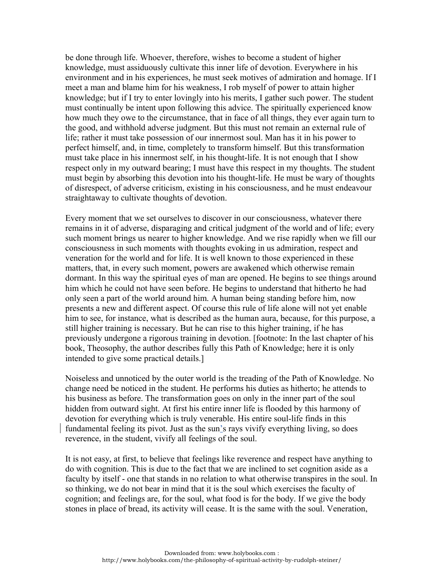be done through life. Whoever, therefore, wishes to become a student of higher knowledge, must assiduously cultivate this inner life of devotion. Everywhere in his environment and in his experiences, he must seek motives of admiration and homage. If I meet a man and blame him for his weakness, I rob myself of power to attain higher knowledge; but if I try to enter lovingly into his merits, I gather such power. The student must continually be intent upon following this advice. The spiritually experienced know how much they owe to the circumstance, that in face of all things, they ever again turn to the good, and withhold adverse judgment. But this must not remain an external rule of life; rather it must take possession of our innermost soul. Man has it in his power to perfect himself, and, in time, completely to transform himself. But this transformation must take place in his innermost self, in his thought-life. It is not enough that I show respect only in my outward bearing; I must have this respect in my thoughts. The student must begin by absorbing this devotion into his thought-life. He must be wary of thoughts of disrespect, of adverse criticism, existing in his consciousness, and he must endeavour straightaway to cultivate thoughts of devotion.

Every moment that we set ourselves to discover in our consciousness, whatever there remains in it of adverse, disparaging and critical judgment of the world and of life; every such moment brings us nearer to higher knowledge. And we rise rapidly when we fill our consciousness in such moments with thoughts evoking in us admiration, respect and veneration for the world and for life. It is well known to those experienced in these matters, that, in every such moment, powers are awakened which otherwise remain dormant. In this way the spiritual eyes of man are opened. He begins to see things around him which he could not have seen before. He begins to understand that hitherto he had only seen a part of the world around him. A human being standing before him, now presents a new and different aspect. Of course this rule of life alone will not yet enable him to see, for instance, what is described as the human aura, because, for this purpose, a still higher training is necessary. But he can rise to this higher training, if he has previously undergone a rigorous training in devotion. [footnote: In the last chapter of his book, Theosophy, the author describes fully this Path of Knowledge; here it is only intended to give some practical details.]

Noiseless and unnoticed by the outer world is the treading of the Path of Knowledge. No change need be noticed in the student. He performs his duties as hitherto; he attends to his business as before. The transformation goes on only in the inner part of the soul hidden from outward sight. At first his entire inner life is flooded by this harmony of devotion for everything which is truly venerable. His entire soul-life finds in this fundamental feeling its pivot. Just as the sun's rays vivify everything living, so does reverence, in the student, vivify all feelings of the soul.

It is not easy, at first, to believe that feelings like reverence and respect have anything to do with cognition. This is due to the fact that we are inclined to set cognition aside as a faculty by itself - one that stands in no relation to what otherwise transpires in the soul. In so thinking, we do not bear in mind that it is the soul which exercises the faculty of cognition; and feelings are, for the soul, what food is for the body. If we give the body stones in place of bread, its activity will cease. It is the same with the soul. Veneration,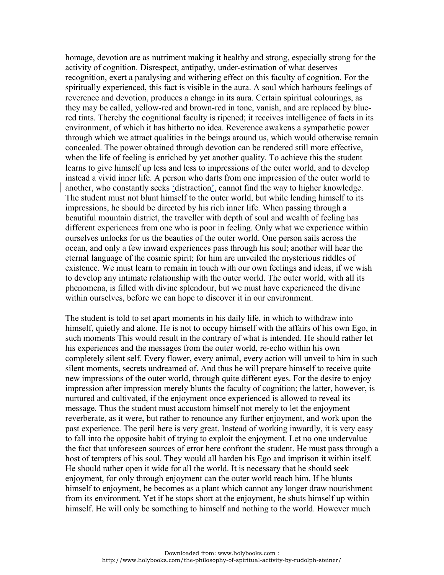homage, devotion are as nutriment making it healthy and strong, especially strong for the activity of cognition. Disrespect, antipathy, under-estimation of what deserves recognition, exert a paralysing and withering effect on this faculty of cognition. For the spiritually experienced, this fact is visible in the aura. A soul which harbours feelings of reverence and devotion, produces a change in its aura. Certain spiritual colourings, as they may be called, yellow-red and brown-red in tone, vanish, and are replaced by bluered tints. Thereby the cognitional faculty is ripened; it receives intelligence of facts in its environment, of which it has hitherto no idea. Reverence awakens a sympathetic power through which we attract qualities in the beings around us, which would otherwise remain concealed. The power obtained through devotion can be rendered still more effective, when the life of feeling is enriched by yet another quality. To achieve this the student learns to give himself up less and less to impressions of the outer world, and to develop instead a vivid inner life. A person who darts from one impression of the outer world to another, who constantly seeks 'distraction', cannot find the way to higher knowledge. The student must not blunt himself to the outer world, but while lending himself to its impressions, he should be directed by his rich inner life. When passing through a beautiful mountain district, the traveller with depth of soul and wealth of feeling has different experiences from one who is poor in feeling. Only what we experience within ourselves unlocks for us the beauties of the outer world. One person sails across the ocean, and only a few inward experiences pass through his soul; another will hear the eternal language of the cosmic spirit; for him are unveiled the mysterious riddles of existence. We must learn to remain in touch with our own feelings and ideas, if we wish to develop any intimate relationship with the outer world. The outer world, with all its phenomena, is filled with divine splendour, but we must have experienced the divine within ourselves, before we can hope to discover it in our environment.

The student is told to set apart moments in his daily life, in which to withdraw into himself, quietly and alone. He is not to occupy himself with the affairs of his own Ego, in such moments This would result in the contrary of what is intended. He should rather let his experiences and the messages from the outer world, re-echo within his own completely silent self. Every flower, every animal, every action will unveil to him in such silent moments, secrets undreamed of. And thus he will prepare himself to receive quite new impressions of the outer world, through quite different eyes. For the desire to enjoy impression after impression merely blunts the faculty of cognition; the latter, however, is nurtured and cultivated, if the enjoyment once experienced is allowed to reveal its message. Thus the student must accustom himself not merely to let the enjoyment reverberate, as it were, but rather to renounce any further enjoyment, and work upon the past experience. The peril here is very great. Instead of working inwardly, it is very easy to fall into the opposite habit of trying to exploit the enjoyment. Let no one undervalue the fact that unforeseen sources of error here confront the student. He must pass through a host of tempters of his soul. They would all harden his Ego and imprison it within itself. He should rather open it wide for all the world. It is necessary that he should seek enjoyment, for only through enjoyment can the outer world reach him. If he blunts himself to enjoyment, he becomes as a plant which cannot any longer draw nourishment from its environment. Yet if he stops short at the enjoyment, he shuts himself up within himself. He will only be something to himself and nothing to the world. However much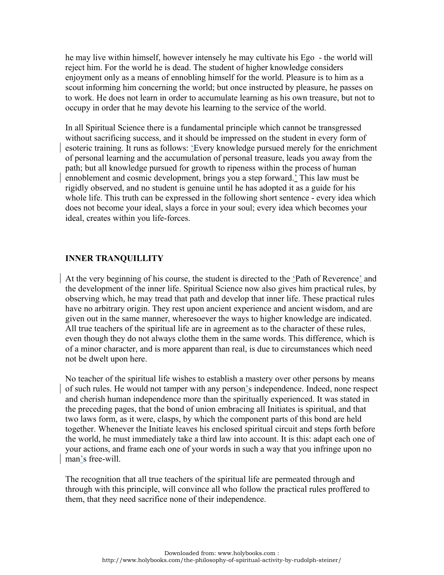he may live within himself, however intensely he may cultivate his Ego - the world will reject him. For the world he is dead. The student of higher knowledge considers enjoyment only as a means of ennobling himself for the world. Pleasure is to him as a scout informing him concerning the world; but once instructed by pleasure, he passes on to work. He does not learn in order to accumulate learning as his own treasure, but not to occupy in order that he may devote his learning to the service of the world.

In all Spiritual Science there is a fundamental principle which cannot be transgressed without sacrificing success, and it should be impressed on the student in every form of esoteric training. It runs as follows: 'Every knowledge pursued merely for the enrichment of personal learning and the accumulation of personal treasure, leads you away from the path; but all knowledge pursued for growth to ripeness within the process of human ennoblement and cosmic development, brings you a step forward.' This law must be rigidly observed, and no student is genuine until he has adopted it as a guide for his whole life. This truth can be expressed in the following short sentence - every idea which does not become your ideal, slays a force in your soul; every idea which becomes your ideal, creates within you life-forces.

## **INNER TRANQUILLITY**

At the very beginning of his course, the student is directed to the 'Path of Reverence' and the development of the inner life. Spiritual Science now also gives him practical rules, by observing which, he may tread that path and develop that inner life. These practical rules have no arbitrary origin. They rest upon ancient experience and ancient wisdom, and are given out in the same manner, wheresoever the ways to higher knowledge are indicated. All true teachers of the spiritual life are in agreement as to the character of these rules, even though they do not always clothe them in the same words. This difference, which is of a minor character, and is more apparent than real, is due to circumstances which need not be dwelt upon here.

No teacher of the spiritual life wishes to establish a mastery over other persons by means of such rules. He would not tamper with any person's independence. Indeed, none respect and cherish human independence more than the spiritually experienced. It was stated in the preceding pages, that the bond of union embracing all Initiates is spiritual, and that two laws form, as it were, clasps, by which the component parts of this bond are held together. Whenever the Initiate leaves his enclosed spiritual circuit and steps forth before the world, he must immediately take a third law into account. It is this: adapt each one of your actions, and frame each one of your words in such a way that you infringe upon no man's free-will.

The recognition that all true teachers of the spiritual life are permeated through and through with this principle, will convince all who follow the practical rules proffered to them, that they need sacrifice none of their independence.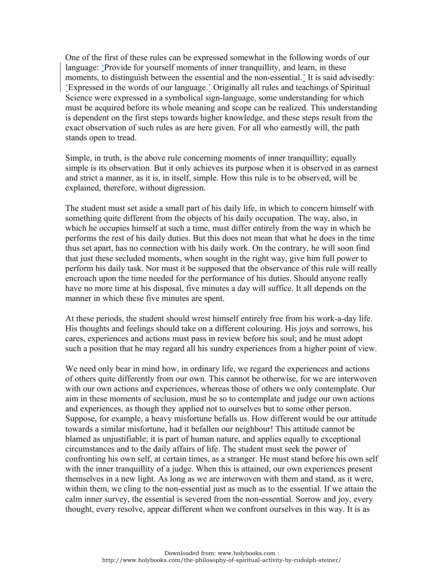One of the first of these rules can be expressed somewhat in the following words of our language: 'Provide for yourself moments of inner tranquillity, and learn, in these moments, to distinguish between the essential and the non-essential.' It is said advisedly: 'Expressed in the words of our language.' Originally all rules and teachings of Spiritual Science were expressed in a symbolical sign-language, some understanding for which must be acquired before its whole meaning and scope can be realized. This understanding is dependent on the first steps towards higher knowledge, and these steps result from the exact observation of such rules as are here given. For all who earnestly will, the path stands open to tread.

Simple, in truth, is the above rule concerning moments of inner tranquillity; equally simple is its observation. But it only achieves its purpose when it is observed in as earnest and strict a manner, as it is, in itself, simple. How this rule is to be observed, will be explained, therefore, without digression.

The student must set aside a small part of his daily life, in which to concern himself with something quite different from the objects of his daily occupation. The way, also, in which he occupies himself at such a time, must differ entirely from the way in which he performs the rest of his daily duties. But this does not mean that what he does in the time thus set apart, has no connection with his daily work. On the contrary, he will soon find that just these secluded moments, when sought in the right way, give him full power to perform his daily task. Nor must it be supposed that the observance of this rule will really encroach upon the time needed for the performance of his duties. Should anyone really have no more time at his disposal, five minutes a day will suffice. It all depends on the manner in which these five minutes are spent.

At these periods, the student should wrest himself entirely free from his work-a-day life. His thoughts and feelings should take on a different colouring. His joys and sorrows, his cares, experiences and actions must pass in review before his soul; and he must adopt such a position that he may regard all his sundry experiences from a higher point of view.

We need only bear in mind how, in ordinary life, we regard the experiences and actions of others quite differently from our own. This cannot be otherwise, for we are interwoven with our own actions and experiences, whereas those of others we only contemplate. Our aim in these moments of seclusion, must be so to contemplate and judge our own actions and experiences, as though they applied not to ourselves but to some other person. Suppose, for example, a heavy misfortune befalls us. How different would be our attitude towards a similar misfortune, had it befallen our neighbour! This attitude cannot be blamed as unjustifiable; it is part of human nature, and applies equally to exceptional circumstances and to the daily affairs of life. The student must seek the power of confronting his own self, at certain times, as a stranger. He must stand before his own self with the inner tranquillity of a judge. When this is attained, our own experiences present themselves in a new light. As long as we are interwoven with them and stand, as it were, within them, we cling to the non-essential just as much as to the essential. If we attain the calm inner survey, the essential is severed from the non-essential. Sorrow and joy, every thought, every resolve, appear different when we confront ourselves in this way. It is as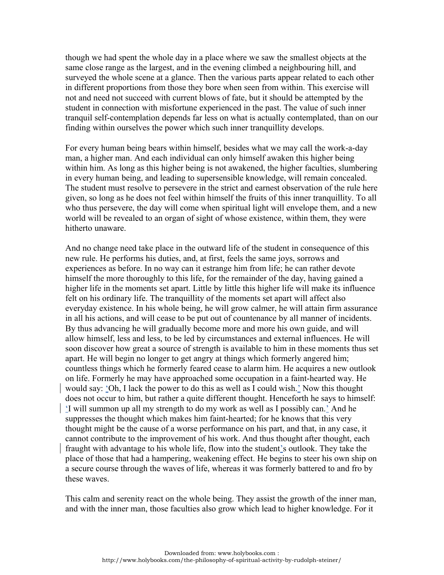though we had spent the whole day in a place where we saw the smallest objects at the same close range as the largest, and in the evening climbed a neighbouring hill, and surveyed the whole scene at a glance. Then the various parts appear related to each other in different proportions from those they bore when seen from within. This exercise will not and need not succeed with current blows of fate, but it should be attempted by the student in connection with misfortune experienced in the past. The value of such inner tranquil self-contemplation depends far less on what is actually contemplated, than on our finding within ourselves the power which such inner tranquillity develops.

For every human being bears within himself, besides what we may call the work-a-day man, a higher man. And each individual can only himself awaken this higher being within him. As long as this higher being is not awakened, the higher faculties, slumbering in every human being, and leading to supersensible knowledge, will remain concealed. The student must resolve to persevere in the strict and earnest observation of the rule here given, so long as he does not feel within himself the fruits of this inner tranquillity. To all who thus persevere, the day will come when spiritual light will envelope them, and a new world will be revealed to an organ of sight of whose existence, within them, they were hitherto unaware.

And no change need take place in the outward life of the student in consequence of this new rule. He performs his duties, and, at first, feels the same joys, sorrows and experiences as before. In no way can it estrange him from life; he can rather devote himself the more thoroughly to this life, for the remainder of the day, having gained a higher life in the moments set apart. Little by little this higher life will make its influence felt on his ordinary life. The tranquillity of the moments set apart will affect also everyday existence. In his whole being, he will grow calmer, he will attain firm assurance in all his actions, and will cease to be put out of countenance by all manner of incidents. By thus advancing he will gradually become more and more his own guide, and will allow himself, less and less, to be led by circumstances and external influences. He will soon discover how great a source of strength is available to him in these moments thus set apart. He will begin no longer to get angry at things which formerly angered him; countless things which he formerly feared cease to alarm him. He acquires a new outlook on life. Formerly he may have approached some occupation in a faint-hearted way. He would say: 'Oh, I lack the power to do this as well as I could wish.' Now this thought does not occur to him, but rather a quite different thought. Henceforth he says to himself: 'I will summon up all my strength to do my work as well as I possibly can.' And he suppresses the thought which makes him faint-hearted; for he knows that this very thought might be the cause of a worse performance on his part, and that, in any case, it cannot contribute to the improvement of his work. And thus thought after thought, each fraught with advantage to his whole life, flow into the student's outlook. They take the place of those that had a hampering, weakening effect. He begins to steer his own ship on a secure course through the waves of life, whereas it was formerly battered to and fro by these waves.

This calm and serenity react on the whole being. They assist the growth of the inner man, and with the inner man, those faculties also grow which lead to higher knowledge. For it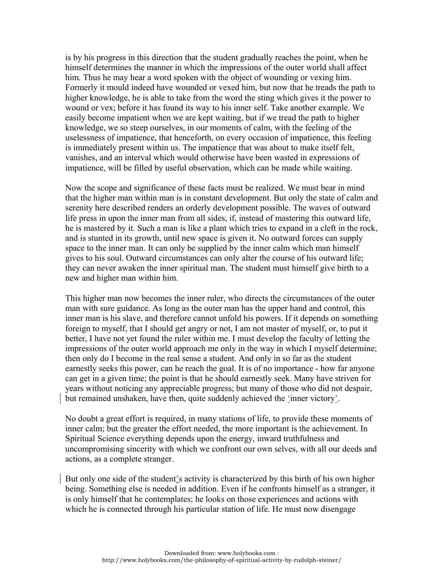is by his progress in this direction that the student gradually reaches the point, when he himself determines the manner in which the impressions of the outer world shall affect him. Thus he may hear a word spoken with the object of wounding or vexing him. Formerly it mould indeed have wounded or vexed him, but now that he treads the path to higher knowledge, he is able to take from the word the sting which gives it the power to wound or vex; before it has found its way to his inner self. Take another example. We easily become impatient when we are kept waiting, but if we tread the path to higher knowledge, we so steep ourselves, in our moments of calm, with the feeling of the uselessness of impatience, that henceforth, on every occasion of impatience, this feeling is immediately present within us. The impatience that was about to make itself felt, vanishes, and an interval which would otherwise have been wasted in expressions of impatience, will be filled by useful observation, which can be made while waiting.

Now the scope and significance of these facts must be realized. We must bear in mind that the higher man within man is in constant development. But only the state of calm and serenity here described renders an orderly development possible. The waves of outward life press in upon the inner man from all sides, if, instead of mastering this outward life, he is mastered by it. Such a man is like a plant which tries to expand in a cleft in the rock, and is stunted in its growth, until new space is given it. No outward forces can supply space to the inner man. It can only be supplied by the inner calm which man himself gives to his soul. Outward circumstances can only alter the course of his outward life; they can never awaken the inner spiritual man. The student must himself give birth to a new and higher man within him.

This higher man now becomes the inner ruler, who directs the circumstances of the outer man with sure guidance. As long as the outer man has the upper hand and control, this inner man is his slave, and therefore cannot unfold his powers. If it depends on something foreign to myself, that I should get angry or not, I am not master of myself, or, to put it better, I have not yet found the ruler within me. I must develop the faculty of letting the impressions of the outer world approach me only in the way in which I myself determine; then only do I become in the real sense a student. And only in so far as the student earnestly seeks this power, can he reach the goal. It is of no importance - how far anyone can get in a given time; the point is that he should earnestly seek. Many have striven for years without noticing any appreciable progress; but many of those who did not despair, but remained unshaken, have then, quite suddenly achieved the 'inner victory'.

No doubt a great effort is required, in many stations of life, to provide these moments of inner calm; but the greater the effort needed, the more important is the achievement. In Spiritual Science everything depends upon the energy, inward truthfulness and uncompromising sincerity with which we confront our own selves, with all our deeds and actions, as a complete stranger.

But only one side of the student's activity is characterized by this birth of his own higher being. Something else is needed in addition. Even if he confronts himself as a stranger, it is only himself that he contemplates; he looks on those experiences and actions with which he is connected through his particular station of life. He must now disengage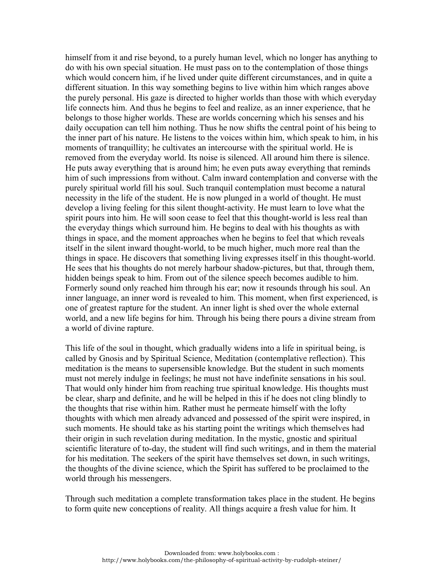himself from it and rise beyond, to a purely human level, which no longer has anything to do with his own special situation. He must pass on to the contemplation of those things which would concern him, if he lived under quite different circumstances, and in quite a different situation. In this way something begins to live within him which ranges above the purely personal. His gaze is directed to higher worlds than those with which everyday life connects him. And thus he begins to feel and realize, as an inner experience, that he belongs to those higher worlds. These are worlds concerning which his senses and his daily occupation can tell him nothing. Thus he now shifts the central point of his being to the inner part of his nature. He listens to the voices within him, which speak to him, in his moments of tranquillity; he cultivates an intercourse with the spiritual world. He is removed from the everyday world. Its noise is silenced. All around him there is silence. He puts away everything that is around him; he even puts away everything that reminds him of such impressions from without. Calm inward contemplation and converse with the purely spiritual world fill his soul. Such tranquil contemplation must become a natural necessity in the life of the student. He is now plunged in a world of thought. He must develop a living feeling for this silent thought-activity. He must learn to love what the spirit pours into him. He will soon cease to feel that this thought-world is less real than the everyday things which surround him. He begins to deal with his thoughts as with things in space, and the moment approaches when he begins to feel that which reveals itself in the silent inward thought-world, to be much higher, much more real than the things in space. He discovers that something living expresses itself in this thought-world. He sees that his thoughts do not merely harbour shadow-pictures, but that, through them, hidden beings speak to him. From out of the silence speech becomes audible to him. Formerly sound only reached him through his ear; now it resounds through his soul. An inner language, an inner word is revealed to him. This moment, when first experienced, is one of greatest rapture for the student. An inner light is shed over the whole external world, and a new life begins for him. Through his being there pours a divine stream from a world of divine rapture.

This life of the soul in thought, which gradually widens into a life in spiritual being, is called by Gnosis and by Spiritual Science, Meditation (contemplative reflection). This meditation is the means to supersensible knowledge. But the student in such moments must not merely indulge in feelings; he must not have indefinite sensations in his soul. That would only hinder him from reaching true spiritual knowledge. His thoughts must be clear, sharp and definite, and he will be helped in this if he does not cling blindly to the thoughts that rise within him. Rather must he permeate himself with the lofty thoughts with which men already advanced and possessed of the spirit were inspired, in such moments. He should take as his starting point the writings which themselves had their origin in such revelation during meditation. In the mystic, gnostic and spiritual scientific literature of to-day, the student will find such writings, and in them the material for his meditation. The seekers of the spirit have themselves set down, in such writings, the thoughts of the divine science, which the Spirit has suffered to be proclaimed to the world through his messengers.

Through such meditation a complete transformation takes place in the student. He begins to form quite new conceptions of reality. All things acquire a fresh value for him. It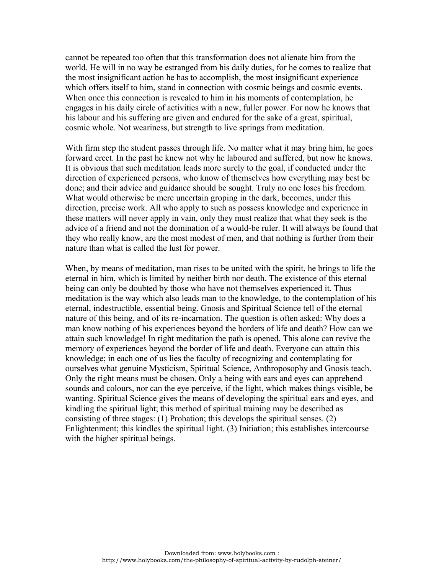cannot be repeated too often that this transformation does not alienate him from the world. He will in no way be estranged from his daily duties, for he comes to realize that the most insignificant action he has to accomplish, the most insignificant experience which offers itself to him, stand in connection with cosmic beings and cosmic events. When once this connection is revealed to him in his moments of contemplation, he engages in his daily circle of activities with a new, fuller power. For now he knows that his labour and his suffering are given and endured for the sake of a great, spiritual, cosmic whole. Not weariness, but strength to live springs from meditation.

With firm step the student passes through life. No matter what it may bring him, he goes forward erect. In the past he knew not why he laboured and suffered, but now he knows. It is obvious that such meditation leads more surely to the goal, if conducted under the direction of experienced persons, who know of themselves how everything may best be done; and their advice and guidance should be sought. Truly no one loses his freedom. What would otherwise be mere uncertain groping in the dark, becomes, under this direction, precise work. All who apply to such as possess knowledge and experience in these matters will never apply in vain, only they must realize that what they seek is the advice of a friend and not the domination of a would-be ruler. It will always be found that they who really know, are the most modest of men, and that nothing is further from their nature than what is called the lust for power.

When, by means of meditation, man rises to be united with the spirit, he brings to life the eternal in him, which is limited by neither birth nor death. The existence of this eternal being can only be doubted by those who have not themselves experienced it. Thus meditation is the way which also leads man to the knowledge, to the contemplation of his eternal, indestructible, essential being. Gnosis and Spiritual Science tell of the eternal nature of this being, and of its re-incarnation. The question is often asked: Why does a man know nothing of his experiences beyond the borders of life and death? How can we attain such knowledge! In right meditation the path is opened. This alone can revive the memory of experiences beyond the border of life and death. Everyone can attain this knowledge; in each one of us lies the faculty of recognizing and contemplating for ourselves what genuine Mysticism, Spiritual Science, Anthroposophy and Gnosis teach. Only the right means must be chosen. Only a being with ears and eyes can apprehend sounds and colours, nor can the eye perceive, if the light, which makes things visible, be wanting. Spiritual Science gives the means of developing the spiritual ears and eyes, and kindling the spiritual light; this method of spiritual training may be described as consisting of three stages: (1) Probation; this develops the spiritual senses. (2) Enlightenment; this kindles the spiritual light. (3) Initiation; this establishes intercourse with the higher spiritual beings.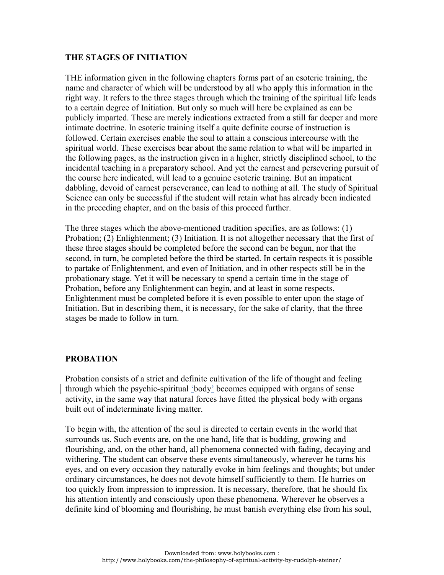## **THE STAGES OF INITIATION**

THE information given in the following chapters forms part of an esoteric training, the name and character of which will be understood by all who apply this information in the right way. It refers to the three stages through which the training of the spiritual life leads to a certain degree of Initiation. But only so much will here be explained as can be publicly imparted. These are merely indications extracted from a still far deeper and more intimate doctrine. In esoteric training itself a quite definite course of instruction is followed. Certain exercises enable the soul to attain a conscious intercourse with the spiritual world. These exercises bear about the same relation to what will be imparted in the following pages, as the instruction given in a higher, strictly disciplined school, to the incidental teaching in a preparatory school. And yet the earnest and persevering pursuit of the course here indicated, will lead to a genuine esoteric training. But an impatient dabbling, devoid of earnest perseverance, can lead to nothing at all. The study of Spiritual Science can only be successful if the student will retain what has already been indicated in the preceding chapter, and on the basis of this proceed further.

The three stages which the above-mentioned tradition specifies, are as follows: (1) Probation; (2) Enlightenment; (3) Initiation. It is not altogether necessary that the first of these three stages should be completed before the second can be begun, nor that the second, in turn, be completed before the third be started. In certain respects it is possible to partake of Enlightenment, and even of Initiation, and in other respects still be in the probationary stage. Yet it will be necessary to spend a certain time in the stage of Probation, before any Enlightenment can begin, and at least in some respects, Enlightenment must be completed before it is even possible to enter upon the stage of Initiation. But in describing them, it is necessary, for the sake of clarity, that the three stages be made to follow in turn.

### **PROBATION**

Probation consists of a strict and definite cultivation of the life of thought and feeling through which the psychic-spiritual 'body' becomes equipped with organs of sense activity, in the same way that natural forces have fitted the physical body with organs built out of indeterminate living matter.

To begin with, the attention of the soul is directed to certain events in the world that surrounds us. Such events are, on the one hand, life that is budding, growing and flourishing, and, on the other hand, all phenomena connected with fading, decaying and withering. The student can observe these events simultaneously, wherever he turns his eyes, and on every occasion they naturally evoke in him feelings and thoughts; but under ordinary circumstances, he does not devote himself sufficiently to them. He hurries on too quickly from impression to impression. It is necessary, therefore, that he should fix his attention intently and consciously upon these phenomena. Wherever he observes a definite kind of blooming and flourishing, he must banish everything else from his soul,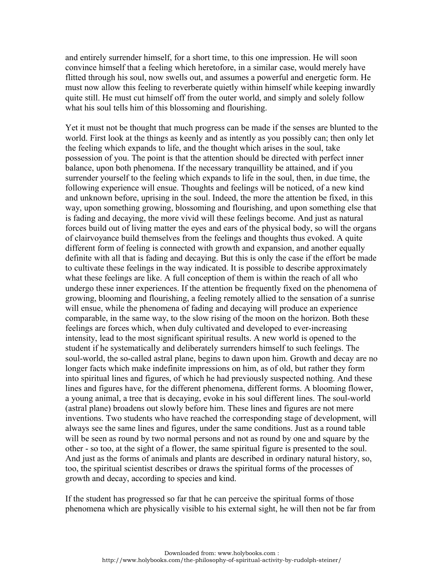and entirely surrender himself, for a short time, to this one impression. He will soon convince himself that a feeling which heretofore, in a similar case, would merely have flitted through his soul, now swells out, and assumes a powerful and energetic form. He must now allow this feeling to reverberate quietly within himself while keeping inwardly quite still. He must cut himself off from the outer world, and simply and solely follow what his soul tells him of this blossoming and flourishing.

Yet it must not be thought that much progress can be made if the senses are blunted to the world. First look at the things as keenly and as intently as you possibly can; then only let the feeling which expands to life, and the thought which arises in the soul, take possession of you. The point is that the attention should be directed with perfect inner balance, upon both phenomena. If the necessary tranquillity be attained, and if you surrender yourself to the feeling which expands to life in the soul, then, in due time, the following experience will ensue. Thoughts and feelings will be noticed, of a new kind and unknown before, uprising in the soul. Indeed, the more the attention be fixed, in this way, upon something growing, blossoming and flourishing, and upon something else that is fading and decaying, the more vivid will these feelings become. And just as natural forces build out of living matter the eyes and ears of the physical body, so will the organs of clairvoyance build themselves from the feelings and thoughts thus evoked. A quite different form of feeling is connected with growth and expansion, and another equally definite with all that is fading and decaying. But this is only the case if the effort be made to cultivate these feelings in the way indicated. It is possible to describe approximately what these feelings are like. A full conception of them is within the reach of all who undergo these inner experiences. If the attention be frequently fixed on the phenomena of growing, blooming and flourishing, a feeling remotely allied to the sensation of a sunrise will ensue, while the phenomena of fading and decaying will produce an experience comparable, in the same way, to the slow rising of the moon on the horizon. Both these feelings are forces which, when duly cultivated and developed to ever-increasing intensity, lead to the most significant spiritual results. A new world is opened to the student if he systematically and deliberately surrenders himself to such feelings. The soul-world, the so-called astral plane, begins to dawn upon him. Growth and decay are no longer facts which make indefinite impressions on him, as of old, but rather they form into spiritual lines and figures, of which he had previously suspected nothing. And these lines and figures have, for the different phenomena, different forms. A blooming flower, a young animal, a tree that is decaying, evoke in his soul different lines. The soul-world (astral plane) broadens out slowly before him. These lines and figures are not mere inventions. Two students who have reached the corresponding stage of development, will always see the same lines and figures, under the same conditions. Just as a round table will be seen as round by two normal persons and not as round by one and square by the other - so too, at the sight of a flower, the same spiritual figure is presented to the soul. And just as the forms of animals and plants are described in ordinary natural history, so, too, the spiritual scientist describes or draws the spiritual forms of the processes of growth and decay, according to species and kind.

If the student has progressed so far that he can perceive the spiritual forms of those phenomena which are physically visible to his external sight, he will then not be far from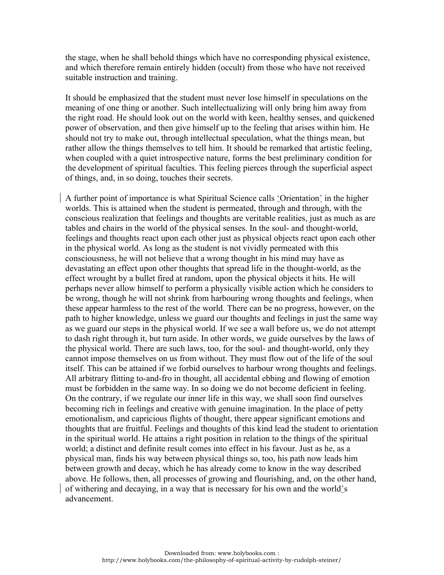the stage, when he shall behold things which have no corresponding physical existence, and which therefore remain entirely hidden (occult) from those who have not received suitable instruction and training.

It should be emphasized that the student must never lose himself in speculations on the meaning of one thing or another. Such intellectualizing will only bring him away from the right road. He should look out on the world with keen, healthy senses, and quickened power of observation, and then give himself up to the feeling that arises within him. He should not try to make out, through intellectual speculation, what the things mean, but rather allow the things themselves to tell him. It should be remarked that artistic feeling, when coupled with a quiet introspective nature, forms the best preliminary condition for the development of spiritual faculties. This feeling pierces through the superficial aspect of things, and, in so doing, touches their secrets.

A further point of importance is what Spiritual Science calls 'Orientation' in the higher worlds. This is attained when the student is permeated, through and through, with the conscious realization that feelings and thoughts are veritable realities, just as much as are tables and chairs in the world of the physical senses. In the soul- and thought-world, feelings and thoughts react upon each other just as physical objects react upon each other in the physical world. As long as the student is not vividly permeated with this consciousness, he will not believe that a wrong thought in his mind may have as devastating an effect upon other thoughts that spread life in the thought-world, as the effect wrought by a bullet fired at random, upon the physical objects it hits. He will perhaps never allow himself to perform a physically visible action which he considers to be wrong, though he will not shrink from harbouring wrong thoughts and feelings, when these appear harmless to the rest of the world. There can be no progress, however, on the path to higher knowledge, unless we guard our thoughts and feelings in just the same way as we guard our steps in the physical world. If we see a wall before us, we do not attempt to dash right through it, but turn aside. In other words, we guide ourselves by the laws of the physical world. There are such laws, too, for the soul- and thought-world, only they cannot impose themselves on us from without. They must flow out of the life of the soul itself. This can be attained if we forbid ourselves to harbour wrong thoughts and feelings. All arbitrary flitting to-and-fro in thought, all accidental ebbing and flowing of emotion must be forbidden in the same way. In so doing we do not become deficient in feeling. On the contrary, if we regulate our inner life in this way, we shall soon find ourselves becoming rich in feelings and creative with genuine imagination. In the place of petty emotionalism, and capricious flights of thought, there appear significant emotions and thoughts that are fruitful. Feelings and thoughts of this kind lead the student to orientation in the spiritual world. He attains a right position in relation to the things of the spiritual world; a distinct and definite result comes into effect in his favour. Just as he, as a physical man, finds his way between physical things so, too, his path now leads him between growth and decay, which he has already come to know in the way described above. He follows, then, all processes of growing and flourishing, and, on the other hand, of withering and decaying, in a way that is necessary for his own and the world's advancement.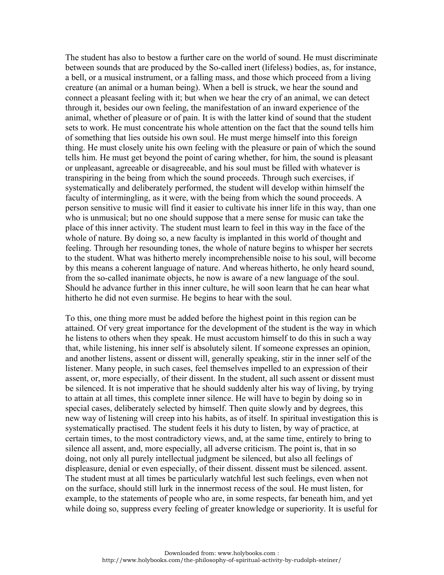The student has also to bestow a further care on the world of sound. He must discriminate between sounds that are produced by the So-called inert (lifeless) bodies, as, for instance, a bell, or a musical instrument, or a falling mass, and those which proceed from a living creature (an animal or a human being). When a bell is struck, we hear the sound and connect a pleasant feeling with it; but when we hear the cry of an animal, we can detect through it, besides our own feeling, the manifestation of an inward experience of the animal, whether of pleasure or of pain. It is with the latter kind of sound that the student sets to work. He must concentrate his whole attention on the fact that the sound tells him of something that lies outside his own soul. He must merge himself into this foreign thing. He must closely unite his own feeling with the pleasure or pain of which the sound tells him. He must get beyond the point of caring whether, for him, the sound is pleasant or unpleasant, agreeable or disagreeable, and his soul must be filled with whatever is transpiring in the being from which the sound proceeds. Through such exercises, if systematically and deliberately performed, the student will develop within himself the faculty of intermingling, as it were, with the being from which the sound proceeds. A person sensitive to music will find it easier to cultivate his inner life in this way, than one who is unmusical; but no one should suppose that a mere sense for music can take the place of this inner activity. The student must learn to feel in this way in the face of the whole of nature. By doing so, a new faculty is implanted in this world of thought and feeling. Through her resounding tones, the whole of nature begins to whisper her secrets to the student. What was hitherto merely incomprehensible noise to his soul, will become by this means a coherent language of nature. And whereas hitherto, he only heard sound, from the so-called inanimate objects, he now is aware of a new language of the soul. Should he advance further in this inner culture, he will soon learn that he can hear what hitherto he did not even surmise. He begins to hear with the soul.

To this, one thing more must be added before the highest point in this region can be attained. Of very great importance for the development of the student is the way in which he listens to others when they speak. He must accustom himself to do this in such a way that, while listening, his inner self is absolutely silent. If someone expresses an opinion, and another listens, assent or dissent will, generally speaking, stir in the inner self of the listener. Many people, in such cases, feel themselves impelled to an expression of their assent, or, more especially, of their dissent. In the student, all such assent or dissent must be silenced. It is not imperative that he should suddenly alter his way of living, by trying to attain at all times, this complete inner silence. He will have to begin by doing so in special cases, deliberately selected by himself. Then quite slowly and by degrees, this new way of listening will creep into his habits, as of itself. In spiritual investigation this is systematically practised. The student feels it his duty to listen, by way of practice, at certain times, to the most contradictory views, and, at the same time, entirely to bring to silence all assent, and, more especially, all adverse criticism. The point is, that in so doing, not only all purely intellectual judgment be silenced, but also all feelings of displeasure, denial or even especially, of their dissent. dissent must be silenced. assent. The student must at all times be particularly watchful lest such feelings, even when not on the surface, should still lurk in the innermost recess of the soul. He must listen, for example, to the statements of people who are, in some respects, far beneath him, and yet while doing so, suppress every feeling of greater knowledge or superiority. It is useful for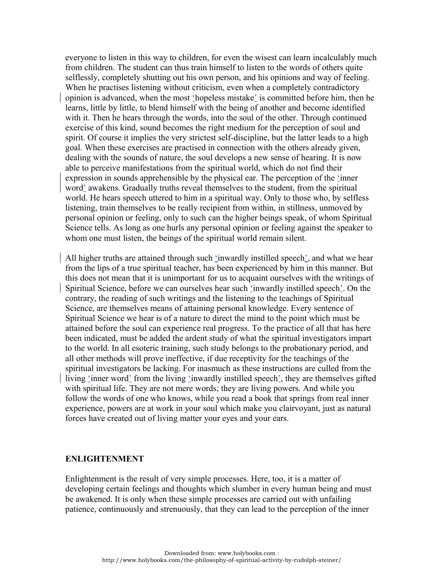everyone to listen in this way to children, for even the wisest can learn incalculably much from children. The student can thus train himself to listen to the words of others quite selflessly, completely shutting out his own person, and his opinions and way of feeling. When he practises listening without criticism, even when a completely contradictory opinion is advanced, when the most 'hopeless mistake' is committed before him, then he learns, little by little, to blend himself with the being of another and become identified with it. Then he hears through the words, into the soul of the other. Through continued exercise of this kind, sound becomes the right medium for the perception of soul and spirit. Of course it implies the very strictest self-discipline, but the latter leads to a high goal. When these exercises are practised in connection with the others already given, dealing with the sounds of nature, the soul develops a new sense of hearing. It is now able to perceive manifestations from the spiritual world, which do not find their expression in sounds apprehensible by the physical ear. The perception of the 'inner word' awakens. Gradually truths reveal themselves to the student, from the spiritual world. He hears speech uttered to him in a spiritual way. Only to those who, by selfless listening, train themselves to be really recipient from within, in stillness, unmoved by personal opinion or feeling, only to such can the higher beings speak, of whom Spiritual Science tells. As long as one hurls any personal opinion or feeling against the speaker to whom one must listen, the beings of the spiritual world remain silent.

All higher truths are attained through such 'inwardly instilled speech', and what we hear from the lips of a true spiritual teacher, has been experienced by him in this manner. But this does not mean that it is unimportant for us to acquaint ourselves with the writings of Spiritual Science, before we can ourselves hear such 'inwardly instilled speech'. On the contrary, the reading of such writings and the listening to the teachings of Spiritual Science, are themselves means of attaining personal knowledge. Every sentence of Spiritual Science we hear is of a nature to direct the mind to the point which must be attained before the soul can experience real progress. To the practice of all that has here been indicated, must be added the ardent study of what the spiritual investigators impart to the world. In all esoteric training, such study belongs to the probationary period, and all other methods will prove ineffective, if due receptivity for the teachings of the spiritual investigators be lacking. For inasmuch as these instructions are culled from the living 'inner word' from the living 'inwardly instilled speech', they are themselves gifted with spiritual life. They are not mere words; they are living powers. And while you follow the words of one who knows, while you read a book that springs from real inner experience, powers are at work in your soul which make you clairvoyant, just as natural forces have created out of living matter your eyes and your ears.

#### **ENLIGHTENMENT**

Enlightenment is the result of very simple processes. Here, too, it is a matter of developing certain feelings and thoughts which slumber in every human being and must be awakened. It is only when these simple processes are carried out with unfailing patience, continuously and strenuously, that they can lead to the perception of the inner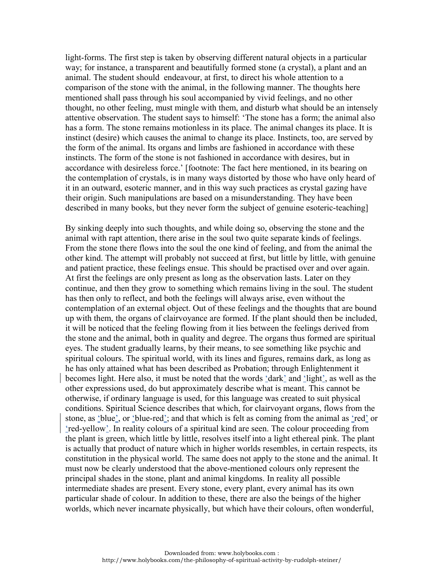light-forms. The first step is taken by observing different natural objects in a particular way; for instance, a transparent and beautifully formed stone (a crystal), a plant and an animal. The student should endeavour, at first, to direct his whole attention to a comparison of the stone with the animal, in the following manner. The thoughts here mentioned shall pass through his soul accompanied by vivid feelings, and no other thought, no other feeling, must mingle with them, and disturb what should be an intensely attentive observation. The student says to himself: 'The stone has a form; the animal also has a form. The stone remains motionless in its place. The animal changes its place. It is instinct (desire) which causes the animal to change its place. Instincts, too, are served by the form of the animal. Its organs and limbs are fashioned in accordance with these instincts. The form of the stone is not fashioned in accordance with desires, but in accordance with desireless force.' [footnote: The fact here mentioned, in its bearing on the contemplation of crystals, is in many ways distorted by those who have only heard of it in an outward, esoteric manner, and in this way such practices as crystal gazing have their origin. Such manipulations are based on a misunderstanding. They have been described in many books, but they never form the subject of genuine esoteric-teaching]

By sinking deeply into such thoughts, and while doing so, observing the stone and the animal with rapt attention, there arise in the soul two quite separate kinds of feelings. From the stone there flows into the soul the one kind of feeling, and from the animal the other kind. The attempt will probably not succeed at first, but little by little, with genuine and patient practice, these feelings ensue. This should be practised over and over again. At first the feelings are only present as long as the observation lasts. Later on they continue, and then they grow to something which remains living in the soul. The student has then only to reflect, and both the feelings will always arise, even without the contemplation of an external object. Out of these feelings and the thoughts that are bound up with them, the organs of clairvoyance are formed. If the plant should then be included, it will be noticed that the feeling flowing from it lies between the feelings derived from the stone and the animal, both in quality and degree. The organs thus formed are spiritual eyes. The student gradually learns, by their means, to see something like psychic and spiritual colours. The spiritual world, with its lines and figures, remains dark, as long as he has only attained what has been described as Probation; through Enlightenment it becomes light. Here also, it must be noted that the words 'dark' and 'light', as well as the other expressions used, do but approximately describe what is meant. This cannot be otherwise, if ordinary language is used, for this language was created to suit physical conditions. Spiritual Science describes that which, for clairvoyant organs, flows from the stone, as 'blue', or 'blue-red'; and that which is felt as coming from the animal as 'red' or 'red-yellow'. In reality colours of a spiritual kind are seen. The colour proceeding from the plant is green, which little by little, resolves itself into a light ethereal pink. The plant is actually that product of nature which in higher worlds resembles, in certain respects, its constitution in the physical world. The same does not apply to the stone and the animal. It must now be clearly understood that the above-mentioned colours only represent the principal shades in the stone, plant and animal kingdoms. In reality all possible intermediate shades are present. Every stone, every plant, every animal has its own particular shade of colour. In addition to these, there are also the beings of the higher worlds, which never incarnate physically, but which have their colours, often wonderful,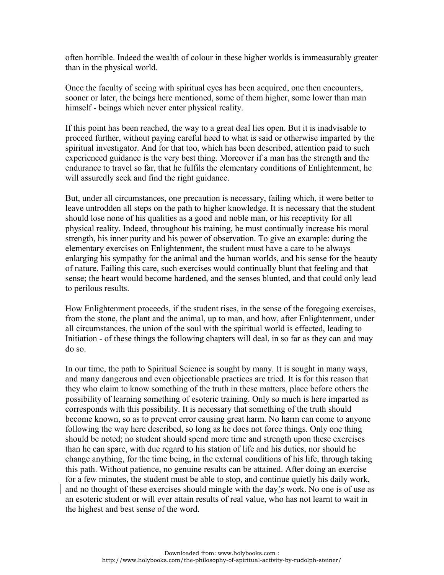often horrible. Indeed the wealth of colour in these higher worlds is immeasurably greater than in the physical world.

Once the faculty of seeing with spiritual eyes has been acquired, one then encounters, sooner or later, the beings here mentioned, some of them higher, some lower than man himself - beings which never enter physical reality.

If this point has been reached, the way to a great deal lies open. But it is inadvisable to proceed further, without paying careful heed to what is said or otherwise imparted by the spiritual investigator. And for that too, which has been described, attention paid to such experienced guidance is the very best thing. Moreover if a man has the strength and the endurance to travel so far, that he fulfils the elementary conditions of Enlightenment, he will assuredly seek and find the right guidance.

But, under all circumstances, one precaution is necessary, failing which, it were better to leave untrodden all steps on the path to higher knowledge. It is necessary that the student should lose none of his qualities as a good and noble man, or his receptivity for all physical reality. Indeed, throughout his training, he must continually increase his moral strength, his inner purity and his power of observation. To give an example: during the elementary exercises on Enlightenment, the student must have a care to be always enlarging his sympathy for the animal and the human worlds, and his sense for the beauty of nature. Failing this care, such exercises would continually blunt that feeling and that sense; the heart would become hardened, and the senses blunted, and that could only lead to perilous results.

How Enlightenment proceeds, if the student rises, in the sense of the foregoing exercises, from the stone, the plant and the animal, up to man, and how, after Enlightenment, under all circumstances, the union of the soul with the spiritual world is effected, leading to Initiation - of these things the following chapters will deal, in so far as they can and may do so.

In our time, the path to Spiritual Science is sought by many. It is sought in many ways, and many dangerous and even objectionable practices are tried. It is for this reason that they who claim to know something of the truth in these matters, place before others the possibility of learning something of esoteric training. Only so much is here imparted as corresponds with this possibility. It is necessary that something of the truth should become known, so as to prevent error causing great harm. No harm can come to anyone following the way here described, so long as he does not force things. Only one thing should be noted; no student should spend more time and strength upon these exercises than he can spare, with due regard to his station of life and his duties, nor should he change anything, for the time being, in the external conditions of his life, through taking this path. Without patience, no genuine results can be attained. After doing an exercise for a few minutes, the student must be able to stop, and continue quietly his daily work, and no thought of these exercises should mingle with the day's work. No one is of use as an esoteric student or will ever attain results of real value, who has not learnt to wait in the highest and best sense of the word.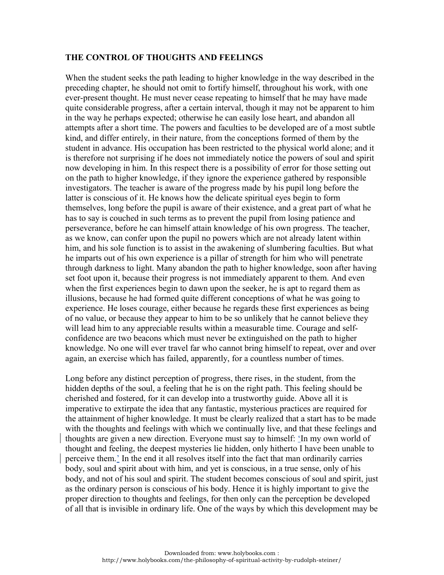#### **THE CONTROL OF THOUGHTS AND FEELINGS**

When the student seeks the path leading to higher knowledge in the way described in the preceding chapter, he should not omit to fortify himself, throughout his work, with one ever-present thought. He must never cease repeating to himself that he may have made quite considerable progress, after a certain interval, though it may not be apparent to him in the way he perhaps expected; otherwise he can easily lose heart, and abandon all attempts after a short time. The powers and faculties to be developed are of a most subtle kind, and differ entirely, in their nature, from the conceptions formed of them by the student in advance. His occupation has been restricted to the physical world alone; and it is therefore not surprising if he does not immediately notice the powers of soul and spirit now developing in him. In this respect there is a possibility of error for those setting out on the path to higher knowledge, if they ignore the experience gathered by responsible investigators. The teacher is aware of the progress made by his pupil long before the latter is conscious of it. He knows how the delicate spiritual eyes begin to form themselves, long before the pupil is aware of their existence, and a great part of what he has to say is couched in such terms as to prevent the pupil from losing patience and perseverance, before he can himself attain knowledge of his own progress. The teacher, as we know, can confer upon the pupil no powers which are not already latent within him, and his sole function is to assist in the awakening of slumbering faculties. But what he imparts out of his own experience is a pillar of strength for him who will penetrate through darkness to light. Many abandon the path to higher knowledge, soon after having set foot upon it, because their progress is not immediately apparent to them. And even when the first experiences begin to dawn upon the seeker, he is apt to regard them as illusions, because he had formed quite different conceptions of what he was going to experience. He loses courage, either because he regards these first experiences as being of no value, or because they appear to him to be so unlikely that he cannot believe they will lead him to any appreciable results within a measurable time. Courage and selfconfidence are two beacons which must never be extinguished on the path to higher knowledge. No one will ever travel far who cannot bring himself to repeat, over and over again, an exercise which has failed, apparently, for a countless number of times.

Long before any distinct perception of progress, there rises, in the student, from the hidden depths of the soul, a feeling that he is on the right path. This feeling should be cherished and fostered, for it can develop into a trustworthy guide. Above all it is imperative to extirpate the idea that any fantastic, mysterious practices are required for the attainment of higher knowledge. It must be clearly realized that a start has to be made with the thoughts and feelings with which we continually live, and that these feelings and thoughts are given a new direction. Everyone must say to himself: 'In my own world of thought and feeling, the deepest mysteries lie hidden, only hitherto I have been unable to perceive them.' In the end it all resolves itself into the fact that man ordinarily carries body, soul and spirit about with him, and yet is conscious, in a true sense, only of his body, and not of his soul and spirit. The student becomes conscious of soul and spirit, just as the ordinary person is conscious of his body. Hence it is highly important to give the proper direction to thoughts and feelings, for then only can the perception be developed of all that is invisible in ordinary life. One of the ways by which this development may be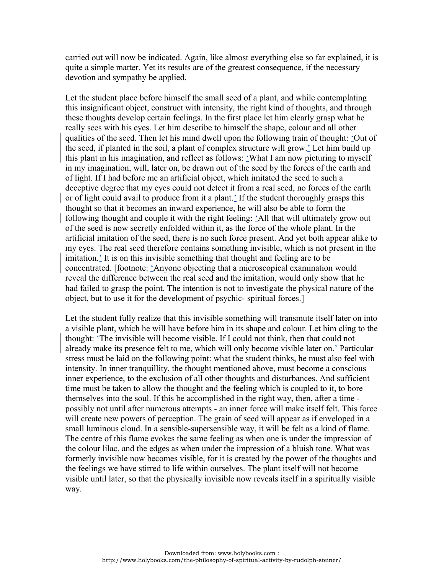carried out will now be indicated. Again, like almost everything else so far explained, it is quite a simple matter. Yet its results are of the greatest consequence, if the necessary devotion and sympathy be applied.

Let the student place before himself the small seed of a plant, and while contemplating this insignificant object, construct with intensity, the right kind of thoughts, and through these thoughts develop certain feelings. In the first place let him clearly grasp what he really sees with his eyes. Let him describe to himself the shape, colour and all other qualities of the seed. Then let his mind dwell upon the following train of thought: 'Out of the seed, if planted in the soil, a plant of complex structure will grow.' Let him build up this plant in his imagination, and reflect as follows: 'What I am now picturing to myself in my imagination, will, later on, be drawn out of the seed by the forces of the earth and of light. If I had before me an artificial object, which imitated the seed to such a deceptive degree that my eyes could not detect it from a real seed, no forces of the earth or of light could avail to produce from it a plant.' If the student thoroughly grasps this thought so that it becomes an inward experience, he will also be able to form the following thought and couple it with the right feeling: 'All that will ultimately grow out of the seed is now secretly enfolded within it, as the force of the whole plant. In the artificial imitation of the seed, there is no such force present. And yet both appear alike to my eyes. The real seed therefore contains something invisible, which is not present in the imitation.' It is on this invisible something that thought and feeling are to be concentrated. [footnote: 'Anyone objecting that a microscopical examination would reveal the difference between the real seed and the imitation, would only show that he had failed to grasp the point. The intention is not to investigate the physical nature of the object, but to use it for the development of psychic- spiritual forces.]

Let the student fully realize that this invisible something will transmute itself later on into a visible plant, which he will have before him in its shape and colour. Let him cling to the thought: 'The invisible will become visible. If I could not think, then that could not already make its presence felt to me, which will only become visible later on.' Particular stress must be laid on the following point: what the student thinks, he must also feel with intensity. In inner tranquillity, the thought mentioned above, must become a conscious inner experience, to the exclusion of all other thoughts and disturbances. And sufficient time must be taken to allow the thought and the feeling which is coupled to it, to bore themselves into the soul. If this be accomplished in the right way, then, after a time possibly not until after numerous attempts - an inner force will make itself felt. This force will create new powers of perception. The grain of seed will appear as if enveloped in a small luminous cloud. In a sensible-supersensible way, it will be felt as a kind of flame. The centre of this flame evokes the same feeling as when one is under the impression of the colour lilac, and the edges as when under the impression of a bluish tone. What was formerly invisible now becomes visible, for it is created by the power of the thoughts and the feelings we have stirred to life within ourselves. The plant itself will not become visible until later, so that the physically invisible now reveals itself in a spiritually visible way.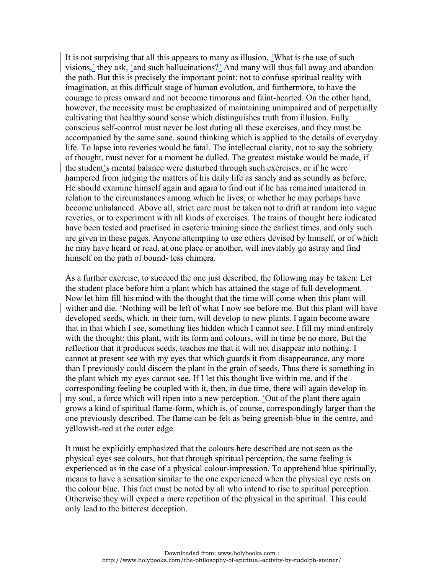It is not surprising that all this appears to many as illusion. 'What is the use of such visions,' they ask, 'and such hallucinations?' And many will thus fall away and abandon the path. But this is precisely the important point: not to confuse spiritual reality with imagination, at this difficult stage of human evolution, and furthermore, to have the courage to press onward and not become timorous and faint-hearted. On the other hand, however, the necessity must be emphasized of maintaining unimpaired and of perpetually cultivating that healthy sound sense which distinguishes truth from illusion. Fully conscious self-control must never be lost during all these exercises, and they must be accompanied by the same sane, sound thinking which is applied to the details of everyday life. To lapse into reveries would be fatal. The intellectual clarity, not to say the sobriety of thought, must never for a moment be dulled. The greatest mistake would be made, if the student's mental balance were disturbed through such exercises, or if he were hampered from judging the matters of his daily life as sanely and as soundly as before. He should examine himself again and again to find out if he has remained unaltered in relation to the circumstances among which he lives, or whether he may perhaps have become unbalanced. Above all, strict care must be taken not to drift at random into vague reveries, or to experiment with all kinds of exercises. The trains of thought here indicated have been tested and practised in esoteric training since the earliest times, and only such are given in these pages. Anyone attempting to use others devised by himself, or of which he may have heard or read, at one place or another, will inevitably go astray and find himself on the path of bound- less chimera.

As a further exercise, to succeed the one just described, the following may be taken: Let the student place before him a plant which has attained the stage of full development. Now let him fill his mind with the thought that the time will come when this plant will wither and die. 'Nothing will be left of what I now see before me. But this plant will have developed seeds, which, in their turn, will develop to new plants. I again become aware that in that which I see, something lies hidden which I cannot see. I fill my mind entirely with the thought: this plant, with its form and colours, will in time be no more. But the reflection that it produces seeds, teaches me that it will not disappear into nothing. I cannot at present see with my eyes that which guards it from disappearance, any more than I previously could discern the plant in the grain of seeds. Thus there is something in the plant which my eyes cannot see. If I let this thought live within me, and if the corresponding feeling be coupled with it, then, in due time, there will again develop in my soul, a force which will ripen into a new perception. 'Out of the plant there again grows a kind of spiritual flame-form, which is, of course, correspondingly larger than the one previously described. The flame can be felt as being greenish-blue in the centre, and yellowish-red at the outer edge.

It must be explicitly emphasized that the colours here described are not seen as the physical eyes see colours, but that through spiritual perception, the same feeling is experienced as in the case of a physical colour-impression. To apprehend blue spiritually, means to have a sensation similar to the one experienced when the physical eye rests on the colour blue. This fact must be noted by all who intend to rise to spiritual perception. Otherwise they will expect a mere repetition of the physical in the spiritual. This could only lead to the bitterest deception.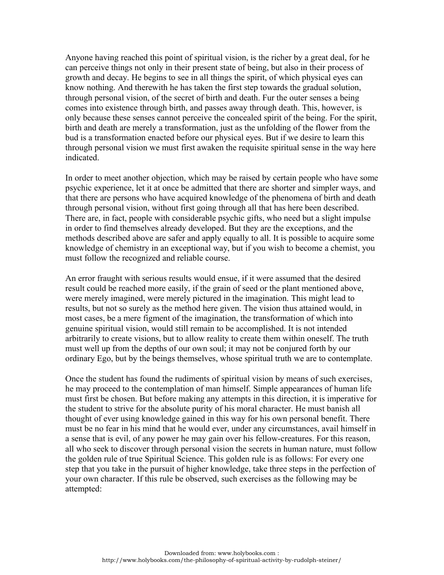Anyone having reached this point of spiritual vision, is the richer by a great deal, for he can perceive things not only in their present state of being, but also in their process of growth and decay. He begins to see in all things the spirit, of which physical eyes can know nothing. And therewith he has taken the first step towards the gradual solution, through personal vision, of the secret of birth and death. Fur the outer senses a being comes into existence through birth, and passes away through death. This, however, is only because these senses cannot perceive the concealed spirit of the being. For the spirit, birth and death are merely a transformation, just as the unfolding of the flower from the bud is a transformation enacted before our physical eyes. But if we desire to learn this through personal vision we must first awaken the requisite spiritual sense in the way here indicated.

In order to meet another objection, which may be raised by certain people who have some psychic experience, let it at once be admitted that there are shorter and simpler ways, and that there are persons who have acquired knowledge of the phenomena of birth and death through personal vision, without first going through all that has here been described. There are, in fact, people with considerable psychic gifts, who need but a slight impulse in order to find themselves already developed. But they are the exceptions, and the methods described above are safer and apply equally to all. It is possible to acquire some knowledge of chemistry in an exceptional way, but if you wish to become a chemist, you must follow the recognized and reliable course.

An error fraught with serious results would ensue, if it were assumed that the desired result could be reached more easily, if the grain of seed or the plant mentioned above, were merely imagined, were merely pictured in the imagination. This might lead to results, but not so surely as the method here given. The vision thus attained would, in most cases, be a mere figment of the imagination, the transformation of which into genuine spiritual vision, would still remain to be accomplished. It is not intended arbitrarily to create visions, but to allow reality to create them within oneself. The truth must well up from the depths of our own soul; it may not be conjured forth by our ordinary Ego, but by the beings themselves, whose spiritual truth we are to contemplate.

Once the student has found the rudiments of spiritual vision by means of such exercises, he may proceed to the contemplation of man himself. Simple appearances of human life must first be chosen. But before making any attempts in this direction, it is imperative for the student to strive for the absolute purity of his moral character. He must banish all thought of ever using knowledge gained in this way for his own personal benefit. There must be no fear in his mind that he would ever, under any circumstances, avail himself in a sense that is evil, of any power he may gain over his fellow-creatures. For this reason, all who seek to discover through personal vision the secrets in human nature, must follow the golden rule of true Spiritual Science. This golden rule is as follows: For every one step that you take in the pursuit of higher knowledge, take three steps in the perfection of your own character. If this rule be observed, such exercises as the following may be attempted: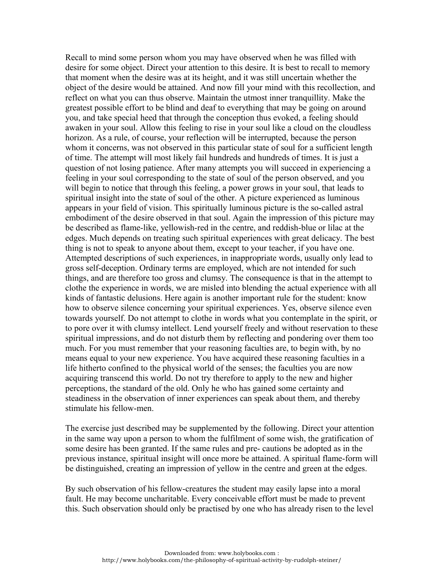Recall to mind some person whom you may have observed when he was filled with desire for some object. Direct your attention to this desire. It is best to recall to memory that moment when the desire was at its height, and it was still uncertain whether the object of the desire would be attained. And now fill your mind with this recollection, and reflect on what you can thus observe. Maintain the utmost inner tranquillity. Make the greatest possible effort to be blind and deaf to everything that may be going on around you, and take special heed that through the conception thus evoked, a feeling should awaken in your soul. Allow this feeling to rise in your soul like a cloud on the cloudless horizon. As a rule, of course, your reflection will be interrupted, because the person whom it concerns, was not observed in this particular state of soul for a sufficient length of time. The attempt will most likely fail hundreds and hundreds of times. It is just a question of not losing patience. After many attempts you will succeed in experiencing a feeling in your soul corresponding to the state of soul of the person observed, and you will begin to notice that through this feeling, a power grows in your soul, that leads to spiritual insight into the state of soul of the other. A picture experienced as luminous appears in your field of vision. This spiritually luminous picture is the so-called astral embodiment of the desire observed in that soul. Again the impression of this picture may be described as flame-like, yellowish-red in the centre, and reddish-blue or lilac at the edges. Much depends on treating such spiritual experiences with great delicacy. The best thing is not to speak to anyone about them, except to your teacher, if you have one. Attempted descriptions of such experiences, in inappropriate words, usually only lead to gross self-deception. Ordinary terms are employed, which are not intended for such things, and are therefore too gross and clumsy. The consequence is that in the attempt to clothe the experience in words, we are misled into blending the actual experience with all kinds of fantastic delusions. Here again is another important rule for the student: know how to observe silence concerning your spiritual experiences. Yes, observe silence even towards yourself. Do not attempt to clothe in words what you contemplate in the spirit, or to pore over it with clumsy intellect. Lend yourself freely and without reservation to these spiritual impressions, and do not disturb them by reflecting and pondering over them too much. For you must remember that your reasoning faculties are, to begin with, by no means equal to your new experience. You have acquired these reasoning faculties in a life hitherto confined to the physical world of the senses; the faculties you are now acquiring transcend this world. Do not try therefore to apply to the new and higher perceptions, the standard of the old. Only he who has gained some certainty and steadiness in the observation of inner experiences can speak about them, and thereby stimulate his fellow-men.

The exercise just described may be supplemented by the following. Direct your attention in the same way upon a person to whom the fulfilment of some wish, the gratification of some desire has been granted. If the same rules and pre- cautions be adopted as in the previous instance, spiritual insight will once more be attained. A spiritual flame-form will be distinguished, creating an impression of yellow in the centre and green at the edges.

By such observation of his fellow-creatures the student may easily lapse into a moral fault. He may become uncharitable. Every conceivable effort must be made to prevent this. Such observation should only be practised by one who has already risen to the level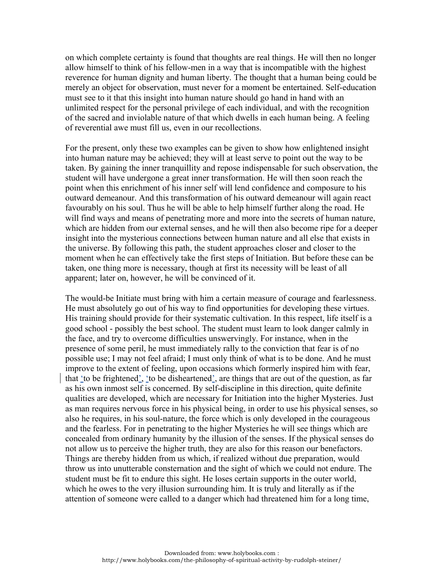on which complete certainty is found that thoughts are real things. He will then no longer allow himself to think of his fellow-men in a way that is incompatible with the highest reverence for human dignity and human liberty. The thought that a human being could be merely an object for observation, must never for a moment be entertained. Self-education must see to it that this insight into human nature should go hand in hand with an unlimited respect for the personal privilege of each individual, and with the recognition of the sacred and inviolable nature of that which dwells in each human being. A feeling of reverential awe must fill us, even in our recollections.

For the present, only these two examples can be given to show how enlightened insight into human nature may be achieved; they will at least serve to point out the way to be taken. By gaining the inner tranquillity and repose indispensable for such observation, the student will have undergone a great inner transformation. He will then soon reach the point when this enrichment of his inner self will lend confidence and composure to his outward demeanour. And this transformation of his outward demeanour will again react favourably on his soul. Thus he will be able to help himself further along the road. He will find ways and means of penetrating more and more into the secrets of human nature, which are hidden from our external senses, and he will then also become ripe for a deeper insight into the mysterious connections between human nature and all else that exists in the universe. By following this path, the student approaches closer and closer to the moment when he can effectively take the first steps of Initiation. But before these can be taken, one thing more is necessary, though at first its necessity will be least of all apparent; later on, however, he will be convinced of it.

The would-be Initiate must bring with him a certain measure of courage and fearlessness. He must absolutely go out of his way to find opportunities for developing these virtues. His training should provide for their systematic cultivation. In this respect, life itself is a good school - possibly the best school. The student must learn to look danger calmly in the face, and try to overcome difficulties unswervingly. For instance, when in the presence of some peril, he must immediately rally to the conviction that fear is of no possible use; I may not feel afraid; I must only think of what is to be done. And he must improve to the extent of feeling, upon occasions which formerly inspired him with fear, that 'to be frightened', 'to be disheartened', are things that are out of the question, as far as his own inmost self is concerned. By self-discipline in this direction, quite definite qualities are developed, which are necessary for Initiation into the higher Mysteries. Just as man requires nervous force in his physical being, in order to use his physical senses, so also he requires, in his soul-nature, the force which is only developed in the courageous and the fearless. For in penetrating to the higher Mysteries he will see things which are concealed from ordinary humanity by the illusion of the senses. If the physical senses do not allow us to perceive the higher truth, they are also for this reason our benefactors. Things are thereby hidden from us which, if realized without due preparation, would throw us into unutterable consternation and the sight of which we could not endure. The student must be fit to endure this sight. He loses certain supports in the outer world, which he owes to the very illusion surrounding him. It is truly and literally as if the attention of someone were called to a danger which had threatened him for a long time,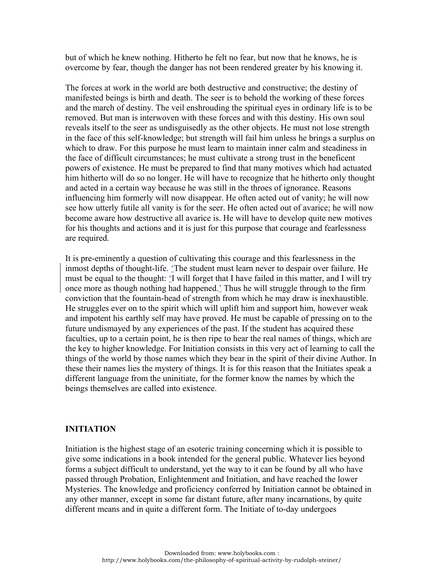but of which he knew nothing. Hitherto he felt no fear, but now that he knows, he is overcome by fear, though the danger has not been rendered greater by his knowing it.

The forces at work in the world are both destructive and constructive; the destiny of manifested beings is birth and death. The seer is to behold the working of these forces and the march of destiny. The veil enshrouding the spiritual eyes in ordinary life is to be removed. But man is interwoven with these forces and with this destiny. His own soul reveals itself to the seer as undisguisedly as the other objects. He must not lose strength in the face of this self-knowledge; but strength will fail him unless he brings a surplus on which to draw. For this purpose he must learn to maintain inner calm and steadiness in the face of difficult circumstances; he must cultivate a strong trust in the beneficent powers of existence. He must be prepared to find that many motives which had actuated him hitherto will do so no longer. He will have to recognize that he hitherto only thought and acted in a certain way because he was still in the throes of ignorance. Reasons influencing him formerly will now disappear. He often acted out of vanity; he will now see how utterly futile all vanity is for the seer. He often acted out of avarice; he will now become aware how destructive all avarice is. He will have to develop quite new motives for his thoughts and actions and it is just for this purpose that courage and fearlessness are required.

It is pre-eminently a question of cultivating this courage and this fearlessness in the inmost depths of thought-life. 'The student must learn never to despair over failure. He must be equal to the thought: 'I will forget that I have failed in this matter, and I will try once more as though nothing had happened.' Thus he will struggle through to the firm conviction that the fountain-head of strength from which he may draw is inexhaustible. He struggles ever on to the spirit which will uplift him and support him, however weak and impotent his earthly self may have proved. He must be capable of pressing on to the future undismayed by any experiences of the past. If the student has acquired these faculties, up to a certain point, he is then ripe to hear the real names of things, which are the key to higher knowledge. For Initiation consists in this very act of learning to call the things of the world by those names which they bear in the spirit of their divine Author. In these their names lies the mystery of things. It is for this reason that the Initiates speak a different language from the uninitiate, for the former know the names by which the beings themselves are called into existence.

#### **INITIATION**

Initiation is the highest stage of an esoteric training concerning which it is possible to give some indications in a book intended for the general public. Whatever lies beyond forms a subject difficult to understand, yet the way to it can be found by all who have passed through Probation, Enlightenment and Initiation, and have reached the lower Mysteries. The knowledge and proficiency conferred by Initiation cannot be obtained in any other manner, except in some far distant future, after many incarnations, by quite different means and in quite a different form. The Initiate of to-day undergoes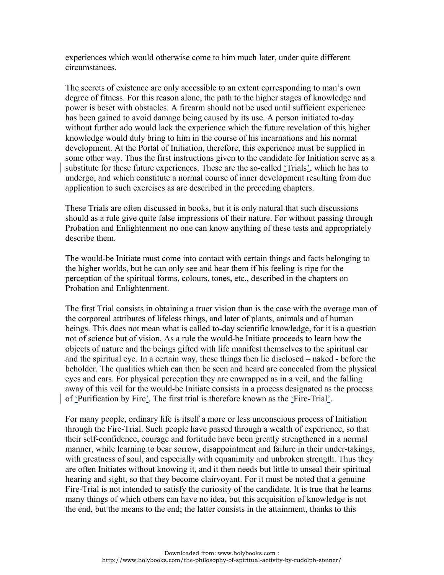experiences which would otherwise come to him much later, under quite different circumstances.

The secrets of existence are only accessible to an extent corresponding to man's own degree of fitness. For this reason alone, the path to the higher stages of knowledge and power is beset with obstacles. A firearm should not be used until sufficient experience has been gained to avoid damage being caused by its use. A person initiated to-day without further ado would lack the experience which the future revelation of this higher knowledge would duly bring to him in the course of his incarnations and his normal development. At the Portal of Initiation, therefore, this experience must be supplied in some other way. Thus the first instructions given to the candidate for Initiation serve as a substitute for these future experiences. These are the so-called 'Trials', which he has to undergo, and which constitute a normal course of inner development resulting from due application to such exercises as are described in the preceding chapters.

These Trials are often discussed in books, but it is only natural that such discussions should as a rule give quite false impressions of their nature. For without passing through Probation and Enlightenment no one can know anything of these tests and appropriately describe them.

The would-be Initiate must come into contact with certain things and facts belonging to the higher worlds, but he can only see and hear them if his feeling is ripe for the perception of the spiritual forms, colours, tones, etc., described in the chapters on Probation and Enlightenment.

The first Trial consists in obtaining a truer vision than is the case with the average man of the corporeal attributes of lifeless things, and later of plants, animals and of human beings. This does not mean what is called to-day scientific knowledge, for it is a question not of science but of vision. As a rule the would-be Initiate proceeds to learn how the objects of nature and the beings gifted with life manifest themselves to the spiritual ear and the spiritual eye. In a certain way, these things then lie disclosed – naked - before the beholder. The qualities which can then be seen and heard are concealed from the physical eyes and ears. For physical perception they are enwrapped as in a veil, and the falling away of this veil for the would-be Initiate consists in a process designated as the process of 'Purification by Fire'. The first trial is therefore known as the 'Fire-Trial'.

For many people, ordinary life is itself a more or less unconscious process of Initiation through the Fire-Trial. Such people have passed through a wealth of experience, so that their self-confidence, courage and fortitude have been greatly strengthened in a normal manner, while learning to bear sorrow, disappointment and failure in their under-takings, with greatness of soul, and especially with equanimity and unbroken strength. Thus they are often Initiates without knowing it, and it then needs but little to unseal their spiritual hearing and sight, so that they become clairvoyant. For it must be noted that a genuine Fire-Trial is not intended to satisfy the curiosity of the candidate. It is true that he learns many things of which others can have no idea, but this acquisition of knowledge is not the end, but the means to the end; the latter consists in the attainment, thanks to this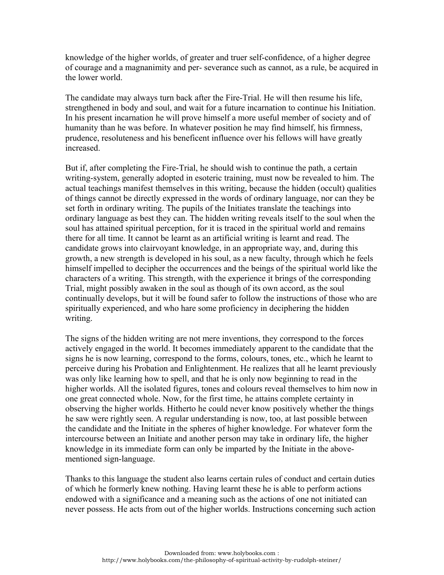knowledge of the higher worlds, of greater and truer self-confidence, of a higher degree of courage and a magnanimity and per- severance such as cannot, as a rule, be acquired in the lower world.

The candidate may always turn back after the Fire-Trial. He will then resume his life, strengthened in body and soul, and wait for a future incarnation to continue his Initiation. In his present incarnation he will prove himself a more useful member of society and of humanity than he was before. In whatever position he may find himself, his firmness, prudence, resoluteness and his beneficent influence over his fellows will have greatly increased.

But if, after completing the Fire-Trial, he should wish to continue the path, a certain writing-system, generally adopted in esoteric training, must now be revealed to him. The actual teachings manifest themselves in this writing, because the hidden (occult) qualities of things cannot be directly expressed in the words of ordinary language, nor can they be set forth in ordinary writing. The pupils of the Initiates translate the teachings into ordinary language as best they can. The hidden writing reveals itself to the soul when the soul has attained spiritual perception, for it is traced in the spiritual world and remains there for all time. It cannot be learnt as an artificial writing is learnt and read. The candidate grows into clairvoyant knowledge, in an appropriate way, and, during this growth, a new strength is developed in his soul, as a new faculty, through which he feels himself impelled to decipher the occurrences and the beings of the spiritual world like the characters of a writing. This strength, with the experience it brings of the corresponding Trial, might possibly awaken in the soul as though of its own accord, as the soul continually develops, but it will be found safer to follow the instructions of those who are spiritually experienced, and who hare some proficiency in deciphering the hidden writing.

The signs of the hidden writing are not mere inventions, they correspond to the forces actively engaged in the world. It becomes immediately apparent to the candidate that the signs he is now learning, correspond to the forms, colours, tones, etc., which he learnt to perceive during his Probation and Enlightenment. He realizes that all he learnt previously was only like learning how to spell, and that he is only now beginning to read in the higher worlds. All the isolated figures, tones and colours reveal themselves to him now in one great connected whole. Now, for the first time, he attains complete certainty in observing the higher worlds. Hitherto he could never know positively whether the things he saw were rightly seen. A regular understanding is now, too, at last possible between the candidate and the Initiate in the spheres of higher knowledge. For whatever form the intercourse between an Initiate and another person may take in ordinary life, the higher knowledge in its immediate form can only be imparted by the Initiate in the abovementioned sign-language.

Thanks to this language the student also learns certain rules of conduct and certain duties of which he formerly knew nothing. Having learnt these he is able to perform actions endowed with a significance and a meaning such as the actions of one not initiated can never possess. He acts from out of the higher worlds. Instructions concerning such action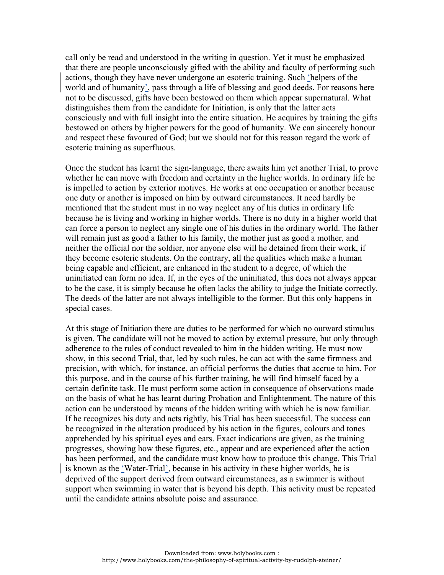call only be read and understood in the writing in question. Yet it must be emphasized that there are people unconsciously gifted with the ability and faculty of performing such actions, though they have never undergone an esoteric training. Such 'helpers of the world and of humanity', pass through a life of blessing and good deeds. For reasons here not to be discussed, gifts have been bestowed on them which appear supernatural. What distinguishes them from the candidate for Initiation, is only that the latter acts consciously and with full insight into the entire situation. He acquires by training the gifts bestowed on others by higher powers for the good of humanity. We can sincerely honour and respect these favoured of God; but we should not for this reason regard the work of esoteric training as superfluous.

Once the student has learnt the sign-language, there awaits him yet another Trial, to prove whether he can move with freedom and certainty in the higher worlds. In ordinary life he is impelled to action by exterior motives. He works at one occupation or another because one duty or another is imposed on him by outward circumstances. It need hardly be mentioned that the student must in no way neglect any of his duties in ordinary life because he is living and working in higher worlds. There is no duty in a higher world that can force a person to neglect any single one of his duties in the ordinary world. The father will remain just as good a father to his family, the mother just as good a mother, and neither the official nor the soldier, nor anyone else will he detained from their work, if they become esoteric students. On the contrary, all the qualities which make a human being capable and efficient, are enhanced in the student to a degree, of which the uninitiated can form no idea. If, in the eyes of the uninitiated, this does not always appear to be the case, it is simply because he often lacks the ability to judge the Initiate correctly. The deeds of the latter are not always intelligible to the former. But this only happens in special cases.

At this stage of Initiation there are duties to be performed for which no outward stimulus is given. The candidate will not be moved to action by external pressure, but only through adherence to the rules of conduct revealed to him in the hidden writing. He must now show, in this second Trial, that, led by such rules, he can act with the same firmness and precision, with which, for instance, an official performs the duties that accrue to him. For this purpose, and in the course of his further training, he will find himself faced by a certain definite task. He must perform some action in consequence of observations made on the basis of what he has learnt during Probation and Enlightenment. The nature of this action can be understood by means of the hidden writing with which he is now familiar. If he recognizes his duty and acts rightly, his Trial has been successful. The success can be recognized in the alteration produced by his action in the figures, colours and tones apprehended by his spiritual eyes and ears. Exact indications are given, as the training progresses, showing how these figures, etc., appear and are experienced after the action has been performed, and the candidate must know how to produce this change. This Trial is known as the 'Water-Trial', because in his activity in these higher worlds, he is deprived of the support derived from outward circumstances, as a swimmer is without support when swimming in water that is beyond his depth. This activity must be repeated until the candidate attains absolute poise and assurance.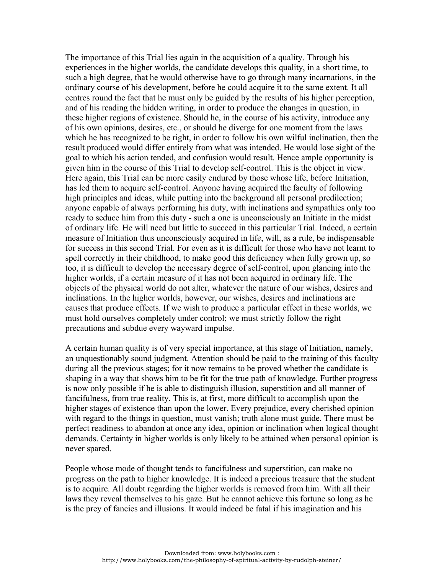The importance of this Trial lies again in the acquisition of a quality. Through his experiences in the higher worlds, the candidate develops this quality, in a short time, to such a high degree, that he would otherwise have to go through many incarnations, in the ordinary course of his development, before he could acquire it to the same extent. It all centres round the fact that he must only be guided by the results of his higher perception, and of his reading the hidden writing, in order to produce the changes in question, in these higher regions of existence. Should he, in the course of his activity, introduce any of his own opinions, desires, etc., or should he diverge for one moment from the laws which he has recognized to be right, in order to follow his own wilful inclination, then the result produced would differ entirely from what was intended. He would lose sight of the goal to which his action tended, and confusion would result. Hence ample opportunity is given him in the course of this Trial to develop self-control. This is the object in view. Here again, this Trial can be more easily endured by those whose life, before Initiation, has led them to acquire self-control. Anyone having acquired the faculty of following high principles and ideas, while putting into the background all personal predilection; anyone capable of always performing his duty, with inclinations and sympathies only too ready to seduce him from this duty - such a one is unconsciously an Initiate in the midst of ordinary life. He will need but little to succeed in this particular Trial. Indeed, a certain measure of Initiation thus unconsciously acquired in life, will, as a rule, be indispensable for success in this second Trial. For even as it is difficult for those who have not learnt to spell correctly in their childhood, to make good this deficiency when fully grown up, so too, it is difficult to develop the necessary degree of self-control, upon glancing into the higher worlds, if a certain measure of it has not been acquired in ordinary life. The objects of the physical world do not alter, whatever the nature of our wishes, desires and inclinations. In the higher worlds, however, our wishes, desires and inclinations are causes that produce effects. If we wish to produce a particular effect in these worlds, we must hold ourselves completely under control; we must strictly follow the right precautions and subdue every wayward impulse.

A certain human quality is of very special importance, at this stage of Initiation, namely, an unquestionably sound judgment. Attention should be paid to the training of this faculty during all the previous stages; for it now remains to be proved whether the candidate is shaping in a way that shows him to be fit for the true path of knowledge. Further progress is now only possible if he is able to distinguish illusion, superstition and all manner of fancifulness, from true reality. This is, at first, more difficult to accomplish upon the higher stages of existence than upon the lower. Every prejudice, every cherished opinion with regard to the things in question, must vanish; truth alone must guide. There must be perfect readiness to abandon at once any idea, opinion or inclination when logical thought demands. Certainty in higher worlds is only likely to be attained when personal opinion is never spared.

People whose mode of thought tends to fancifulness and superstition, can make no progress on the path to higher knowledge. It is indeed a precious treasure that the student is to acquire. All doubt regarding the higher worlds is removed from him. With all their laws they reveal themselves to his gaze. But he cannot achieve this fortune so long as he is the prey of fancies and illusions. It would indeed be fatal if his imagination and his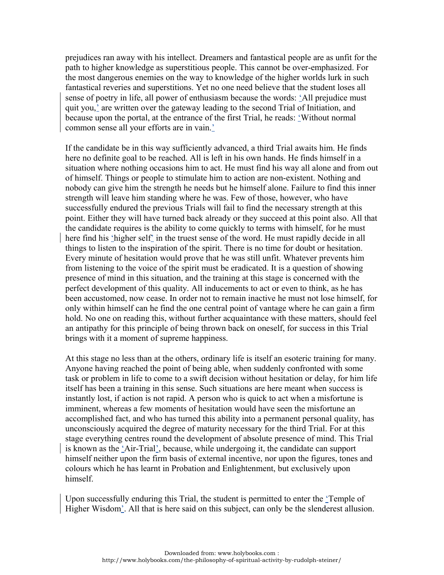prejudices ran away with his intellect. Dreamers and fantastical people are as unfit for the path to higher knowledge as superstitious people. This cannot be over-emphasized. For the most dangerous enemies on the way to knowledge of the higher worlds lurk in such fantastical reveries and superstitions. Yet no one need believe that the student loses all sense of poetry in life, all power of enthusiasm because the words: 'All prejudice must quit you,' are written over the gateway leading to the second Trial of Initiation, and because upon the portal, at the entrance of the first Trial, he reads: 'Without normal common sense all your efforts are in vain.'

If the candidate be in this way sufficiently advanced, a third Trial awaits him. He finds here no definite goal to be reached. All is left in his own hands. He finds himself in a situation where nothing occasions him to act. He must find his way all alone and from out of himself. Things or people to stimulate him to action are non-existent. Nothing and nobody can give him the strength he needs but he himself alone. Failure to find this inner strength will leave him standing where he was. Few of those, however, who have successfully endured the previous Trials will fail to find the necessary strength at this point. Either they will have turned back already or they succeed at this point also. All that the candidate requires is the ability to come quickly to terms with himself, for he must here find his 'higher self' in the truest sense of the word. He must rapidly decide in all things to listen to the inspiration of the spirit. There is no time for doubt or hesitation. Every minute of hesitation would prove that he was still unfit. Whatever prevents him from listening to the voice of the spirit must be eradicated. It is a question of showing presence of mind in this situation, and the training at this stage is concerned with the perfect development of this quality. All inducements to act or even to think, as he has been accustomed, now cease. In order not to remain inactive he must not lose himself, for only within himself can he find the one central point of vantage where he can gain a firm hold. No one on reading this, without further acquaintance with these matters, should feel an antipathy for this principle of being thrown back on oneself, for success in this Trial brings with it a moment of supreme happiness.

At this stage no less than at the others, ordinary life is itself an esoteric training for many. Anyone having reached the point of being able, when suddenly confronted with some task or problem in life to come to a swift decision without hesitation or delay, for him life itself has been a training in this sense. Such situations are here meant when success is instantly lost, if action is not rapid. A person who is quick to act when a misfortune is imminent, whereas a few moments of hesitation would have seen the misfortune an accomplished fact, and who has turned this ability into a permanent personal quality, has unconsciously acquired the degree of maturity necessary for the third Trial. For at this stage everything centres round the development of absolute presence of mind. This Trial is known as the 'Air-Trial', because, while undergoing it, the candidate can support himself neither upon the firm basis of external incentive, nor upon the figures, tones and colours which he has learnt in Probation and Enlightenment, but exclusively upon himself.

Upon successfully enduring this Trial, the student is permitted to enter the 'Temple of Higher Wisdom'. All that is here said on this subject, can only be the slenderest allusion.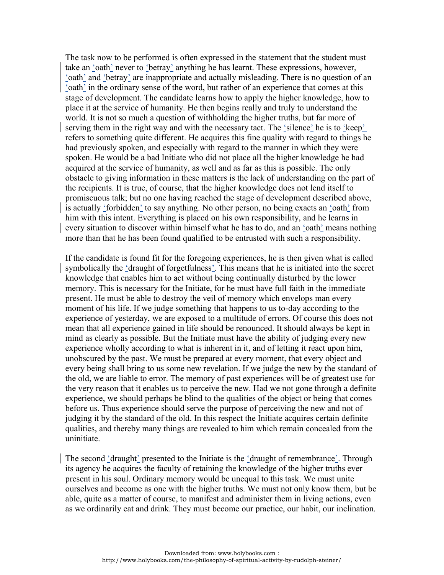The task now to be performed is often expressed in the statement that the student must take an 'oath' never to 'betray' anything he has learnt. These expressions, however, 'oath' and 'betray' are inappropriate and actually misleading. There is no question of an 'oath' in the ordinary sense of the word, but rather of an experience that comes at this stage of development. The candidate learns how to apply the higher knowledge, how to place it at the service of humanity. He then begins really and truly to understand the world. It is not so much a question of withholding the higher truths, but far more of serving them in the right way and with the necessary tact. The 'silence' he is to 'keep' refers to something quite different. He acquires this fine quality with regard to things he had previously spoken, and especially with regard to the manner in which they were spoken. He would be a bad Initiate who did not place all the higher knowledge he had acquired at the service of humanity, as well and as far as this is possible. The only obstacle to giving information in these matters is the lack of understanding on the part of the recipients. It is true, of course, that the higher knowledge does not lend itself to promiscuous talk; but no one having reached the stage of development described above, is actually 'forbidden' to say anything. No other person, no being exacts an 'oath' from him with this intent. Everything is placed on his own responsibility, and he learns in every situation to discover within himself what he has to do, and an 'oath' means nothing more than that he has been found qualified to be entrusted with such a responsibility.

If the candidate is found fit for the foregoing experiences, he is then given what is called symbolically the 'draught of forgetfulness'. This means that he is initiated into the secret knowledge that enables him to act without being continually disturbed by the lower memory. This is necessary for the Initiate, for he must have full faith in the immediate present. He must be able to destroy the veil of memory which envelops man every moment of his life. If we judge something that happens to us to-day according to the experience of yesterday, we are exposed to a multitude of errors. Of course this does not mean that all experience gained in life should be renounced. It should always be kept in mind as clearly as possible. But the Initiate must have the ability of judging every new experience wholly according to what is inherent in it, and of letting it react upon him, unobscured by the past. We must be prepared at every moment, that every object and every being shall bring to us some new revelation. If we judge the new by the standard of the old, we are liable to error. The memory of past experiences will be of greatest use for the very reason that it enables us to perceive the new. Had we not gone through a definite experience, we should perhaps be blind to the qualities of the object or being that comes before us. Thus experience should serve the purpose of perceiving the new and not of judging it by the standard of the old. In this respect the Initiate acquires certain definite qualities, and thereby many things are revealed to him which remain concealed from the uninitiate.

The second 'draught' presented to the Initiate is the 'draught of remembrance'. Through its agency he acquires the faculty of retaining the knowledge of the higher truths ever present in his soul. Ordinary memory would be unequal to this task. We must unite ourselves and become as one with the higher truths. We must not only know them, but be able, quite as a matter of course, to manifest and administer them in living actions, even as we ordinarily eat and drink. They must become our practice, our habit, our inclination.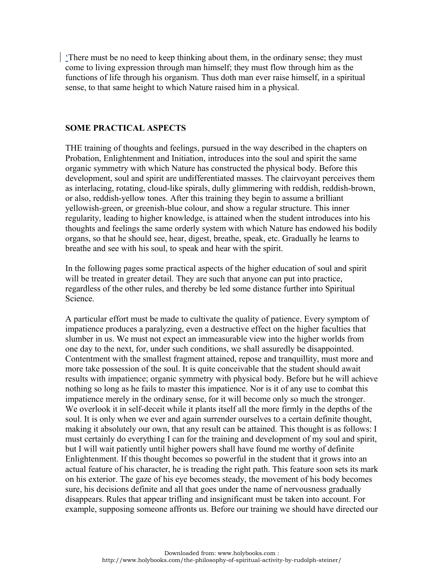'There must be no need to keep thinking about them, in the ordinary sense; they must come to living expression through man himself; they must flow through him as the functions of life through his organism. Thus doth man ever raise himself, in a spiritual sense, to that same height to which Nature raised him in a physical.

### **SOME PRACTICAL ASPECTS**

THE training of thoughts and feelings, pursued in the way described in the chapters on Probation, Enlightenment and Initiation, introduces into the soul and spirit the same organic symmetry with which Nature has constructed the physical body. Before this development, soul and spirit are undifferentiated masses. The clairvoyant perceives them as interlacing, rotating, cloud-like spirals, dully glimmering with reddish, reddish-brown, or also, reddish-yellow tones. After this training they begin to assume a brilliant yellowish-green, or greenish-blue colour, and show a regular structure. This inner regularity, leading to higher knowledge, is attained when the student introduces into his thoughts and feelings the same orderly system with which Nature has endowed his bodily organs, so that he should see, hear, digest, breathe, speak, etc. Gradually he learns to breathe and see with his soul, to speak and hear with the spirit.

In the following pages some practical aspects of the higher education of soul and spirit will be treated in greater detail. They are such that anyone can put into practice, regardless of the other rules, and thereby be led some distance further into Spiritual Science.

A particular effort must be made to cultivate the quality of patience. Every symptom of impatience produces a paralyzing, even a destructive effect on the higher faculties that slumber in us. We must not expect an immeasurable view into the higher worlds from one day to the next, for, under such conditions, we shall assuredly be disappointed. Contentment with the smallest fragment attained, repose and tranquillity, must more and more take possession of the soul. It is quite conceivable that the student should await results with impatience; organic symmetry with physical body. Before but he will achieve nothing so long as he fails to master this impatience. Nor is it of any use to combat this impatience merely in the ordinary sense, for it will become only so much the stronger. We overlook it in self-deceit while it plants itself all the more firmly in the depths of the soul. It is only when we ever and again surrender ourselves to a certain definite thought, making it absolutely our own, that any result can be attained. This thought is as follows: I must certainly do everything I can for the training and development of my soul and spirit, but I will wait patiently until higher powers shall have found me worthy of definite Enlightenment. If this thought becomes so powerful in the student that it grows into an actual feature of his character, he is treading the right path. This feature soon sets its mark on his exterior. The gaze of his eye becomes steady, the movement of his body becomes sure, his decisions definite and all that goes under the name of nervousness gradually disappears. Rules that appear trifling and insignificant must be taken into account. For example, supposing someone affronts us. Before our training we should have directed our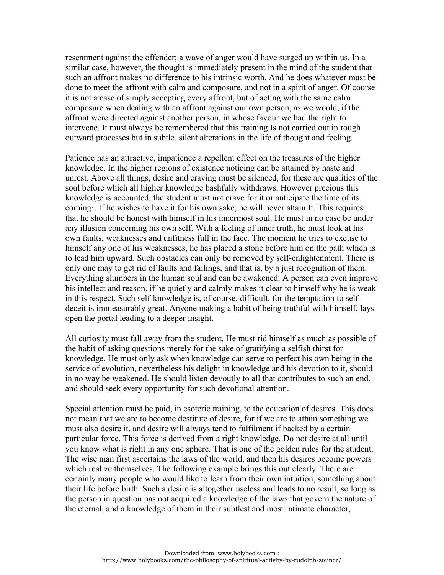resentment against the offender; a wave of anger would have surged up within us. In a similar case, however, the thought is immediately present in the mind of the student that such an affront makes no difference to his intrinsic worth. And he does whatever must be done to meet the affront with calm and composure, and not in a spirit of anger. Of course it is not a case of simply accepting every affront, but of acting with the same calm composure when dealing with an affront against our own person, as we would, if the affront were directed against another person, in whose favour we had the right to intervene. It must always be remembered that this training Is not carried out in rough outward processes but in subtle, silent alterations in the life of thought and feeling.

Patience has an attractive, impatience a repellent effect on the treasures of the higher knowledge. In the higher regions of existence noticing can be attained by haste and unrest. Above all things, desire and craving must be silenced, for these are qualities of the soul before which all higher knowledge bashfully withdraws. However precious this knowledge is accounted, the student must not crave for it or anticipate the time of its coming·. If he wishes to have it for his own sake, he will never attain It. This requires that he should be honest with himself in his innermost soul. He must in no case be under any illusion concerning his own self. With a feeling of inner truth, he must look at his own faults, weaknesses and unfitness full in the face. The moment he tries to excuse to himself any one of his weaknesses, he has placed a stone before him on the path which is to lead him upward. Such obstacles can only be removed by self-enlightenment. There is only one may to get rid of faults and failings, and that is, by a just recognition of them. Everything slumbers in the human soul and can be awakened. A person can even improve his intellect and reason, if he quietly and calmly makes it clear to himself why he is weak in this respect. Such self-knowledge is, of course, difficult, for the temptation to selfdeceit is immeasurably great. Anyone making a habit of being truthful with himself, lays open the portal leading to a deeper insight.

All curiosity must fall away from the student. He must rid himself as much as possible of the habit of asking questions merely for the sake of gratifying a selfish thirst for knowledge. He must only ask when knowledge can serve to perfect his own being in the service of evolution, nevertheless his delight in knowledge and his devotion to it, should in no way be weakened. He should listen devoutly to all that contributes to such an end, and should seek every opportunity for such devotional attention.

Special attention must be paid, in esoteric training, to the education of desires. This does not mean that we are to become destitute of desire, for if we are to attain something we must also desire it, and desire will always tend to fulfilment if backed by a certain particular force. This force is derived from a right knowledge. Do not desire at all until you know what is right in any one sphere. That is one of the golden rules for the student. The wise man first ascertains the laws of the world, and then his desires become powers which realize themselves. The following example brings this out clearly. There are certainly many people who would like to learn from their own intuition, something about their life before birth. Such a desire is altogether useless and leads to no result, so long as the person in question has not acquired a knowledge of the laws that govern the nature of the eternal, and a knowledge of them in their subtlest and most intimate character,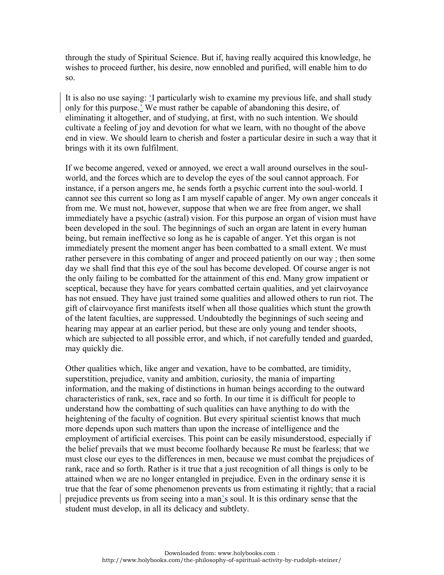through the study of Spiritual Science. But if, having really acquired this knowledge, he wishes to proceed further, his desire, now ennobled and purified, will enable him to do so.

It is also no use saying: 'I particularly wish to examine my previous life, and shall study only for this purpose.' We must rather be capable of abandoning this desire, of eliminating it altogether, and of studying, at first, with no such intention. We should cultivate a feeling of joy and devotion for what we learn, with no thought of the above end in view. We should learn to cherish and foster a particular desire in such a way that it brings with it its own fulfilment.

If we become angered, vexed or annoyed, we erect a wall around ourselves in the soulworld, and the forces which are to develop the eyes of the soul cannot approach. For instance, if a person angers me, he sends forth a psychic current into the soul-world. I cannot see this current so long as I am myself capable of anger. My own anger conceals it from me. We must not, however, suppose that when we are free from anger, we shall immediately have a psychic (astral) vision. For this purpose an organ of vision must have been developed in the soul. The beginnings of such an organ are latent in every human being, but remain ineffective so long as he is capable of anger. Yet this organ is not immediately present the moment anger has been combatted to a small extent. We must rather persevere in this combating of anger and proceed patiently on our way ; then some day we shall find that this eye of the soul has become developed. Of course anger is not the only failing to be combatted for the attainment of this end. Many grow impatient or sceptical, because they have for years combatted certain qualities, and yet clairvoyance has not ensued. They have just trained some qualities and allowed others to run riot. The gift of clairvoyance first manifests itself when all those qualities which stunt the growth of the latent faculties, are suppressed. Undoubtedly the beginnings of such seeing and hearing may appear at an earlier period, but these are only young and tender shoots, which are subjected to all possible error, and which, if not carefully tended and guarded, may quickly die.

Other qualities which, like anger and vexation, have to be combatted, are timidity, superstition, prejudice, vanity and ambition, curiosity, the mania of imparting information, and the making of distinctions in human beings according to the outward characteristics of rank, sex, race and so forth. In our time it is difficult for people to understand how the combatting of such qualities can have anything to do with the heightening of the faculty of cognition. But every spiritual scientist knows that much more depends upon such matters than upon the increase of intelligence and the employment of artificial exercises. This point can be easily misunderstood, especially if the belief prevails that we must become foolhardy because Re must be fearless; that we must close our eyes to the differences in men, because we must combat the prejudices of rank, race and so forth. Rather is it true that a just recognition of all things is only to be attained when we are no longer entangled in prejudice. Even in the ordinary sense it is true that the fear of some phenomenon prevents us from estimating it rightly; that a racial prejudice prevents us from seeing into a man's soul. It is this ordinary sense that the student must develop, in all its delicacy and subtlety.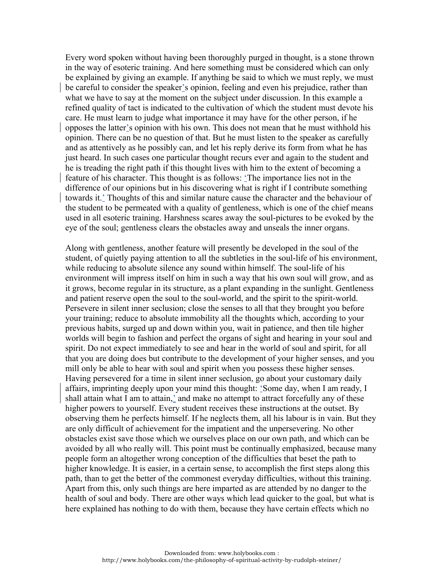Every word spoken without having been thoroughly purged in thought, is a stone thrown in the way of esoteric training. And here something must be considered which can only be explained by giving an example. If anything be said to which we must reply, we must be careful to consider the speaker's opinion, feeling and even his prejudice, rather than what we have to say at the moment on the subject under discussion. In this example a refined quality of tact is indicated to the cultivation of which the student must devote his care. He must learn to judge what importance it may have for the other person, if he opposes the latter's opinion with his own. This does not mean that he must withhold his opinion. There can be no question of that. But he must listen to the speaker as carefully and as attentively as he possibly can, and let his reply derive its form from what he has just heard. In such cases one particular thought recurs ever and again to the student and he is treading the right path if this thought lives with him to the extent of becoming a feature of his character. This thought is as follows: 'The importance lies not in the difference of our opinions but in his discovering what is right if I contribute something towards it.' Thoughts of this and similar nature cause the character and the behaviour of the student to be permeated with a quality of gentleness, which is one of the chief means used in all esoteric training. Harshness scares away the soul-pictures to be evoked by the eye of the soul; gentleness clears the obstacles away and unseals the inner organs.

Along with gentleness, another feature will presently be developed in the soul of the student, of quietly paying attention to all the subtleties in the soul-life of his environment, while reducing to absolute silence any sound within himself. The soul-life of his environment will impress itself on him in such a way that his own soul will grow, and as it grows, become regular in its structure, as a plant expanding in the sunlight. Gentleness and patient reserve open the soul to the soul-world, and the spirit to the spirit-world. Persevere in silent inner seclusion; close the senses to all that they brought you before your training; reduce to absolute immobility all the thoughts which, according to your previous habits, surged up and down within you, wait in patience, and then tile higher worlds will begin to fashion and perfect the organs of sight and hearing in your soul and spirit. Do not expect immediately to see and hear in the world of soul and spirit, for all that you are doing does but contribute to the development of your higher senses, and you mill only be able to hear with soul and spirit when you possess these higher senses. Having persevered for a time in silent inner seclusion, go about your customary daily affairs, imprinting deeply upon your mind this thought: 'Some day, when I am ready, I shall attain what I am to attain,' and make no attempt to attract forcefully any of these higher powers to yourself. Every student receives these instructions at the outset. By observing them he perfects himself. If he neglects them, all his labour is in vain. But they are only difficult of achievement for the impatient and the unpersevering. No other obstacles exist save those which we ourselves place on our own path, and which can be avoided by all who really will. This point must be continually emphasized, because many people form an altogether wrong conception of the difficulties that beset the path to higher knowledge. It is easier, in a certain sense, to accomplish the first steps along this path, than to get the better of the commonest everyday difficulties, without this training. Apart from this, only such things are here imparted as are attended by no danger to the health of soul and body. There are other ways which lead quicker to the goal, but what is here explained has nothing to do with them, because they have certain effects which no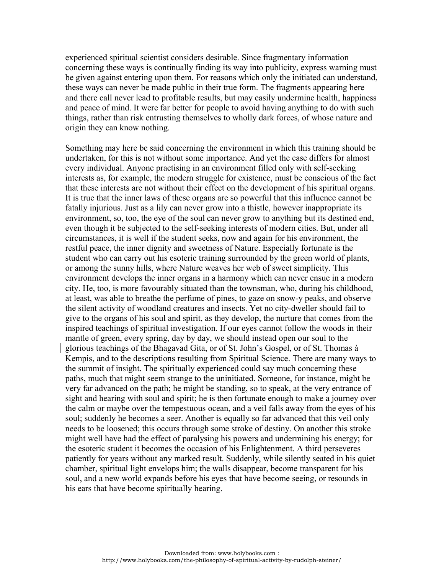experienced spiritual scientist considers desirable. Since fragmentary information concerning these ways is continually finding its way into publicity, express warning must be given against entering upon them. For reasons which only the initiated can understand, these ways can never be made public in their true form. The fragments appearing here and there call never lead to profitable results, but may easily undermine health, happiness and peace of mind. It were far better for people to avoid having anything to do with such things, rather than risk entrusting themselves to wholly dark forces, of whose nature and origin they can know nothing.

Something may here be said concerning the environment in which this training should be undertaken, for this is not without some importance. And yet the case differs for almost every individual. Anyone practising in an environment filled only with self-seeking interests as, for example, the modern struggle for existence, must be conscious of the fact that these interests are not without their effect on the development of his spiritual organs. It is true that the inner laws of these organs are so powerful that this influence cannot be fatally injurious. Just as a lily can never grow into a thistle, however inappropriate its environment, so, too, the eye of the soul can never grow to anything but its destined end, even though it be subjected to the self-seeking interests of modern cities. But, under all circumstances, it is well if the student seeks, now and again for his environment, the restful peace, the inner dignity and sweetness of Nature. Especially fortunate is the student who can carry out his esoteric training surrounded by the green world of plants, or among the sunny hills, where Nature weaves her web of sweet simplicity. This environment develops the inner organs in a harmony which can never ensue in a modern city. He, too, is more favourably situated than the townsman, who, during his childhood, at least, was able to breathe the perfume of pines, to gaze on snow-y peaks, and observe the silent activity of woodland creatures and insects. Yet no city-dweller should fail to give to the organs of his soul and spirit, as they develop, the nurture that comes from the inspired teachings of spiritual investigation. If our eyes cannot follow the woods in their mantle of green, every spring, day by day, we should instead open our soul to the glorious teachings of the Bhagavad Gita, or of St. John's Gospel, or of St. Thomas à Kempis, and to the descriptions resulting from Spiritual Science. There are many ways to the summit of insight. The spiritually experienced could say much concerning these paths, much that might seem strange to the uninitiated. Someone, for instance, might be very far advanced on the path; he might be standing, so to speak, at the very entrance of sight and hearing with soul and spirit; he is then fortunate enough to make a journey over the calm or maybe over the tempestuous ocean, and a veil falls away from the eyes of his soul; suddenly he becomes a seer. Another is equally so far advanced that this veil only needs to be loosened; this occurs through some stroke of destiny. On another this stroke might well have had the effect of paralysing his powers and undermining his energy; for the esoteric student it becomes the occasion of his Enlightenment. A third perseveres patiently for years without any marked result. Suddenly, while silently seated in his quiet chamber, spiritual light envelops him; the walls disappear, become transparent for his soul, and a new world expands before his eyes that have become seeing, or resounds in his ears that have become spiritually hearing.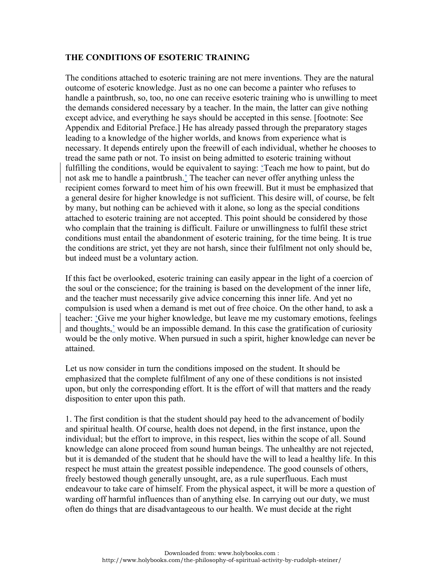## **THE CONDITIONS OF ESOTERIC TRAINING**

The conditions attached to esoteric training are not mere inventions. They are the natural outcome of esoteric knowledge. Just as no one can become a painter who refuses to handle a paintbrush, so, too, no one can receive esoteric training who is unwilling to meet the demands considered necessary by a teacher. In the main, the latter can give nothing except advice, and everything he says should be accepted in this sense. [footnote: See Appendix and Editorial Preface.] He has already passed through the preparatory stages leading to a knowledge of the higher worlds, and knows from experience what is necessary. It depends entirely upon the freewill of each individual, whether he chooses to tread the same path or not. To insist on being admitted to esoteric training without fulfilling the conditions, would be equivalent to saying: 'Teach me how to paint, but do not ask me to handle a paintbrush.' The teacher can never offer anything unless the recipient comes forward to meet him of his own freewill. But it must be emphasized that a general desire for higher knowledge is not sufficient. This desire will, of course, be felt by many, but nothing can be achieved with it alone, so long as the special conditions attached to esoteric training are not accepted. This point should be considered by those who complain that the training is difficult. Failure or unwillingness to fulfil these strict conditions must entail the abandonment of esoteric training, for the time being. It is true the conditions are strict, yet they are not harsh, since their fulfilment not only should be, but indeed must be a voluntary action.

If this fact be overlooked, esoteric training can easily appear in the light of a coercion of the soul or the conscience; for the training is based on the development of the inner life, and the teacher must necessarily give advice concerning this inner life. And yet no compulsion is used when a demand is met out of free choice. On the other hand, to ask a teacher: 'Give me your higher knowledge, but leave me my customary emotions, feelings and thoughts,' would be an impossible demand. In this case the gratification of curiosity would be the only motive. When pursued in such a spirit, higher knowledge can never be attained.

Let us now consider in turn the conditions imposed on the student. It should be emphasized that the complete fulfilment of any one of these conditions is not insisted upon, but only the corresponding effort. It is the effort of will that matters and the ready disposition to enter upon this path.

1. The first condition is that the student should pay heed to the advancement of bodily and spiritual health. Of course, health does not depend, in the first instance, upon the individual; but the effort to improve, in this respect, lies within the scope of all. Sound knowledge can alone proceed from sound human beings. The unhealthy are not rejected, but it is demanded of the student that he should have the will to lead a healthy life. In this respect he must attain the greatest possible independence. The good counsels of others, freely bestowed though generally unsought, are, as a rule superfluous. Each must endeavour to take care of himself. From the physical aspect, it will be more a question of warding off harmful influences than of anything else. In carrying out our duty, we must often do things that are disadvantageous to our health. We must decide at the right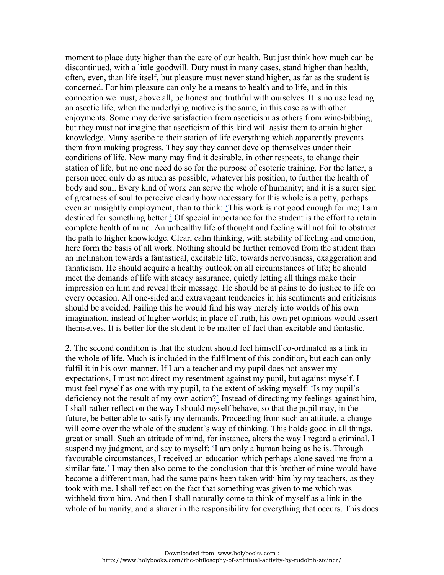moment to place duty higher than the care of our health. But just think how much can be discontinued, with a little goodwill. Duty must in many cases, stand higher than health, often, even, than life itself, but pleasure must never stand higher, as far as the student is concerned. For him pleasure can only be a means to health and to life, and in this connection we must, above all, be honest and truthful with ourselves. It is no use leading an ascetic life, when the underlying motive is the same, in this case as with other enjoyments. Some may derive satisfaction from asceticism as others from wine-bibbing, but they must not imagine that asceticism of this kind will assist them to attain higher knowledge. Many ascribe to their station of life everything which apparently prevents them from making progress. They say they cannot develop themselves under their conditions of life. Now many may find it desirable, in other respects, to change their station of life, but no one need do so for the purpose of esoteric training. For the latter, a person need only do as much as possible, whatever his position, to further the health of body and soul. Every kind of work can serve the whole of humanity; and it is a surer sign of greatness of soul to perceive clearly how necessary for this whole is a petty, perhaps even an unsightly employment, than to think: 'This work is not good enough for me; I am destined for something better.' Of special importance for the student is the effort to retain complete health of mind. An unhealthy life of thought and feeling will not fail to obstruct the path to higher knowledge. Clear, calm thinking, with stability of feeling and emotion, here form the basis of all work. Nothing should be further removed from the student than an inclination towards a fantastical, excitable life, towards nervousness, exaggeration and fanaticism. He should acquire a healthy outlook on all circumstances of life; he should meet the demands of life with steady assurance, quietly letting all things make their impression on him and reveal their message. He should be at pains to do justice to life on every occasion. All one-sided and extravagant tendencies in his sentiments and criticisms should be avoided. Failing this he would find his way merely into worlds of his own imagination, instead of higher worlds; in place of truth, his own pet opinions would assert themselves. It is better for the student to be matter-of-fact than excitable and fantastic.

2. The second condition is that the student should feel himself co-ordinated as a link in the whole of life. Much is included in the fulfilment of this condition, but each can only fulfil it in his own manner. If I am a teacher and my pupil does not answer my expectations, I must not direct my resentment against my pupil, but against myself. I must feel myself as one with my pupil, to the extent of asking myself: 'Is my pupil's deficiency not the result of my own action?' Instead of directing my feelings against him, I shall rather reflect on the way I should myself behave, so that the pupil may, in the future, be better able to satisfy my demands. Proceeding from such an attitude, a change will come over the whole of the student's way of thinking. This holds good in all things, great or small. Such an attitude of mind, for instance, alters the way I regard a criminal. I suspend my judgment, and say to myself: 'I am only a human being as he is. Through favourable circumstances, I received an education which perhaps alone saved me from a similar fate.' I may then also come to the conclusion that this brother of mine would have become a different man, had the same pains been taken with him by my teachers, as they took with me. I shall reflect on the fact that something was given to me which was withheld from him. And then I shall naturally come to think of myself as a link in the whole of humanity, and a sharer in the responsibility for everything that occurs. This does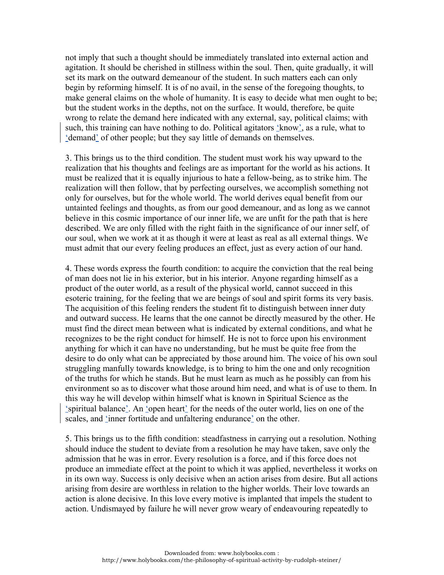not imply that such a thought should be immediately translated into external action and agitation. It should be cherished in stillness within the soul. Then, quite gradually, it will set its mark on the outward demeanour of the student. In such matters each can only begin by reforming himself. It is of no avail, in the sense of the foregoing thoughts, to make general claims on the whole of humanity. It is easy to decide what men ought to be; but the student works in the depths, not on the surface. It would, therefore, be quite wrong to relate the demand here indicated with any external, say, political claims; with such, this training can have nothing to do. Political agitators 'know', as a rule, what to 'demand' of other people; but they say little of demands on themselves.

3. This brings us to the third condition. The student must work his way upward to the realization that his thoughts and feelings are as important for the world as his actions. It must be realized that it is equally injurious to hate a fellow-being, as to strike him. The realization will then follow, that by perfecting ourselves, we accomplish something not only for ourselves, but for the whole world. The world derives equal benefit from our untainted feelings and thoughts, as from our good demeanour, and as long as we cannot believe in this cosmic importance of our inner life, we are unfit for the path that is here described. We are only filled with the right faith in the significance of our inner self, of our soul, when we work at it as though it were at least as real as all external things. We must admit that our every feeling produces an effect, just as every action of our hand.

4. These words express the fourth condition: to acquire the conviction that the real being of man does not lie in his exterior, but in his interior. Anyone regarding himself as a product of the outer world, as a result of the physical world, cannot succeed in this esoteric training, for the feeling that we are beings of soul and spirit forms its very basis. The acquisition of this feeling renders the student fit to distinguish between inner duty and outward success. He learns that the one cannot be directly measured by the other. He must find the direct mean between what is indicated by external conditions, and what he recognizes to be the right conduct for himself. He is not to force upon his environment anything for which it can have no understanding, but he must be quite free from the desire to do only what can be appreciated by those around him. The voice of his own soul struggling manfully towards knowledge, is to bring to him the one and only recognition of the truths for which he stands. But he must learn as much as he possibly can from his environment so as to discover what those around him need, and what is of use to them. In this way he will develop within himself what is known in Spiritual Science as the 'spiritual balance'. An 'open heart' for the needs of the outer world, lies on one of the scales, and 'inner fortitude and unfaltering endurance' on the other.

5. This brings us to the fifth condition: steadfastness in carrying out a resolution. Nothing should induce the student to deviate from a resolution he may have taken, save only the admission that he was in error. Every resolution is a force, and if this force does not produce an immediate effect at the point to which it was applied, nevertheless it works on in its own way. Success is only decisive when an action arises from desire. But all actions arising from desire are worthless in relation to the higher worlds. Their love towards an action is alone decisive. In this love every motive is implanted that impels the student to action. Undismayed by failure he will never grow weary of endeavouring repeatedly to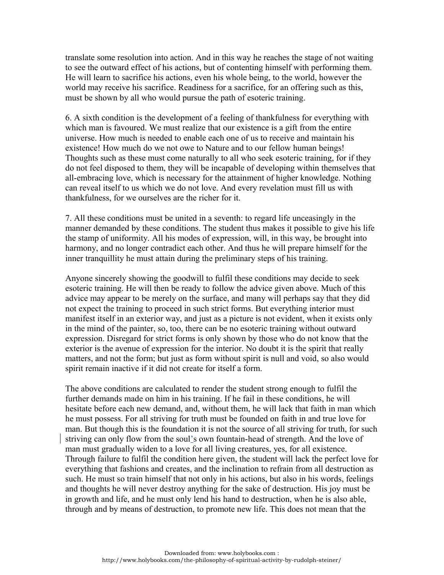translate some resolution into action. And in this way he reaches the stage of not waiting to see the outward effect of his actions, but of contenting himself with performing them. He will learn to sacrifice his actions, even his whole being, to the world, however the world may receive his sacrifice. Readiness for a sacrifice, for an offering such as this, must be shown by all who would pursue the path of esoteric training.

6. A sixth condition is the development of a feeling of thankfulness for everything with which man is favoured. We must realize that our existence is a gift from the entire universe. How much is needed to enable each one of us to receive and maintain his existence! How much do we not owe to Nature and to our fellow human beings! Thoughts such as these must come naturally to all who seek esoteric training, for if they do not feel disposed to them, they will be incapable of developing within themselves that all-embracing love, which is necessary for the attainment of higher knowledge. Nothing can reveal itself to us which we do not love. And every revelation must fill us with thankfulness, for we ourselves are the richer for it.

7. All these conditions must be united in a seventh: to regard life unceasingly in the manner demanded by these conditions. The student thus makes it possible to give his life the stamp of uniformity. All his modes of expression, will, in this way, be brought into harmony, and no longer contradict each other. And thus he will prepare himself for the inner tranquillity he must attain during the preliminary steps of his training.

Anyone sincerely showing the goodwill to fulfil these conditions may decide to seek esoteric training. He will then be ready to follow the advice given above. Much of this advice may appear to be merely on the surface, and many will perhaps say that they did not expect the training to proceed in such strict forms. But everything interior must manifest itself in an exterior way, and just as a picture is not evident, when it exists only in the mind of the painter, so, too, there can be no esoteric training without outward expression. Disregard for strict forms is only shown by those who do not know that the exterior is the avenue of expression for the interior. No doubt it is the spirit that really matters, and not the form; but just as form without spirit is null and void, so also would spirit remain inactive if it did not create for itself a form.

The above conditions are calculated to render the student strong enough to fulfil the further demands made on him in his training. If he fail in these conditions, he will hesitate before each new demand, and, without them, he will lack that faith in man which he must possess. For all striving for truth must be founded on faith in and true love for man. But though this is the foundation it is not the source of all striving for truth, for such striving can only flow from the soul's own fountain-head of strength. And the love of man must gradually widen to a love for all living creatures, yes, for all existence. Through failure to fulfil the condition here given, the student will lack the perfect love for everything that fashions and creates, and the inclination to refrain from all destruction as such. He must so train himself that not only in his actions, but also in his words, feelings and thoughts he will never destroy anything for the sake of destruction. His joy must be in growth and life, and he must only lend his hand to destruction, when he is also able, through and by means of destruction, to promote new life. This does not mean that the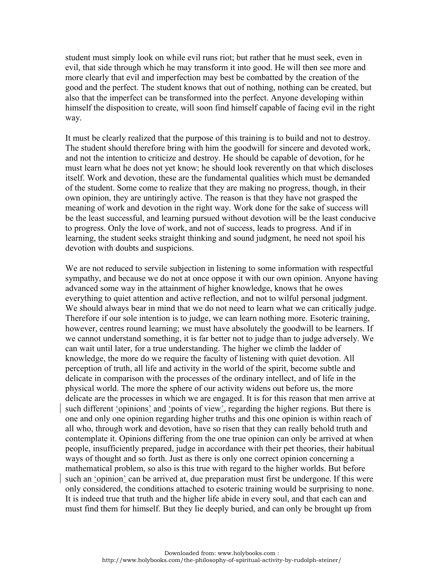student must simply look on while evil runs riot; but rather that he must seek, even in evil, that side through which he may transform it into good. He will then see more and more clearly that evil and imperfection may best be combatted by the creation of the good and the perfect. The student knows that out of nothing, nothing can be created, but also that the imperfect can be transformed into the perfect. Anyone developing within himself the disposition to create, will soon find himself capable of facing evil in the right way.

It must be clearly realized that the purpose of this training is to build and not to destroy. The student should therefore bring with him the goodwill for sincere and devoted work, and not the intention to criticize and destroy. He should be capable of devotion, for he must learn what he does not yet know; he should look reverently on that which discloses itself. Work and devotion, these are the fundamental qualities which must be demanded of the student. Some come to realize that they are making no progress, though, in their own opinion, they are untiringly active. The reason is that they have not grasped the meaning of work and devotion in the right way. Work done for the sake of success will be the least successful, and learning pursued without devotion will be the least conducive to progress. Only the love of work, and not of success, leads to progress. And if in learning, the student seeks straight thinking and sound judgment, he need not spoil his devotion with doubts and suspicions.

We are not reduced to servile subjection in listening to some information with respectful sympathy, and because we do not at once oppose it with our own opinion. Anyone having advanced some way in the attainment of higher knowledge, knows that he owes everything to quiet attention and active reflection, and not to wilful personal judgment. We should always bear in mind that we do not need to learn what we can critically judge. Therefore if our sole intention is to judge, we can learn nothing more. Esoteric training, however, centres round learning; we must have absolutely the goodwill to be learners. If we cannot understand something, it is far better not to judge than to judge adversely. We can wait until later, for a true understanding. The higher we climb the ladder of knowledge, the more do we require the faculty of listening with quiet devotion. All perception of truth, all life and activity in the world of the spirit, become subtle and delicate in comparison with the processes of the ordinary intellect, and of life in the physical world. The more the sphere of our activity widens out before us, the more delicate are the processes in which we are engaged. It is for this reason that men arrive at such different 'opinions' and 'points of view', regarding the higher regions. But there is one and only one opinion regarding higher truths and this one opinion is within reach of all who, through work and devotion, have so risen that they can really behold truth and contemplate it. Opinions differing from the one true opinion can only be arrived at when people, insufficiently prepared, judge in accordance with their pet theories, their habitual ways of thought and so forth. Just as there is only one correct opinion concerning a mathematical problem, so also is this true with regard to the higher worlds. But before such an 'opinion' can be arrived at, due preparation must first be undergone. If this were only considered, the conditions attached to esoteric training would be surprising to none. It is indeed true that truth and the higher life abide in every soul, and that each can and must find them for himself. But they lie deeply buried, and can only be brought up from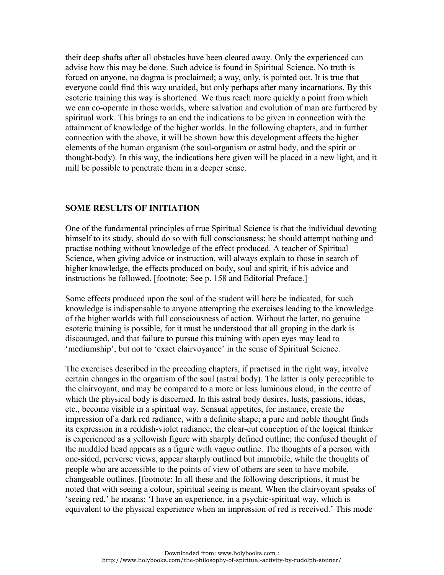their deep shafts after all obstacles have been cleared away. Only the experienced can advise how this may be done. Such advice is found in Spiritual Science. No truth is forced on anyone, no dogma is proclaimed; a way, only, is pointed out. It is true that everyone could find this way unaided, but only perhaps after many incarnations. By this esoteric training this way is shortened. We thus reach more quickly a point from which we can co-operate in those worlds, where salvation and evolution of man are furthered by spiritual work. This brings to an end the indications to be given in connection with the attainment of knowledge of the higher worlds. In the following chapters, and in further connection with the above, it will be shown how this development affects the higher elements of the human organism (the soul-organism or astral body, and the spirit or thought-body). In this way, the indications here given will be placed in a new light, and it mill be possible to penetrate them in a deeper sense.

## **SOME RESULTS OF INITIATION**

One of the fundamental principles of true Spiritual Science is that the individual devoting himself to its study, should do so with full consciousness; he should attempt nothing and practise nothing without knowledge of the effect produced. A teacher of Spiritual Science, when giving advice or instruction, will always explain to those in search of higher knowledge, the effects produced on body, soul and spirit, if his advice and instructions be followed. [footnote: See p. 158 and Editorial Preface.]

Some effects produced upon the soul of the student will here be indicated, for such knowledge is indispensable to anyone attempting the exercises leading to the knowledge of the higher worlds with full consciousness of action. Without the latter, no genuine esoteric training is possible, for it must be understood that all groping in the dark is discouraged, and that failure to pursue this training with open eyes may lead to 'mediumship', but not to 'exact clairvoyance' in the sense of Spiritual Science.

The exercises described in the preceding chapters, if practised in the right way, involve certain changes in the organism of the soul (astral body). The latter is only perceptible to the clairvoyant, and may be compared to a more or less luminous cloud, in the centre of which the physical body is discerned. In this astral body desires, lusts, passions, ideas, etc., become visible in a spiritual way. Sensual appetites, for instance, create the impression of a dark red radiance, with a definite shape; a pure and noble thought finds its expression in a reddish-violet radiance; the clear-cut conception of the logical thinker is experienced as a yellowish figure with sharply defined outline; the confused thought of the muddled head appears as a figure with vague outline. The thoughts of a person with one-sided, perverse views, appear sharply outlined but immobile, while the thoughts of people who are accessible to the points of view of others are seen to have mobile, changeable outlines. [footnote: In all these and the following descriptions, it must be noted that with seeing a colour, spiritual seeing is meant. When the clairvoyant speaks of 'seeing red,' he means: 'I have an experience, in a psychic-spiritual way, which is equivalent to the physical experience when an impression of red is received.' This mode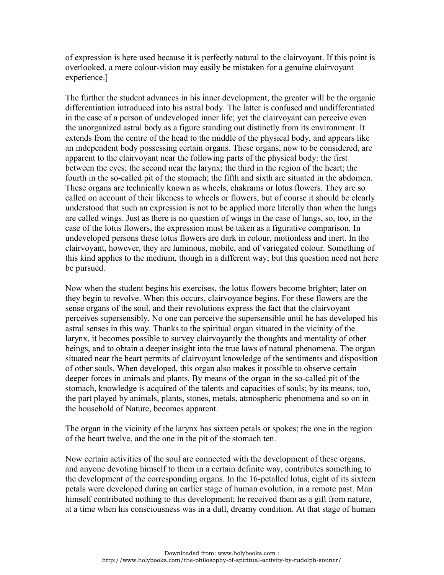of expression is here used because it is perfectly natural to the clairvoyant. If this point is overlooked, a mere colour-vision may easily be mistaken for a genuine clairvoyant experience.]

The further the student advances in his inner development, the greater will be the organic differentiation introduced into his astral body. The latter is confused and undifferentiated in the case of a person of undeveloped inner life; yet the clairvoyant can perceive even the unorganized astral body as a figure standing out distinctly from its environment. It extends from the centre of the head to the middle of the physical body, and appears like an independent body possessing certain organs. These organs, now to be considered, are apparent to the clairvoyant near the following parts of the physical body: the first between the eyes; the second near the larynx; the third in the region of the heart; the fourth in the so-called pit of the stomach; the fifth and sixth are situated in the abdomen. These organs are technically known as wheels, chakrams or lotus flowers. They are so called on account of their likeness to wheels or flowers, but of course it should be clearly understood that such an expression is not to be applied more literally than when the lungs are called wings. Just as there is no question of wings in the case of lungs, so, too, in the case of the lotus flowers, the expression must be taken as a figurative comparison. In undeveloped persons these lotus flowers are dark in colour, motionless and inert. In the clairvoyant, however, they are luminous, mobile, and of variegated colour. Something of this kind applies to the medium, though in a different way; but this question need not here be pursued.

Now when the student begins his exercises, the lotus flowers become brighter; later on they begin to revolve. When this occurs, clairvoyance begins. For these flowers are the sense organs of the soul, and their revolutions express the fact that the clairvoyant perceives supersensibly. No one can perceive the supersensible until he has developed his astral senses in this way. Thanks to the spiritual organ situated in the vicinity of the larynx, it becomes possible to survey clairvoyantly the thoughts and mentality of other beings, and to obtain a deeper insight into the true laws of natural phenomena. The organ situated near the heart permits of clairvoyant knowledge of the sentiments and disposition of other souls. When developed, this organ also makes it possible to observe certain deeper forces in animals and plants. By means of the organ in the so-called pit of the stomach, knowledge is acquired of the talents and capacities of souls; by its means, too, the part played by animals, plants, stones, metals, atmospheric phenomena and so on in the household of Nature, becomes apparent.

The organ in the vicinity of the larynx has sixteen petals or spokes; the one in the region of the heart twelve, and the one in the pit of the stomach ten.

Now certain activities of the soul are connected with the development of these organs, and anyone devoting himself to them in a certain definite way, contributes something to the development of the corresponding organs. In the 16-petalled lotus, eight of its sixteen petals were developed during an earlier stage of human evolution, in a remote past. Man himself contributed nothing to this development; he received them as a gift from nature, at a time when his consciousness was in a dull, dreamy condition. At that stage of human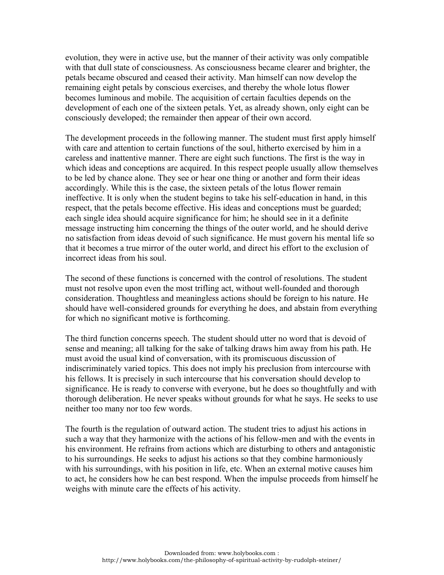evolution, they were in active use, but the manner of their activity was only compatible with that dull state of consciousness. As consciousness became clearer and brighter, the petals became obscured and ceased their activity. Man himself can now develop the remaining eight petals by conscious exercises, and thereby the whole lotus flower becomes luminous and mobile. The acquisition of certain faculties depends on the development of each one of the sixteen petals. Yet, as already shown, only eight can be consciously developed; the remainder then appear of their own accord.

The development proceeds in the following manner. The student must first apply himself with care and attention to certain functions of the soul, hitherto exercised by him in a careless and inattentive manner. There are eight such functions. The first is the way in which ideas and conceptions are acquired. In this respect people usually allow themselves to be led by chance alone. They see or hear one thing or another and form their ideas accordingly. While this is the case, the sixteen petals of the lotus flower remain ineffective. It is only when the student begins to take his self-education in hand, in this respect, that the petals become effective. His ideas and conceptions must be guarded; each single idea should acquire significance for him; he should see in it a definite message instructing him concerning the things of the outer world, and he should derive no satisfaction from ideas devoid of such significance. He must govern his mental life so that it becomes a true mirror of the outer world, and direct his effort to the exclusion of incorrect ideas from his soul.

The second of these functions is concerned with the control of resolutions. The student must not resolve upon even the most trifling act, without well-founded and thorough consideration. Thoughtless and meaningless actions should be foreign to his nature. He should have well-considered grounds for everything he does, and abstain from everything for which no significant motive is forthcoming.

The third function concerns speech. The student should utter no word that is devoid of sense and meaning; all talking for the sake of talking draws him away from his path. He must avoid the usual kind of conversation, with its promiscuous discussion of indiscriminately varied topics. This does not imply his preclusion from intercourse with his fellows. It is precisely in such intercourse that his conversation should develop to significance. He is ready to converse with everyone, but he does so thoughtfully and with thorough deliberation. He never speaks without grounds for what he says. He seeks to use neither too many nor too few words.

The fourth is the regulation of outward action. The student tries to adjust his actions in such a way that they harmonize with the actions of his fellow-men and with the events in his environment. He refrains from actions which are disturbing to others and antagonistic to his surroundings. He seeks to adjust his actions so that they combine harmoniously with his surroundings, with his position in life, etc. When an external motive causes him to act, he considers how he can best respond. When the impulse proceeds from himself he weighs with minute care the effects of his activity.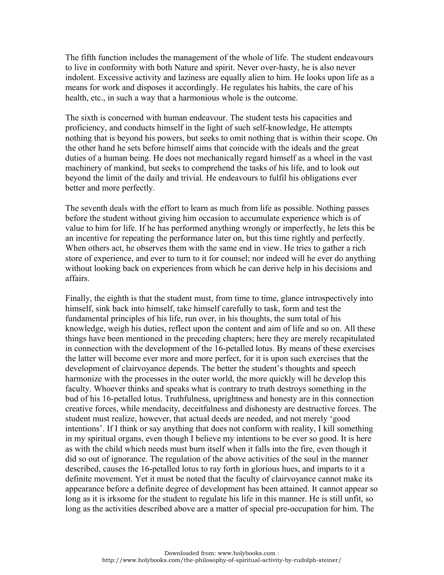The fifth function includes the management of the whole of life. The student endeavours to live in conformity with both Nature and spirit. Never over-hasty, he is also never indolent. Excessive activity and laziness are equally alien to him. He looks upon life as a means for work and disposes it accordingly. He regulates his habits, the care of his health, etc., in such a way that a harmonious whole is the outcome.

The sixth is concerned with human endeavour. The student tests his capacities and proficiency, and conducts himself in the light of such self-knowledge, He attempts nothing that is beyond his powers, but seeks to omit nothing that is within their scope. On the other hand he sets before himself aims that coincide with the ideals and the great duties of a human being. He does not mechanically regard himself as a wheel in the vast machinery of mankind, but seeks to comprehend the tasks of his life, and to look out beyond the limit of the daily and trivial. He endeavours to fulfil his obligations ever better and more perfectly.

The seventh deals with the effort to learn as much from life as possible. Nothing passes before the student without giving him occasion to accumulate experience which is of value to him for life. If he has performed anything wrongly or imperfectly, he lets this be an incentive for repeating the performance later on, but this time rightly and perfectly. When others act, he observes them with the same end in view. He tries to gather a rich store of experience, and ever to turn to it for counsel; nor indeed will he ever do anything without looking back on experiences from which he can derive help in his decisions and affairs.

Finally, the eighth is that the student must, from time to time, glance introspectively into himself, sink back into himself, take himself carefully to task, form and test the fundamental principles of his life, run over, in his thoughts, the sum total of his knowledge, weigh his duties, reflect upon the content and aim of life and so on. All these things have been mentioned in the preceding chapters; here they are merely recapitulated in connection with the development of the 16-petalled lotus. By means of these exercises the latter will become ever more and more perfect, for it is upon such exercises that the development of clairvoyance depends. The better the student's thoughts and speech harmonize with the processes in the outer world, the more quickly will he develop this faculty. Whoever thinks and speaks what is contrary to truth destroys something in the bud of his 16-petalled lotus. Truthfulness, uprightness and honesty are in this connection creative forces, while mendacity, deceitfulness and dishonesty are destructive forces. The student must realize, however, that actual deeds are needed, and not merely 'good intentions'. If I think or say anything that does not conform with reality, I kill something in my spiritual organs, even though I believe my intentions to be ever so good. It is here as with the child which needs must burn itself when it falls into the fire, even though it did so out of ignorance. The regulation of the above activities of the soul in the manner described, causes the 16-petalled lotus to ray forth in glorious hues, and imparts to it a definite movement. Yet it must be noted that the faculty of clairvoyance cannot make its appearance before a definite degree of development has been attained. It cannot appear so long as it is irksome for the student to regulate his life in this manner. He is still unfit, so long as the activities described above are a matter of special pre-occupation for him. The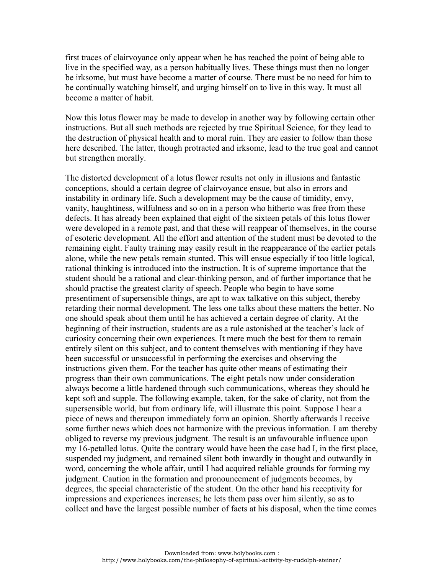first traces of clairvoyance only appear when he has reached the point of being able to live in the specified way, as a person habitually lives. These things must then no longer be irksome, but must have become a matter of course. There must be no need for him to be continually watching himself, and urging himself on to live in this way. It must all become a matter of habit.

Now this lotus flower may be made to develop in another way by following certain other instructions. But all such methods are rejected by true Spiritual Science, for they lead to the destruction of physical health and to moral ruin. They are easier to follow than those here described. The latter, though protracted and irksome, lead to the true goal and cannot but strengthen morally.

The distorted development of a lotus flower results not only in illusions and fantastic conceptions, should a certain degree of clairvoyance ensue, but also in errors and instability in ordinary life. Such a development may be the cause of timidity, envy, vanity, haughtiness, wilfulness and so on in a person who hitherto was free from these defects. It has already been explained that eight of the sixteen petals of this lotus flower were developed in a remote past, and that these will reappear of themselves, in the course of esoteric development. All the effort and attention of the student must be devoted to the remaining eight. Faulty training may easily result in the reappearance of the earlier petals alone, while the new petals remain stunted. This will ensue especially if too little logical, rational thinking is introduced into the instruction. It is of supreme importance that the student should be a rational and clear-thinking person, and of further importance that he should practise the greatest clarity of speech. People who begin to have some presentiment of supersensible things, are apt to wax talkative on this subject, thereby retarding their normal development. The less one talks about these matters the better. No one should speak about them until he has achieved a certain degree of clarity. At the beginning of their instruction, students are as a rule astonished at the teacher's lack of curiosity concerning their own experiences. It mere much the best for them to remain entirely silent on this subject, and to content themselves with mentioning if they have been successful or unsuccessful in performing the exercises and observing the instructions given them. For the teacher has quite other means of estimating their progress than their own communications. The eight petals now under consideration always become a little hardened through such communications, whereas they should he kept soft and supple. The following example, taken, for the sake of clarity, not from the supersensible world, but from ordinary life, will illustrate this point. Suppose I hear a piece of news and thereupon immediately form an opinion. Shortly afterwards I receive some further news which does not harmonize with the previous information. I am thereby obliged to reverse my previous judgment. The result is an unfavourable influence upon my 16-petalled lotus. Quite the contrary would have been the case had I, in the first place, suspended my judgment, and remained silent both inwardly in thought and outwardly in word, concerning the whole affair, until I had acquired reliable grounds for forming my judgment. Caution in the formation and pronouncement of judgments becomes, by degrees, the special characteristic of the student. On the other hand his receptivity for impressions and experiences increases; he lets them pass over him silently, so as to collect and have the largest possible number of facts at his disposal, when the time comes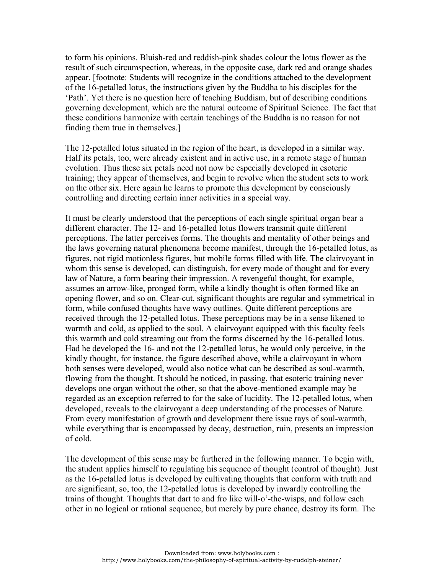to form his opinions. Bluish-red and reddish-pink shades colour the lotus flower as the result of such circumspection, whereas, in the opposite case, dark red and orange shades appear. [footnote: Students will recognize in the conditions attached to the development of the 16-petalled lotus, the instructions given by the Buddha to his disciples for the 'Path'. Yet there is no question here of teaching Buddism, but of describing conditions governing development, which are the natural outcome of Spiritual Science. The fact that these conditions harmonize with certain teachings of the Buddha is no reason for not finding them true in themselves.]

The 12-petalled lotus situated in the region of the heart, is developed in a similar way. Half its petals, too, were already existent and in active use, in a remote stage of human evolution. Thus these six petals need not now be especially developed in esoteric training; they appear of themselves, and begin to revolve when the student sets to work on the other six. Here again he learns to promote this development by consciously controlling and directing certain inner activities in a special way.

It must be clearly understood that the perceptions of each single spiritual organ bear a different character. The 12- and 16-petalled lotus flowers transmit quite different perceptions. The latter perceives forms. The thoughts and mentality of other beings and the laws governing natural phenomena become manifest, through the 16-petalled lotus, as figures, not rigid motionless figures, but mobile forms filled with life. The clairvoyant in whom this sense is developed, can distinguish, for every mode of thought and for every law of Nature, a form bearing their impression. A revengeful thought, for example, assumes an arrow-like, pronged form, while a kindly thought is often formed like an opening flower, and so on. Clear-cut, significant thoughts are regular and symmetrical in form, while confused thoughts have wavy outlines. Quite different perceptions are received through the 12-petalled lotus. These perceptions may be in a sense likened to warmth and cold, as applied to the soul. A clairvoyant equipped with this faculty feels this warmth and cold streaming out from the forms discerned by the 16-petalled lotus. Had he developed the 16- and not the 12-petalled lotus, he would only perceive, in the kindly thought, for instance, the figure described above, while a clairvoyant in whom both senses were developed, would also notice what can be described as soul-warmth, flowing from the thought. It should be noticed, in passing, that esoteric training never develops one organ without the other, so that the above-mentioned example may be regarded as an exception referred to for the sake of lucidity. The 12-petalled lotus, when developed, reveals to the clairvoyant a deep understanding of the processes of Nature. From every manifestation of growth and development there issue rays of soul-warmth, while everything that is encompassed by decay, destruction, ruin, presents an impression of cold.

The development of this sense may be furthered in the following manner. To begin with, the student applies himself to regulating his sequence of thought (control of thought). Just as the 16-petalled lotus is developed by cultivating thoughts that conform with truth and are significant, so, too, the 12-petalled lotus is developed by inwardly controlling the trains of thought. Thoughts that dart to and fro like will-o'-the-wisps, and follow each other in no logical or rational sequence, but merely by pure chance, destroy its form. The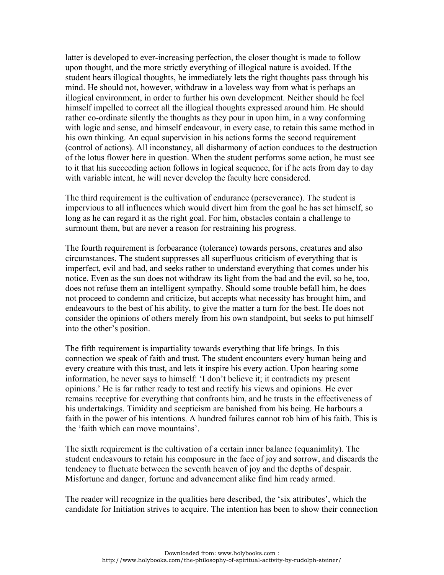latter is developed to ever-increasing perfection, the closer thought is made to follow upon thought, and the more strictly everything of illogical nature is avoided. If the student hears illogical thoughts, he immediately lets the right thoughts pass through his mind. He should not, however, withdraw in a loveless way from what is perhaps an illogical environment, in order to further his own development. Neither should he feel himself impelled to correct all the illogical thoughts expressed around him. He should rather co-ordinate silently the thoughts as they pour in upon him, in a way conforming with logic and sense, and himself endeavour, in every case, to retain this same method in his own thinking. An equal supervision in his actions forms the second requirement (control of actions). All inconstancy, all disharmony of action conduces to the destruction of the lotus flower here in question. When the student performs some action, he must see to it that his succeeding action follows in logical sequence, for if he acts from day to day with variable intent, he will never develop the faculty here considered.

The third requirement is the cultivation of endurance (perseverance). The student is impervious to all influences which would divert him from the goal he has set himself, so long as he can regard it as the right goal. For him, obstacles contain a challenge to surmount them, but are never a reason for restraining his progress.

The fourth requirement is forbearance (tolerance) towards persons, creatures and also circumstances. The student suppresses all superfluous criticism of everything that is imperfect, evil and bad, and seeks rather to understand everything that comes under his notice. Even as the sun does not withdraw its light from the bad and the evil, so he, too, does not refuse them an intelligent sympathy. Should some trouble befall him, he does not proceed to condemn and criticize, but accepts what necessity has brought him, and endeavours to the best of his ability, to give the matter a turn for the best. He does not consider the opinions of others merely from his own standpoint, but seeks to put himself into the other's position.

The fifth requirement is impartiality towards everything that life brings. In this connection we speak of faith and trust. The student encounters every human being and every creature with this trust, and lets it inspire his every action. Upon hearing some information, he never says to himself: 'I don't believe it; it contradicts my present opinions.' He is far rather ready to test and rectify his views and opinions. He ever remains receptive for everything that confronts him, and he trusts in the effectiveness of his undertakings. Timidity and scepticism are banished from his being. He harbours a faith in the power of his intentions. A hundred failures cannot rob him of his faith. This is the 'faith which can move mountains'.

The sixth requirement is the cultivation of a certain inner balance (equanimlity). The student endeavours to retain his composure in the face of joy and sorrow, and discards the tendency to fluctuate between the seventh heaven of joy and the depths of despair. Misfortune and danger, fortune and advancement alike find him ready armed.

The reader will recognize in the qualities here described, the 'six attributes', which the candidate for Initiation strives to acquire. The intention has been to show their connection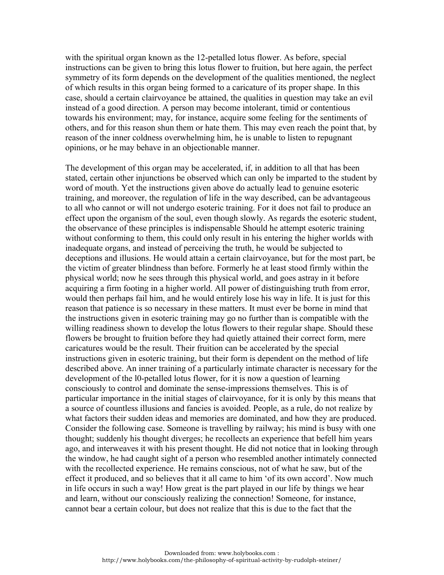with the spiritual organ known as the 12-petalled lotus flower. As before, special instructions can be given to bring this lotus flower to fruition, but here again, the perfect symmetry of its form depends on the development of the qualities mentioned, the neglect of which results in this organ being formed to a caricature of its proper shape. In this case, should a certain clairvoyance be attained, the qualities in question may take an evil instead of a good direction. A person may become intolerant, timid or contentious towards his environment; may, for instance, acquire some feeling for the sentiments of others, and for this reason shun them or hate them. This may even reach the point that, by reason of the inner coldness overwhelming him, he is unable to listen to repugnant opinions, or he may behave in an objectionable manner.

The development of this organ may be accelerated, if, in addition to all that has been stated, certain other injunctions be observed which can only be imparted to the student by word of mouth. Yet the instructions given above do actually lead to genuine esoteric training, and moreover, the regulation of life in the way described, can be advantageous to all who cannot or will not undergo esoteric training. For it does not fail to produce an effect upon the organism of the soul, even though slowly. As regards the esoteric student, the observance of these principles is indispensable Should he attempt esoteric training without conforming to them, this could only result in his entering the higher worlds with inadequate organs, and instead of perceiving the truth, he would be subjected to deceptions and illusions. He would attain a certain clairvoyance, but for the most part, be the victim of greater blindness than before. Formerly he at least stood firmly within the physical world; now he sees through this physical world, and goes astray in it before acquiring a firm footing in a higher world. All power of distinguishing truth from error, would then perhaps fail him, and he would entirely lose his way in life. It is just for this reason that patience is so necessary in these matters. It must ever be borne in mind that the instructions given in esoteric training may go no further than is compatible with the willing readiness shown to develop the lotus flowers to their regular shape. Should these flowers be brought to fruition before they had quietly attained their correct form, mere caricatures would be the result. Their fruition can be accelerated by the special instructions given in esoteric training, but their form is dependent on the method of life described above. An inner training of a particularly intimate character is necessary for the development of the l0-petalled lotus flower, for it is now a question of learning consciously to control and dominate the sense-impressions themselves. This is of particular importance in the initial stages of clairvoyance, for it is only by this means that a source of countless illusions and fancies is avoided. People, as a rule, do not realize by what factors their sudden ideas and memories are dominated, and how they are produced. Consider the following case. Someone is travelling by railway; his mind is busy with one thought; suddenly his thought diverges; he recollects an experience that befell him years ago, and interweaves it with his present thought. He did not notice that in looking through the window, he had caught sight of a person who resembled another intimately connected with the recollected experience. He remains conscious, not of what he saw, but of the effect it produced, and so believes that it all came to him 'of its own accord'. Now much in life occurs in such a way! How great is the part played in our life by things we hear and learn, without our consciously realizing the connection! Someone, for instance, cannot bear a certain colour, but does not realize that this is due to the fact that the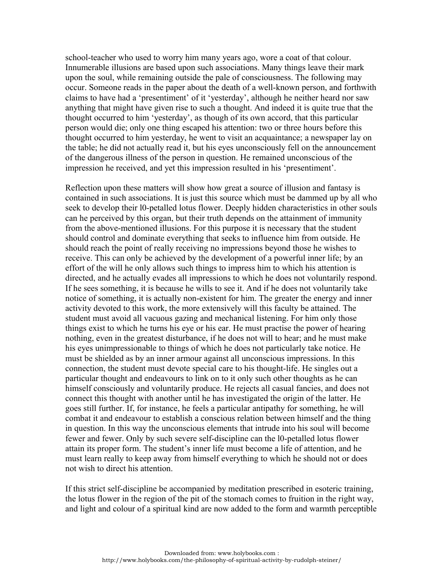school-teacher who used to worry him many years ago, wore a coat of that colour. Innumerable illusions are based upon such associations. Many things leave their mark upon the soul, while remaining outside the pale of consciousness. The following may occur. Someone reads in the paper about the death of a well-known person, and forthwith claims to have had a 'presentiment' of it 'yesterday', although he neither heard nor saw anything that might have given rise to such a thought. And indeed it is quite true that the thought occurred to him 'yesterday', as though of its own accord, that this particular person would die; only one thing escaped his attention: two or three hours before this thought occurred to him yesterday, he went to visit an acquaintance; a newspaper lay on the table; he did not actually read it, but his eyes unconsciously fell on the announcement of the dangerous illness of the person in question. He remained unconscious of the impression he received, and yet this impression resulted in his 'presentiment'.

Reflection upon these matters will show how great a source of illusion and fantasy is contained in such associations. It is just this source which must be dammed up by all who seek to develop their l0-petalled lotus flower. Deeply hidden characteristics in other souls can he perceived by this organ, but their truth depends on the attainment of immunity from the above-mentioned illusions. For this purpose it is necessary that the student should control and dominate everything that seeks to influence him from outside. He should reach the point of really receiving no impressions beyond those he wishes to receive. This can only be achieved by the development of a powerful inner life; by an effort of the will he only allows such things to impress him to which his attention is directed, and he actually evades all impressions to which he does not voluntarily respond. If he sees something, it is because he wills to see it. And if he does not voluntarily take notice of something, it is actually non-existent for him. The greater the energy and inner activity devoted to this work, the more extensively will this faculty be attained. The student must avoid all vacuous gazing and mechanical listening. For him only those things exist to which he turns his eye or his ear. He must practise the power of hearing nothing, even in the greatest disturbance, if he does not will to hear; and he must make his eyes unimpressionable to things of which he does not particularly take notice. He must be shielded as by an inner armour against all unconscious impressions. In this connection, the student must devote special care to his thought-life. He singles out a particular thought and endeavours to link on to it only such other thoughts as he can himself consciously and voluntarily produce. He rejects all casual fancies, and does not connect this thought with another until he has investigated the origin of the latter. He goes still further. If, for instance, he feels a particular antipathy for something, he will combat it and endeavour to establish a conscious relation between himself and the thing in question. In this way the unconscious elements that intrude into his soul will become fewer and fewer. Only by such severe self-discipline can the l0-petalled lotus flower attain its proper form. The student's inner life must become a life of attention, and he must learn really to keep away from himself everything to which he should not or does not wish to direct his attention.

If this strict self-discipline be accompanied by meditation prescribed in esoteric training, the lotus flower in the region of the pit of the stomach comes to fruition in the right way, and light and colour of a spiritual kind are now added to the form and warmth perceptible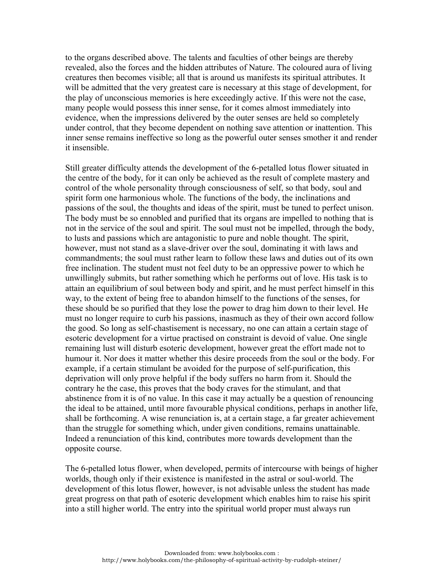to the organs described above. The talents and faculties of other beings are thereby revealed, also the forces and the hidden attributes of Nature. The coloured aura of living creatures then becomes visible; all that is around us manifests its spiritual attributes. It will be admitted that the very greatest care is necessary at this stage of development, for the play of unconscious memories is here exceedingly active. If this were not the case, many people would possess this inner sense, for it comes almost immediately into evidence, when the impressions delivered by the outer senses are held so completely under control, that they become dependent on nothing save attention or inattention. This inner sense remains ineffective so long as the powerful outer senses smother it and render it insensible.

Still greater difficulty attends the development of the 6-petalled lotus flower situated in the centre of the body, for it can only be achieved as the result of complete mastery and control of the whole personality through consciousness of self, so that body, soul and spirit form one harmonious whole. The functions of the body, the inclinations and passions of the soul, the thoughts and ideas of the spirit, must be tuned to perfect unison. The body must be so ennobled and purified that its organs are impelled to nothing that is not in the service of the soul and spirit. The soul must not be impelled, through the body, to lusts and passions which are antagonistic to pure and noble thought. The spirit, however, must not stand as a slave-driver over the soul, dominating it with laws and commandments; the soul must rather learn to follow these laws and duties out of its own free inclination. The student must not feel duty to be an oppressive power to which he unwillingly submits, but rather something which he performs out of love. His task is to attain an equilibrium of soul between body and spirit, and he must perfect himself in this way, to the extent of being free to abandon himself to the functions of the senses, for these should be so purified that they lose the power to drag him down to their level. He must no longer require to curb his passions, inasmuch as they of their own accord follow the good. So long as self-chastisement is necessary, no one can attain a certain stage of esoteric development for a virtue practised on constraint is devoid of value. One single remaining lust will disturb esoteric development, however great the effort made not to humour it. Nor does it matter whether this desire proceeds from the soul or the body. For example, if a certain stimulant be avoided for the purpose of self-purification, this deprivation will only prove helpful if the body suffers no harm from it. Should the contrary he the case, this proves that the body craves for the stimulant, and that abstinence from it is of no value. In this case it may actually be a question of renouncing the ideal to be attained, until more favourable physical conditions, perhaps in another life, shall be forthcoming. A wise renunciation is, at a certain stage, a far greater achievement than the struggle for something which, under given conditions, remains unattainable. Indeed a renunciation of this kind, contributes more towards development than the opposite course.

The 6-petalled lotus flower, when developed, permits of intercourse with beings of higher worlds, though only if their existence is manifested in the astral or soul-world. The development of this lotus flower, however, is not advisable unless the student has made great progress on that path of esoteric development which enables him to raise his spirit into a still higher world. The entry into the spiritual world proper must always run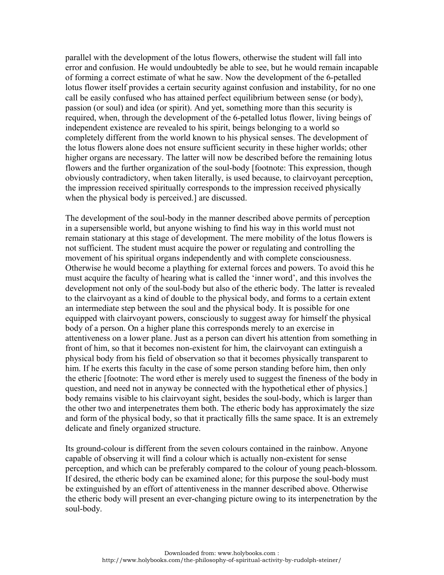parallel with the development of the lotus flowers, otherwise the student will fall into error and confusion. He would undoubtedly be able to see, but he would remain incapable of forming a correct estimate of what he saw. Now the development of the 6-petalled lotus flower itself provides a certain security against confusion and instability, for no one call be easily confused who has attained perfect equilibrium between sense (or body), passion (or soul) and idea (or spirit). And yet, something more than this security is required, when, through the development of the 6-petalled lotus flower, living beings of independent existence are revealed to his spirit, beings belonging to a world so completely different from the world known to his physical senses. The development of the lotus flowers alone does not ensure sufficient security in these higher worlds; other higher organs are necessary. The latter will now be described before the remaining lotus flowers and the further organization of the soul-body [footnote: This expression, though obviously contradictory, when taken literally, is used because, to clairvoyant perception, the impression received spiritually corresponds to the impression received physically when the physical body is perceived.] are discussed.

The development of the soul-body in the manner described above permits of perception in a supersensible world, but anyone wishing to find his way in this world must not remain stationary at this stage of development. The mere mobility of the lotus flowers is not sufficient. The student must acquire the power or regulating and controlling the movement of his spiritual organs independently and with complete consciousness. Otherwise he would become a plaything for external forces and powers. To avoid this he must acquire the faculty of hearing what is called the 'inner word', and this involves the development not only of the soul-body but also of the etheric body. The latter is revealed to the clairvoyant as a kind of double to the physical body, and forms to a certain extent an intermediate step between the soul and the physical body. It is possible for one equipped with clairvoyant powers, consciously to suggest away for himself the physical body of a person. On a higher plane this corresponds merely to an exercise in attentiveness on a lower plane. Just as a person can divert his attention from something in front of him, so that it becomes non-existent for him, the clairvoyant can extinguish a physical body from his field of observation so that it becomes physically transparent to him. If he exerts this faculty in the case of some person standing before him, then only the etheric [footnote: The word ether is merely used to suggest the fineness of the body in question, and need not in anyway be connected with the hypothetical ether of physics.] body remains visible to his clairvoyant sight, besides the soul-body, which is larger than the other two and interpenetrates them both. The etheric body has approximately the size and form of the physical body, so that it practically fills the same space. It is an extremely delicate and finely organized structure.

Its ground-colour is different from the seven colours contained in the rainbow. Anyone capable of observing it will find a colour which is actually non-existent for sense perception, and which can be preferably compared to the colour of young peach-blossom. If desired, the etheric body can be examined alone; for this purpose the soul-body must be extinguished by an effort of attentiveness in the manner described above. Otherwise the etheric body will present an ever-changing picture owing to its interpenetration by the soul-body.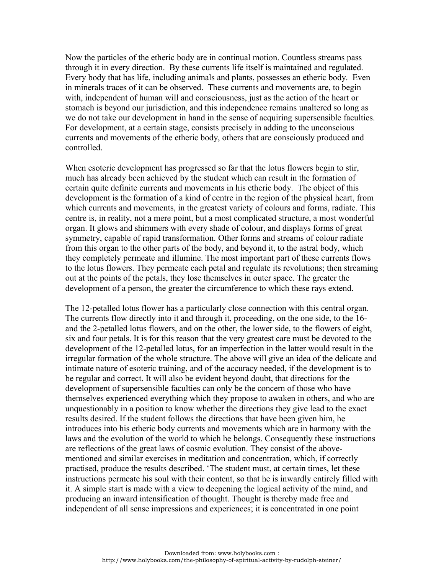Now the particles of the etheric body are in continual motion. Countless streams pass through it in every direction. By these currents life itself is maintained and regulated. Every body that has life, including animals and plants, possesses an etheric body. Even in minerals traces of it can be observed. These currents and movements are, to begin with, independent of human will and consciousness, just as the action of the heart or stomach is beyond our jurisdiction, and this independence remains unaltered so long as we do not take our development in hand in the sense of acquiring supersensible faculties. For development, at a certain stage, consists precisely in adding to the unconscious currents and movements of the etheric body, others that are consciously produced and controlled.

When esoteric development has progressed so far that the lotus flowers begin to stir, much has already been achieved by the student which can result in the formation of certain quite definite currents and movements in his etheric body. The object of this development is the formation of a kind of centre in the region of the physical heart, from which currents and movements, in the greatest variety of colours and forms, radiate. This centre is, in reality, not a mere point, but a most complicated structure, a most wonderful organ. It glows and shimmers with every shade of colour, and displays forms of great symmetry, capable of rapid transformation. Other forms and streams of colour radiate from this organ to the other parts of the body, and beyond it, to the astral body, which they completely permeate and illumine. The most important part of these currents flows to the lotus flowers. They permeate each petal and regulate its revolutions; then streaming out at the points of the petals, they lose themselves in outer space. The greater the development of a person, the greater the circumference to which these rays extend.

The 12-petalled lotus flower has a particularly close connection with this central organ. The currents flow directly into it and through it, proceeding, on the one side, to the 16 and the 2-petalled lotus flowers, and on the other, the lower side, to the flowers of eight, six and four petals. It is for this reason that the very greatest care must be devoted to the development of the 12-petalled lotus, for an imperfection in the latter would result in the irregular formation of the whole structure. The above will give an idea of the delicate and intimate nature of esoteric training, and of the accuracy needed, if the development is to be regular and correct. It will also be evident beyond doubt, that directions for the development of supersensible faculties can only be the concern of those who have themselves experienced everything which they propose to awaken in others, and who are unquestionably in a position to know whether the directions they give lead to the exact results desired. If the student follows the directions that have been given him, he introduces into his etheric body currents and movements which are in harmony with the laws and the evolution of the world to which he belongs. Consequently these instructions are reflections of the great laws of cosmic evolution. They consist of the abovementioned and similar exercises in meditation and concentration, which, if correctly practised, produce the results described. 'The student must, at certain times, let these instructions permeate his soul with their content, so that he is inwardly entirely filled with it. A simple start is made with a view to deepening the logical activity of the mind, and producing an inward intensification of thought. Thought is thereby made free and independent of all sense impressions and experiences; it is concentrated in one point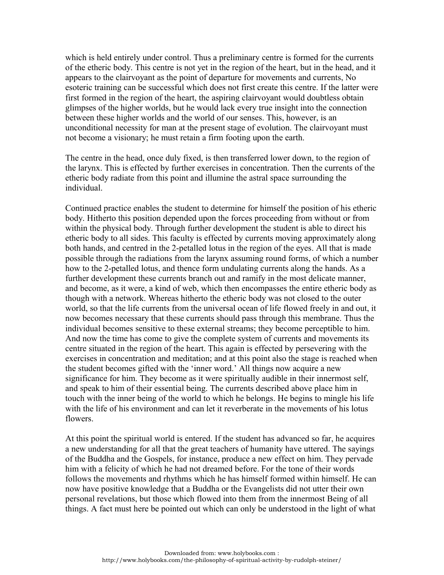which is held entirely under control. Thus a preliminary centre is formed for the currents of the etheric body. This centre is not yet in the region of the heart, but in the head, and it appears to the clairvoyant as the point of departure for movements and currents, No esoteric training can be successful which does not first create this centre. If the latter were first formed in the region of the heart, the aspiring clairvoyant would doubtless obtain glimpses of the higher worlds, but he would lack every true insight into the connection between these higher worlds and the world of our senses. This, however, is an unconditional necessity for man at the present stage of evolution. The clairvoyant must not become a visionary; he must retain a firm footing upon the earth.

The centre in the head, once duly fixed, is then transferred lower down, to the region of the larynx. This is effected by further exercises in concentration. Then the currents of the etheric body radiate from this point and illumine the astral space surrounding the individual.

Continued practice enables the student to determine for himself the position of his etheric body. Hitherto this position depended upon the forces proceeding from without or from within the physical body. Through further development the student is able to direct his etheric body to all sides. This faculty is effected by currents moving approximately along both hands, and centred in the 2-petalled lotus in the region of the eyes. All that is made possible through the radiations from the larynx assuming round forms, of which a number how to the 2-petalled lotus, and thence form undulating currents along the hands. As a further development these currents branch out and ramify in the most delicate manner, and become, as it were, a kind of web, which then encompasses the entire etheric body as though with a network. Whereas hitherto the etheric body was not closed to the outer world, so that the life currents from the universal ocean of life flowed freely in and out, it now becomes necessary that these currents should pass through this membrane. Thus the individual becomes sensitive to these external streams; they become perceptible to him. And now the time has come to give the complete system of currents and movements its centre situated in the region of the heart. This again is effected by persevering with the exercises in concentration and meditation; and at this point also the stage is reached when the student becomes gifted with the 'inner word.' All things now acquire a new significance for him. They become as it were spiritually audible in their innermost self, and speak to him of their essential being. The currents described above place him in touch with the inner being of the world to which he belongs. He begins to mingle his life with the life of his environment and can let it reverberate in the movements of his lotus flowers.

At this point the spiritual world is entered. If the student has advanced so far, he acquires a new understanding for all that the great teachers of humanity have uttered. The sayings of the Buddha and the Gospels, for instance, produce a new effect on him. They pervade him with a felicity of which he had not dreamed before. For the tone of their words follows the movements and rhythms which he has himself formed within himself. He can now have positive knowledge that a Buddha or the Evangelists did not utter their own personal revelations, but those which flowed into them from the innermost Being of all things. A fact must here be pointed out which can only be understood in the light of what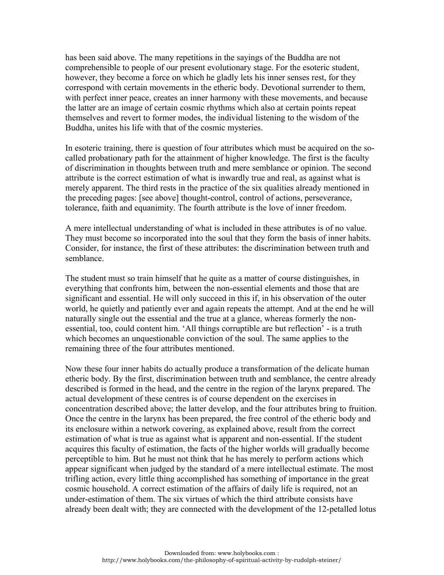has been said above. The many repetitions in the sayings of the Buddha are not comprehensible to people of our present evolutionary stage. For the esoteric student, however, they become a force on which he gladly lets his inner senses rest, for they correspond with certain movements in the etheric body. Devotional surrender to them, with perfect inner peace, creates an inner harmony with these movements, and because the latter are an image of certain cosmic rhythms which also at certain points repeat themselves and revert to former modes, the individual listening to the wisdom of the Buddha, unites his life with that of the cosmic mysteries.

In esoteric training, there is question of four attributes which must be acquired on the socalled probationary path for the attainment of higher knowledge. The first is the faculty of discrimination in thoughts between truth and mere semblance or opinion. The second attribute is the correct estimation of what is inwardly true and real, as against what is merely apparent. The third rests in the practice of the six qualities already mentioned in the preceding pages: [see above] thought-control, control of actions, perseverance, tolerance, faith and equanimity. The fourth attribute is the love of inner freedom.

A mere intellectual understanding of what is included in these attributes is of no value. They must become so incorporated into the soul that they form the basis of inner habits. Consider, for instance, the first of these attributes: the discrimination between truth and semblance.

The student must so train himself that he quite as a matter of course distinguishes, in everything that confronts him, between the non-essential elements and those that are significant and essential. He will only succeed in this if, in his observation of the outer world, he quietly and patiently ever and again repeats the attempt. And at the end he will naturally single out the essential and the true at a glance, whereas formerly the nonessential, too, could content him. 'All things corruptible are but reflection' - is a truth which becomes an unquestionable conviction of the soul. The same applies to the remaining three of the four attributes mentioned.

Now these four inner habits do actually produce a transformation of the delicate human etheric body. By the first, discrimination between truth and semblance, the centre already described is formed in the head, and the centre in the region of the larynx prepared. The actual development of these centres is of course dependent on the exercises in concentration described above; the latter develop, and the four attributes bring to fruition. Once the centre in the larynx has been prepared, the free control of the etheric body and its enclosure within a network covering, as explained above, result from the correct estimation of what is true as against what is apparent and non-essential. If the student acquires this faculty of estimation, the facts of the higher worlds will gradually become perceptible to him. But he must not think that he has merely to perform actions which appear significant when judged by the standard of a mere intellectual estimate. The most trifling action, every little thing accomplished has something of importance in the great cosmic household. A correct estimation of the affairs of daily life is required, not an under-estimation of them. The six virtues of which the third attribute consists have already been dealt with; they are connected with the development of the 12-petalled lotus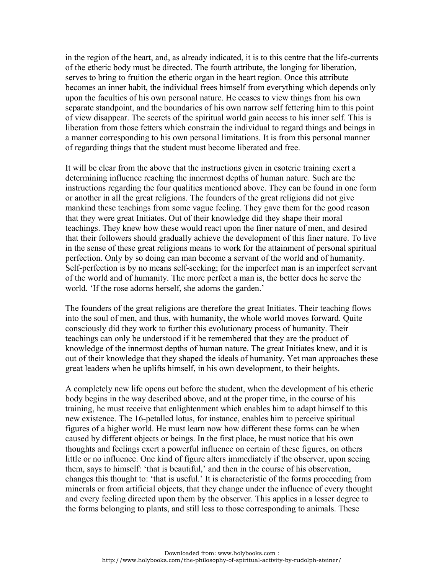in the region of the heart, and, as already indicated, it is to this centre that the life-currents of the etheric body must be directed. The fourth attribute, the longing for liberation, serves to bring to fruition the etheric organ in the heart region. Once this attribute becomes an inner habit, the individual frees himself from everything which depends only upon the faculties of his own personal nature. He ceases to view things from his own separate standpoint, and the boundaries of his own narrow self fettering him to this point of view disappear. The secrets of the spiritual world gain access to his inner self. This is liberation from those fetters which constrain the individual to regard things and beings in a manner corresponding to his own personal limitations. It is from this personal manner of regarding things that the student must become liberated and free.

It will be clear from the above that the instructions given in esoteric training exert a determining influence reaching the innermost depths of human nature. Such are the instructions regarding the four qualities mentioned above. They can be found in one form or another in all the great religions. The founders of the great religions did not give mankind these teachings from some vague feeling. They gave them for the good reason that they were great Initiates. Out of their knowledge did they shape their moral teachings. They knew how these would react upon the finer nature of men, and desired that their followers should gradually achieve the development of this finer nature. To live in the sense of these great religions means to work for the attainment of personal spiritual perfection. Only by so doing can man become a servant of the world and of humanity. Self-perfection is by no means self-seeking; for the imperfect man is an imperfect servant of the world and of humanity. The more perfect a man is, the better does he serve the world. 'If the rose adorns herself, she adorns the garden.'

The founders of the great religions are therefore the great Initiates. Their teaching flows into the soul of men, and thus, with humanity, the whole world moves forward. Quite consciously did they work to further this evolutionary process of humanity. Their teachings can only be understood if it be remembered that they are the product of knowledge of the innermost depths of human nature. The great Initiates knew, and it is out of their knowledge that they shaped the ideals of humanity. Yet man approaches these great leaders when he uplifts himself, in his own development, to their heights.

A completely new life opens out before the student, when the development of his etheric body begins in the way described above, and at the proper time, in the course of his training, he must receive that enlightenment which enables him to adapt himself to this new existence. The 16-petalled lotus, for instance, enables him to perceive spiritual figures of a higher world. He must learn now how different these forms can be when caused by different objects or beings. In the first place, he must notice that his own thoughts and feelings exert a powerful influence on certain of these figures, on others little or no influence. One kind of figure alters immediately if the observer, upon seeing them, says to himself: 'that is beautiful,' and then in the course of his observation, changes this thought to: 'that is useful.' It is characteristic of the forms proceeding from minerals or from artificial objects, that they change under the influence of every thought and every feeling directed upon them by the observer. This applies in a lesser degree to the forms belonging to plants, and still less to those corresponding to animals. These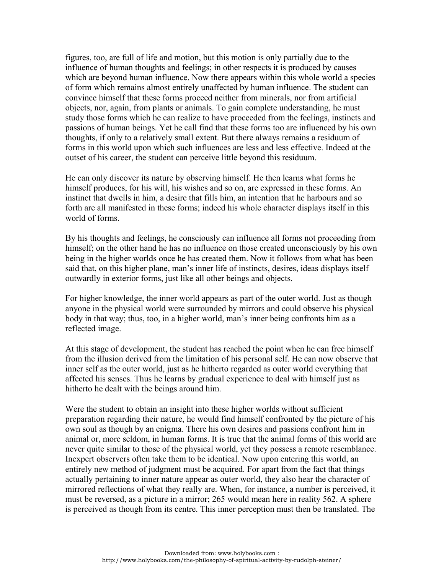figures, too, are full of life and motion, but this motion is only partially due to the influence of human thoughts and feelings; in other respects it is produced by causes which are beyond human influence. Now there appears within this whole world a species of form which remains almost entirely unaffected by human influence. The student can convince himself that these forms proceed neither from minerals, nor from artificial objects, nor, again, from plants or animals. To gain complete understanding, he must study those forms which he can realize to have proceeded from the feelings, instincts and passions of human beings. Yet he call find that these forms too are influenced by his own thoughts, if only to a relatively small extent. But there always remains a residuum of forms in this world upon which such influences are less and less effective. Indeed at the outset of his career, the student can perceive little beyond this residuum.

He can only discover its nature by observing himself. He then learns what forms he himself produces, for his will, his wishes and so on, are expressed in these forms. An instinct that dwells in him, a desire that fills him, an intention that he harbours and so forth are all manifested in these forms; indeed his whole character displays itself in this world of forms.

By his thoughts and feelings, he consciously can influence all forms not proceeding from himself; on the other hand he has no influence on those created unconsciously by his own being in the higher worlds once he has created them. Now it follows from what has been said that, on this higher plane, man's inner life of instincts, desires, ideas displays itself outwardly in exterior forms, just like all other beings and objects.

For higher knowledge, the inner world appears as part of the outer world. Just as though anyone in the physical world were surrounded by mirrors and could observe his physical body in that way; thus, too, in a higher world, man's inner being confronts him as a reflected image.

At this stage of development, the student has reached the point when he can free himself from the illusion derived from the limitation of his personal self. He can now observe that inner self as the outer world, just as he hitherto regarded as outer world everything that affected his senses. Thus he learns by gradual experience to deal with himself just as hitherto he dealt with the beings around him.

Were the student to obtain an insight into these higher worlds without sufficient preparation regarding their nature, he would find himself confronted by the picture of his own soul as though by an enigma. There his own desires and passions confront him in animal or, more seldom, in human forms. It is true that the animal forms of this world are never quite similar to those of the physical world, yet they possess a remote resemblance. Inexpert observers often take them to be identical. Now upon entering this world, an entirely new method of judgment must be acquired. For apart from the fact that things actually pertaining to inner nature appear as outer world, they also hear the character of mirrored reflections of what they really are. When, for instance, a number is perceived, it must be reversed, as a picture in a mirror; 265 would mean here in reality 562. A sphere is perceived as though from its centre. This inner perception must then be translated. The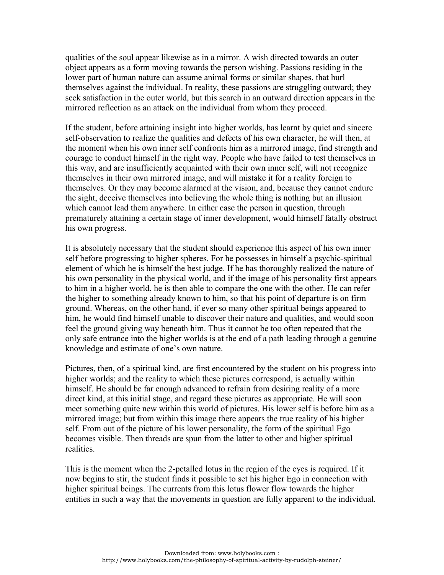qualities of the soul appear likewise as in a mirror. A wish directed towards an outer object appears as a form moving towards the person wishing. Passions residing in the lower part of human nature can assume animal forms or similar shapes, that hurl themselves against the individual. In reality, these passions are struggling outward; they seek satisfaction in the outer world, but this search in an outward direction appears in the mirrored reflection as an attack on the individual from whom they proceed.

If the student, before attaining insight into higher worlds, has learnt by quiet and sincere self-observation to realize the qualities and defects of his own character, he will then, at the moment when his own inner self confronts him as a mirrored image, find strength and courage to conduct himself in the right way. People who have failed to test themselves in this way, and are insufficiently acquainted with their own inner self, will not recognize themselves in their own mirrored image, and will mistake it for a reality foreign to themselves. Or they may become alarmed at the vision, and, because they cannot endure the sight, deceive themselves into believing the whole thing is nothing but an illusion which cannot lead them anywhere. In either case the person in question, through prematurely attaining a certain stage of inner development, would himself fatally obstruct his own progress.

It is absolutely necessary that the student should experience this aspect of his own inner self before progressing to higher spheres. For he possesses in himself a psychic-spiritual element of which he is himself the best judge. If he has thoroughly realized the nature of his own personality in the physical world, and if the image of his personality first appears to him in a higher world, he is then able to compare the one with the other. He can refer the higher to something already known to him, so that his point of departure is on firm ground. Whereas, on the other hand, if ever so many other spiritual beings appeared to him, he would find himself unable to discover their nature and qualities, and would soon feel the ground giving way beneath him. Thus it cannot be too often repeated that the only safe entrance into the higher worlds is at the end of a path leading through a genuine knowledge and estimate of one's own nature.

Pictures, then, of a spiritual kind, are first encountered by the student on his progress into higher worlds; and the reality to which these pictures correspond, is actually within himself. He should be far enough advanced to refrain from desiring reality of a more direct kind, at this initial stage, and regard these pictures as appropriate. He will soon meet something quite new within this world of pictures. His lower self is before him as a mirrored image; but from within this image there appears the true reality of his higher self. From out of the picture of his lower personality, the form of the spiritual Ego becomes visible. Then threads are spun from the latter to other and higher spiritual realities.

This is the moment when the 2-petalled lotus in the region of the eyes is required. If it now begins to stir, the student finds it possible to set his higher Ego in connection with higher spiritual beings. The currents from this lotus flower flow towards the higher entities in such a way that the movements in question are fully apparent to the individual.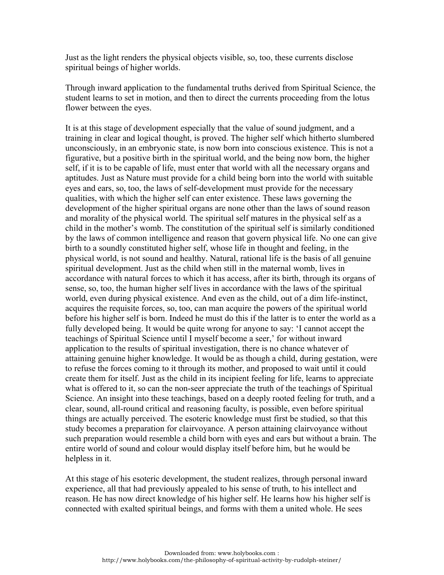Just as the light renders the physical objects visible, so, too, these currents disclose spiritual beings of higher worlds.

Through inward application to the fundamental truths derived from Spiritual Science, the student learns to set in motion, and then to direct the currents proceeding from the lotus flower between the eyes.

It is at this stage of development especially that the value of sound judgment, and a training in clear and logical thought, is proved. The higher self which hitherto slumbered unconsciously, in an embryonic state, is now born into conscious existence. This is not a figurative, but a positive birth in the spiritual world, and the being now born, the higher self, if it is to be capable of life, must enter that world with all the necessary organs and aptitudes. Just as Nature must provide for a child being born into the world with suitable eyes and ears, so, too, the laws of self-development must provide for the necessary qualities, with which the higher self can enter existence. These laws governing the development of the higher spiritual organs are none other than the laws of sound reason and morality of the physical world. The spiritual self matures in the physical self as a child in the mother's womb. The constitution of the spiritual self is similarly conditioned by the laws of common intelligence and reason that govern physical life. No one can give birth to a soundly constituted higher self, whose life in thought and feeling, in the physical world, is not sound and healthy. Natural, rational life is the basis of all genuine spiritual development. Just as the child when still in the maternal womb, lives in accordance with natural forces to which it has access, after its birth, through its organs of sense, so, too, the human higher self lives in accordance with the laws of the spiritual world, even during physical existence. And even as the child, out of a dim life-instinct, acquires the requisite forces, so, too, can man acquire the powers of the spiritual world before his higher self is born. Indeed he must do this if the latter is to enter the world as a fully developed being. It would be quite wrong for anyone to say: 'I cannot accept the teachings of Spiritual Science until I myself become a seer,' for without inward application to the results of spiritual investigation, there is no chance whatever of attaining genuine higher knowledge. It would be as though a child, during gestation, were to refuse the forces coming to it through its mother, and proposed to wait until it could create them for itself. Just as the child in its incipient feeling for life, learns to appreciate what is offered to it, so can the non-seer appreciate the truth of the teachings of Spiritual Science. An insight into these teachings, based on a deeply rooted feeling for truth, and a clear, sound, all-round critical and reasoning faculty, is possible, even before spiritual things are actually perceived. The esoteric knowledge must first be studied, so that this study becomes a preparation for clairvoyance. A person attaining clairvoyance without such preparation would resemble a child born with eyes and ears but without a brain. The entire world of sound and colour would display itself before him, but he would be helpless in it.

At this stage of his esoteric development, the student realizes, through personal inward experience, all that had previously appealed to his sense of truth, to his intellect and reason. He has now direct knowledge of his higher self. He learns how his higher self is connected with exalted spiritual beings, and forms with them a united whole. He sees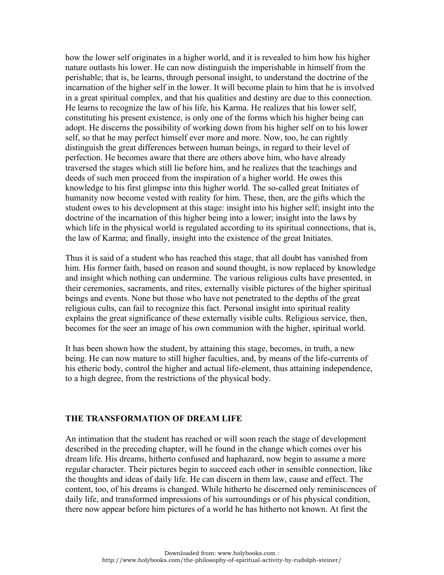how the lower self originates in a higher world, and it is revealed to him how his higher nature outlasts his lower. He can now distinguish the imperishable in himself from the perishable; that is, he learns, through personal insight, to understand the doctrine of the incarnation of the higher self in the lower. It will become plain to him that he is involved in a great spiritual complex, and that his qualities and destiny are due to this connection. He learns to recognize the law of his life, his Karma. He realizes that his lower self, constituting his present existence, is only one of the forms which his higher being can adopt. He discerns the possibility of working down from his higher self on to his lower self, so that he may perfect himself ever more and more. Now, too, he can rightly distinguish the great differences between human beings, in regard to their level of perfection. He becomes aware that there are others above him, who have already traversed the stages which still lie before him, and he realizes that the teachings and deeds of such men proceed from the inspiration of a higher world. He owes this knowledge to his first glimpse into this higher world. The so-called great Initiates of humanity now become vested with reality for him. These, then, are the gifts which the student owes to his development at this stage: insight into his higher self; insight into the doctrine of the incarnation of this higher being into a lower; insight into the laws by which life in the physical world is regulated according to its spiritual connections, that is, the law of Karma; and finally, insight into the existence of the great Initiates.

Thus it is said of a student who has reached this stage, that all doubt has vanished from him. His former faith, based on reason and sound thought, is now replaced by knowledge and insight which nothing can undermine. The various religious cults have presented, in their ceremonies, sacraments, and rites, externally visible pictures of the higher spiritual beings and events. None but those who have not penetrated to the depths of the great religious cults, can fail to recognize this fact. Personal insight into spiritual reality explains the great significance of these externally visible cults. Religious service, then, becomes for the seer an image of his own communion with the higher, spiritual world.

It has been shown how the student, by attaining this stage, becomes, in truth, a new being. He can now mature to still higher faculties, and, by means of the life-currents of his etheric body, control the higher and actual life-element, thus attaining independence, to a high degree, from the restrictions of the physical body.

#### **THE TRANSFORMATION OF DREAM LIFE**

An intimation that the student has reached or will soon reach the stage of development described in the preceding chapter, will he found in the change which comes over his dream life. His dreams, hitherto confused and haphazard, now begin to assume a more regular character. Their pictures begin to succeed each other in sensible connection, like the thoughts and ideas of daily life. He can discern in them law, cause and effect. The content, too, of his dreams is changed. While hitherto he discerned only reminiscences of daily life, and transformed impressions of his surroundings or of his physical condition, there now appear before him pictures of a world he has hitherto not known. At first the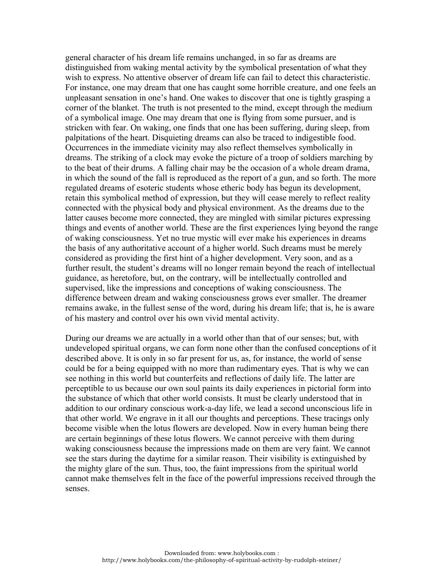general character of his dream life remains unchanged, in so far as dreams are distinguished from waking mental activity by the symbolical presentation of what they wish to express. No attentive observer of dream life can fail to detect this characteristic. For instance, one may dream that one has caught some horrible creature, and one feels an unpleasant sensation in one's hand. One wakes to discover that one is tightly grasping a corner of the blanket. The truth is not presented to the mind, except through the medium of a symbolical image. One may dream that one is flying from some pursuer, and is stricken with fear. On waking, one finds that one has been suffering, during sleep, from palpitations of the heart. Disquieting dreams can also be traced to indigestible food. Occurrences in the immediate vicinity may also reflect themselves symbolically in dreams. The striking of a clock may evoke the picture of a troop of soldiers marching by to the beat of their drums. A falling chair may be the occasion of a whole dream drama, in which the sound of the fall is reproduced as the report of a gun, and so forth. The more regulated dreams of esoteric students whose etheric body has begun its development, retain this symbolical method of expression, but they will cease merely to reflect reality connected with the physical body and physical environment. As the dreams due to the latter causes become more connected, they are mingled with similar pictures expressing things and events of another world. These are the first experiences lying beyond the range of waking consciousness. Yet no true mystic will ever make his experiences in dreams the basis of any authoritative account of a higher world. Such dreams must be merely considered as providing the first hint of a higher development. Very soon, and as a further result, the student's dreams will no longer remain beyond the reach of intellectual guidance, as heretofore, but, on the contrary, will be intellectually controlled and supervised, like the impressions and conceptions of waking consciousness. The difference between dream and waking consciousness grows ever smaller. The dreamer remains awake, in the fullest sense of the word, during his dream life; that is, he is aware of his mastery and control over his own vivid mental activity.

During our dreams we are actually in a world other than that of our senses; but, with undeveloped spiritual organs, we can form none other than the confused conceptions of it described above. It is only in so far present for us, as, for instance, the world of sense could be for a being equipped with no more than rudimentary eyes. That is why we can see nothing in this world but counterfeits and reflections of daily life. The latter are perceptible to us because our own soul paints its daily experiences in pictorial form into the substance of which that other world consists. It must be clearly understood that in addition to our ordinary conscious work-a-day life, we lead a second unconscious life in that other world. We engrave in it all our thoughts and perceptions. These tracings only become visible when the lotus flowers are developed. Now in every human being there are certain beginnings of these lotus flowers. We cannot perceive with them during waking consciousness because the impressions made on them are very faint. We cannot see the stars during the daytime for a similar reason. Their visibility is extinguished by the mighty glare of the sun. Thus, too, the faint impressions from the spiritual world cannot make themselves felt in the face of the powerful impressions received through the senses.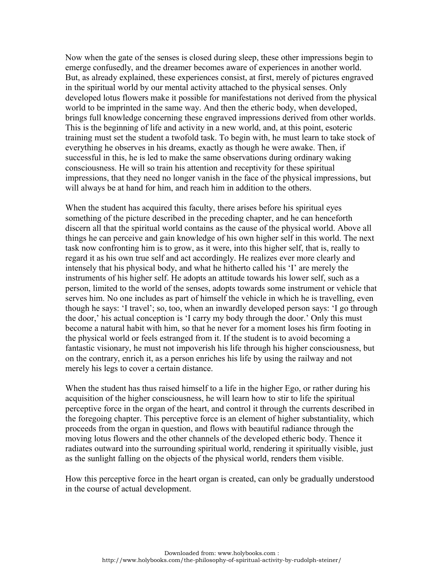Now when the gate of the senses is closed during sleep, these other impressions begin to emerge confusedly, and the dreamer becomes aware of experiences in another world. But, as already explained, these experiences consist, at first, merely of pictures engraved in the spiritual world by our mental activity attached to the physical senses. Only developed lotus flowers make it possible for manifestations not derived from the physical world to be imprinted in the same way. And then the etheric body, when developed, brings full knowledge concerning these engraved impressions derived from other worlds. This is the beginning of life and activity in a new world, and, at this point, esoteric training must set the student a twofold task. To begin with, he must learn to take stock of everything he observes in his dreams, exactly as though he were awake. Then, if successful in this, he is led to make the same observations during ordinary waking consciousness. He will so train his attention and receptivity for these spiritual impressions, that they need no longer vanish in the face of the physical impressions, but will always be at hand for him, and reach him in addition to the others.

When the student has acquired this faculty, there arises before his spiritual eyes something of the picture described in the preceding chapter, and he can henceforth discern all that the spiritual world contains as the cause of the physical world. Above all things he can perceive and gain knowledge of his own higher self in this world. The next task now confronting him is to grow, as it were, into this higher self, that is, really to regard it as his own true self and act accordingly. He realizes ever more clearly and intensely that his physical body, and what he hitherto called his 'I' are merely the instruments of his higher self. He adopts an attitude towards his lower self, such as a person, limited to the world of the senses, adopts towards some instrument or vehicle that serves him. No one includes as part of himself the vehicle in which he is travelling, even though he says: 'I travel'; so, too, when an inwardly developed person says: 'I go through the door,' his actual conception is 'I carry my body through the door.' Only this must become a natural habit with him, so that he never for a moment loses his firm footing in the physical world or feels estranged from it. If the student is to avoid becoming a fantastic visionary, he must not impoverish his life through his higher consciousness, but on the contrary, enrich it, as a person enriches his life by using the railway and not merely his legs to cover a certain distance.

When the student has thus raised himself to a life in the higher Ego, or rather during his acquisition of the higher consciousness, he will learn how to stir to life the spiritual perceptive force in the organ of the heart, and control it through the currents described in the foregoing chapter. This perceptive force is an element of higher substantiality, which proceeds from the organ in question, and flows with beautiful radiance through the moving lotus flowers and the other channels of the developed etheric body. Thence it radiates outward into the surrounding spiritual world, rendering it spiritually visible, just as the sunlight falling on the objects of the physical world, renders them visible.

How this perceptive force in the heart organ is created, can only be gradually understood in the course of actual development.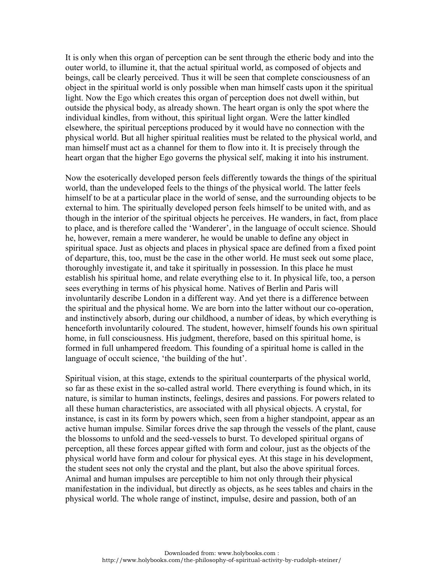It is only when this organ of perception can be sent through the etheric body and into the outer world, to illumine it, that the actual spiritual world, as composed of objects and beings, call be clearly perceived. Thus it will be seen that complete consciousness of an object in the spiritual world is only possible when man himself casts upon it the spiritual light. Now the Ego which creates this organ of perception does not dwell within, but outside the physical body, as already shown. The heart organ is only the spot where the individual kindles, from without, this spiritual light organ. Were the latter kindled elsewhere, the spiritual perceptions produced by it would have no connection with the physical world. But all higher spiritual realities must be related to the physical world, and man himself must act as a channel for them to flow into it. It is precisely through the heart organ that the higher Ego governs the physical self, making it into his instrument.

Now the esoterically developed person feels differently towards the things of the spiritual world, than the undeveloped feels to the things of the physical world. The latter feels himself to be at a particular place in the world of sense, and the surrounding objects to be external to him. The spiritually developed person feels himself to be united with, and as though in the interior of the spiritual objects he perceives. He wanders, in fact, from place to place, and is therefore called the 'Wanderer', in the language of occult science. Should he, however, remain a mere wanderer, he would be unable to define any object in spiritual space. Just as objects and places in physical space are defined from a fixed point of departure, this, too, must be the case in the other world. He must seek out some place, thoroughly investigate it, and take it spiritually in possession. In this place he must establish his spiritual home, and relate everything else to it. In physical life, too, a person sees everything in terms of his physical home. Natives of Berlin and Paris will involuntarily describe London in a different way. And yet there is a difference between the spiritual and the physical home. We are born into the latter without our co-operation, and instinctively absorb, during our childhood, a number of ideas, by which everything is henceforth involuntarily coloured. The student, however, himself founds his own spiritual home, in full consciousness. His judgment, therefore, based on this spiritual home, is formed in full unhampered freedom. This founding of a spiritual home is called in the language of occult science, 'the building of the hut'.

Spiritual vision, at this stage, extends to the spiritual counterparts of the physical world, so far as these exist in the so-called astral world. There everything is found which, in its nature, is similar to human instincts, feelings, desires and passions. For powers related to all these human characteristics, are associated with all physical objects. A crystal, for instance, is cast in its form by powers which, seen from a higher standpoint, appear as an active human impulse. Similar forces drive the sap through the vessels of the plant, cause the blossoms to unfold and the seed-vessels to burst. To developed spiritual organs of perception, all these forces appear gifted with form and colour, just as the objects of the physical world have form and colour for physical eyes. At this stage in his development, the student sees not only the crystal and the plant, but also the above spiritual forces. Animal and human impulses are perceptible to him not only through their physical manifestation in the individual, but directly as objects, as he sees tables and chairs in the physical world. The whole range of instinct, impulse, desire and passion, both of an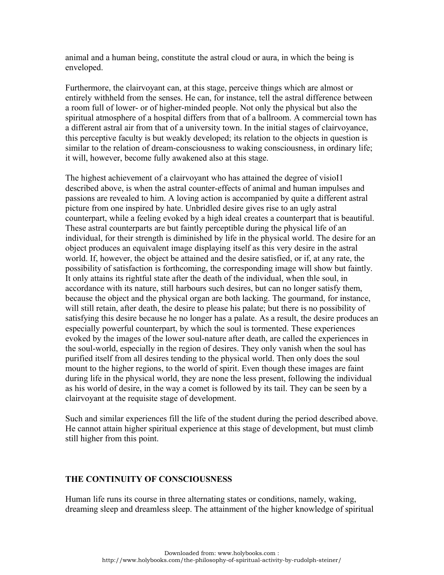animal and a human being, constitute the astral cloud or aura, in which the being is enveloped.

Furthermore, the clairvoyant can, at this stage, perceive things which are almost or entirely withheld from the senses. He can, for instance, tell the astral difference between a room full of lower- or of higher-minded people. Not only the physical but also the spiritual atmosphere of a hospital differs from that of a ballroom. A commercial town has a different astral air from that of a university town. In the initial stages of clairvoyance, this perceptive faculty is but weakly developed; its relation to the objects in question is similar to the relation of dream-consciousness to waking consciousness, in ordinary life; it will, however, become fully awakened also at this stage.

The highest achievement of a clairvoyant who has attained the degree of visioI1 described above, is when the astral counter-effects of animal and human impulses and passions are revealed to him. A loving action is accompanied by quite a different astral picture from one inspired by hate. Unbridled desire gives rise to an ugly astral counterpart, while a feeling evoked by a high ideal creates a counterpart that is beautiful. These astral counterparts are but faintly perceptible during the physical life of an individual, for their strength is diminished by life in the physical world. The desire for an object produces an equivalent image displaying itself as this very desire in the astral world. If, however, the object be attained and the desire satisfied, or if, at any rate, the possibility of satisfaction is forthcoming, the corresponding image will show but faintly. It only attains its rightful state after the death of the individual, when thle soul, in accordance with its nature, still harbours such desires, but can no longer satisfy them, because the object and the physical organ are both lacking. The gourmand, for instance, will still retain, after death, the desire to please his palate; but there is no possibility of satisfying this desire because he no longer has a palate. As a result, the desire produces an especially powerful counterpart, by which the soul is tormented. These experiences evoked by the images of the lower soul-nature after death, are called the experiences in the soul-world, especially in the region of desires. They only vanish when the soul has purified itself from all desires tending to the physical world. Then only does the soul mount to the higher regions, to the world of spirit. Even though these images are faint during life in the physical world, they are none the less present, following the individual as his world of desire, in the way a comet is followed by its tail. They can be seen by a clairvoyant at the requisite stage of development.

Such and similar experiences fill the life of the student during the period described above. He cannot attain higher spiritual experience at this stage of development, but must climb still higher from this point.

# **THE CONTINUITY OF CONSCIOUSNESS**

Human life runs its course in three alternating states or conditions, namely, waking, dreaming sleep and dreamless sleep. The attainment of the higher knowledge of spiritual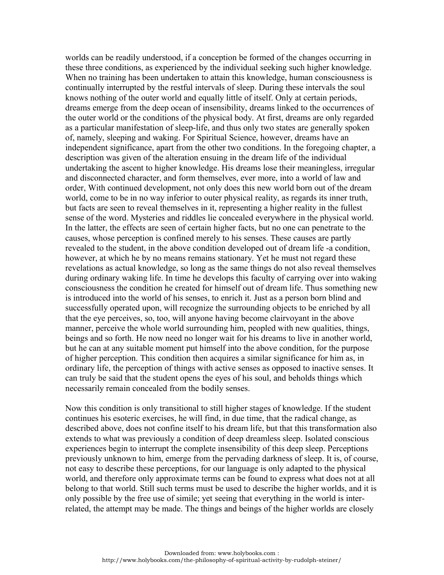worlds can be readily understood, if a conception be formed of the changes occurring in these three conditions, as experienced by the individual seeking such higher knowledge. When no training has been undertaken to attain this knowledge, human consciousness is continually interrupted by the restful intervals of sleep. During these intervals the soul knows nothing of the outer world and equally little of itself. Only at certain periods, dreams emerge from the deep ocean of insensibility, dreams linked to the occurrences of the outer world or the conditions of the physical body. At first, dreams are only regarded as a particular manifestation of sleep-life, and thus only two states are generally spoken of, namely, sleeping and waking. For Spiritual Science, however, dreams have an independent significance, apart from the other two conditions. In the foregoing chapter, a description was given of the alteration ensuing in the dream life of the individual undertaking the ascent to higher knowledge. His dreams lose their meaningless, irregular and disconnected character, and form themselves, ever more, into a world of law and order, With continued development, not only does this new world born out of the dream world, come to be in no way inferior to outer physical reality, as regards its inner truth, but facts are seen to reveal themselves in it, representing a higher reality in the fullest sense of the word. Mysteries and riddles lie concealed everywhere in the physical world. In the latter, the effects are seen of certain higher facts, but no one can penetrate to the causes, whose perception is confined merely to his senses. These causes are partly revealed to the student, in the above condition developed out of dream life -a condition, however, at which he by no means remains stationary. Yet he must not regard these revelations as actual knowledge, so long as the same things do not also reveal themselves during ordinary waking life. In time he develops this faculty of carrying over into waking consciousness the condition he created for himself out of dream life. Thus something new is introduced into the world of his senses, to enrich it. Just as a person born blind and successfully operated upon, will recognize the surrounding objects to be enriched by all that the eye perceives, so, too, will anyone having become clairvoyant in the above manner, perceive the whole world surrounding him, peopled with new qualities, things, beings and so forth. He now need no longer wait for his dreams to live in another world, but he can at any suitable moment put himself into the above condition, for the purpose of higher perception. This condition then acquires a similar significance for him as, in ordinary life, the perception of things with active senses as opposed to inactive senses. It can truly be said that the student opens the eyes of his soul, and beholds things which necessarily remain concealed from the bodily senses.

Now this condition is only transitional to still higher stages of knowledge. If the student continues his esoteric exercises, he will find, in due time, that the radical change, as described above, does not confine itself to his dream life, but that this transformation also extends to what was previously a condition of deep dreamless sleep. Isolated conscious experiences begin to interrupt the complete insensibility of this deep sleep. Perceptions previously unknown to him, emerge from the pervading darkness of sleep. It is, of course, not easy to describe these perceptions, for our language is only adapted to the physical world, and therefore only approximate terms can be found to express what does not at all belong to that world. Still such terms must be used to describe the higher worlds, and it is only possible by the free use of simile; yet seeing that everything in the world is interrelated, the attempt may be made. The things and beings of the higher worlds are closely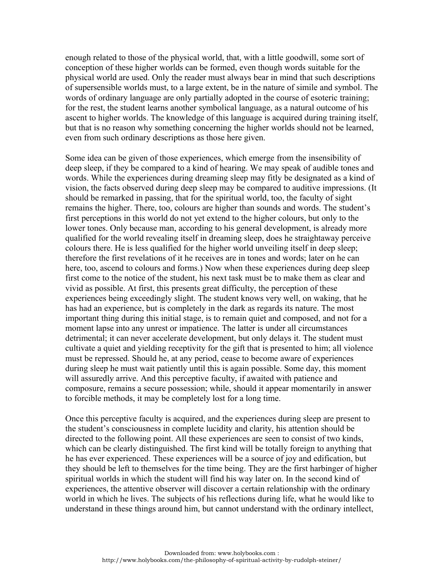enough related to those of the physical world, that, with a little goodwill, some sort of conception of these higher worlds can be formed, even though words suitable for the physical world are used. Only the reader must always bear in mind that such descriptions of supersensible worlds must, to a large extent, be in the nature of simile and symbol. The words of ordinary language are only partially adopted in the course of esoteric training; for the rest, the student learns another symbolical language, as a natural outcome of his ascent to higher worlds. The knowledge of this language is acquired during training itself, but that is no reason why something concerning the higher worlds should not be learned, even from such ordinary descriptions as those here given.

Some idea can be given of those experiences, which emerge from the insensibility of deep sleep, if they be compared to a kind of hearing. We may speak of audible tones and words. While the experiences during dreaming sleep may fitly be designated as a kind of vision, the facts observed during deep sleep may be compared to auditive impressions. (It should be remarked in passing, that for the spiritual world, too, the faculty of sight remains the higher. There, too, colours are higher than sounds and words. The student's first perceptions in this world do not yet extend to the higher colours, but only to the lower tones. Only because man, according to his general development, is already more qualified for the world revealing itself in dreaming sleep, does he straightaway perceive colours there. He is less qualified for the higher world unveiling itself in deep sleep; therefore the first revelations of it he receives are in tones and words; later on he can here, too, ascend to colours and forms.) Now when these experiences during deep sleep first come to the notice of the student, his next task must be to make them as clear and vivid as possible. At first, this presents great difficulty, the perception of these experiences being exceedingly slight. The student knows very well, on waking, that he has had an experience, but is completely in the dark as regards its nature. The most important thing during this initial stage, is to remain quiet and composed, and not for a moment lapse into any unrest or impatience. The latter is under all circumstances detrimental; it can never accelerate development, but only delays it. The student must cultivate a quiet and yielding receptivity for the gift that is presented to him; all violence must be repressed. Should he, at any period, cease to become aware of experiences during sleep he must wait patiently until this is again possible. Some day, this moment will assuredly arrive. And this perceptive faculty, if awaited with patience and composure, remains a secure possession; while, should it appear momentarily in answer to forcible methods, it may be completely lost for a long time.

Once this perceptive faculty is acquired, and the experiences during sleep are present to the student's consciousness in complete lucidity and clarity, his attention should be directed to the following point. All these experiences are seen to consist of two kinds, which can be clearly distinguished. The first kind will be totally foreign to anything that he has ever experienced. These experiences will be a source of joy and edification, but they should be left to themselves for the time being. They are the first harbinger of higher spiritual worlds in which the student will find his way later on. In the second kind of experiences, the attentive observer will discover a certain relationship with the ordinary world in which he lives. The subjects of his reflections during life, what he would like to understand in these things around him, but cannot understand with the ordinary intellect,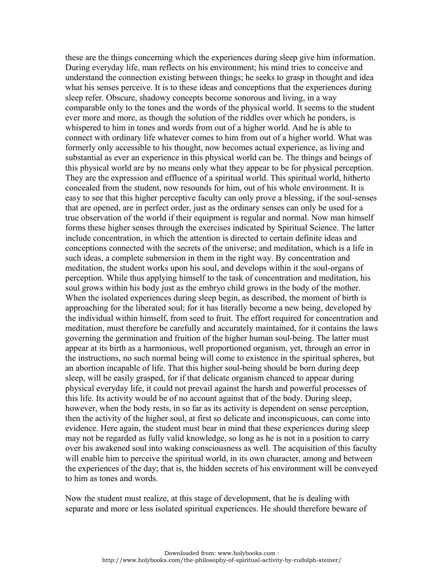these are the things concerning which the experiences during sleep give him information. During everyday life, man reflects on his environment; his mind tries to conceive and understand the connection existing between things; he seeks to grasp in thought and idea what his senses perceive. It is to these ideas and conceptions that the experiences during sleep refer. Obscure, shadowy concepts become sonorous and living, in a way comparable only to the tones and the words of the physical world. It seems to the student ever more and more, as though the solution of the riddles over which he ponders, is whispered to him in tones and words from out of a higher world. And he is able to connect with ordinary life whatever comes to him from out of a higher world. What was formerly only accessible to his thought, now becomes actual experience, as living and substantial as ever an experience in this physical world can be. The things and beings of this physical world are by no means only what they appear to be for physical perception. They are the expression and effluence of a spiritual world. This spiritual world, hitherto concealed from the student, now resounds for him, out of his whole environment. It is easy to see that this higher perceptive faculty can only prove a blessing, if the soul-senses that are opened, are in perfect order, just as the ordinary senses can only be used for a true observation of the world if their equipment is regular and normal. Now man himself forms these higher senses through the exercises indicated by Spiritual Science. The latter include concentration, in which the attention is directed to certain definite ideas and conceptions connected with the secrets of the universe; and meditation, which is a life in such ideas, a complete submersion in them in the right way. By concentration and meditation, the student works upon his soul, and develops within it the soul-organs of perception. While thus applying himself to the task of concentration and meditation, his soul grows within his body just as the embryo child grows in the body of the mother. When the isolated experiences during sleep begin, as described, the moment of birth is approaching for the liberated soul; for it has literally become a new being, developed by the individual within himself, from seed to fruit. The effort required for concentration and meditation, must therefore be carefully and accurately maintained, for it contains the laws governing the germination and fruition of the higher human soul-being. The latter must appear at its birth as a harmonious, well proportioned organism, yet, through an error in the instructions, no such normal being will come to existence in the spiritual spheres, but an abortion incapable of life. That this higher soul-being should be born during deep sleep, will be easily grasped, for if that delicate organism chanced to appear during physical everyday life, it could not prevail against the harsh and powerful processes of this life. Its activity would be of no account against that of the body. During sleep, however, when the body rests, in so far as its activity is dependent on sense perception, then the activity of the higher soul, at first so delicate and inconspicuous, can come into evidence. Here again, the student must bear in mind that these experiences during sleep may not be regarded as fully valid knowledge, so long as he is not in a position to carry over his awakened soul into waking consciousness as well. The acquisition of this faculty will enable him to perceive the spiritual world, in its own character, among and between the experiences of the day; that is, the hidden secrets of his environment will be conveyed to him as tones and words.

Now the student must realize, at this stage of development, that he is dealing with separate and more or less isolated spiritual experiences. He should therefore beware of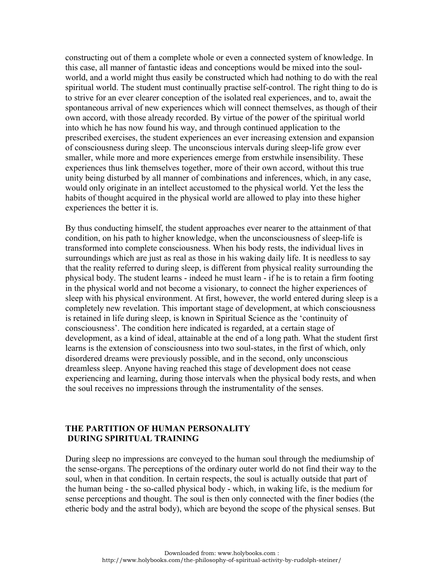constructing out of them a complete whole or even a connected system of knowledge. In this case, all manner of fantastic ideas and conceptions would be mixed into the soulworld, and a world might thus easily be constructed which had nothing to do with the real spiritual world. The student must continually practise self-control. The right thing to do is to strive for an ever clearer conception of the isolated real experiences, and to, await the spontaneous arrival of new experiences which will connect themselves, as though of their own accord, with those already recorded. By virtue of the power of the spiritual world into which he has now found his way, and through continued application to the prescribed exercises, the student experiences an ever increasing extension and expansion of consciousness during sleep. The unconscious intervals during sleep-life grow ever smaller, while more and more experiences emerge from erstwhile insensibility. These experiences thus link themselves together, more of their own accord, without this true unity being disturbed by all manner of combinations and inferences, which, in any case, would only originate in an intellect accustomed to the physical world. Yet the less the habits of thought acquired in the physical world are allowed to play into these higher experiences the better it is.

By thus conducting himself, the student approaches ever nearer to the attainment of that condition, on his path to higher knowledge, when the unconsciousness of sleep-life is transformed into complete consciousness. When his body rests, the individual lives in surroundings which are just as real as those in his waking daily life. It is needless to say that the reality referred to during sleep, is different from physical reality surrounding the physical body. The student learns - indeed he must learn - if he is to retain a firm footing in the physical world and not become a visionary, to connect the higher experiences of sleep with his physical environment. At first, however, the world entered during sleep is a completely new revelation. This important stage of development, at which consciousness is retained in life during sleep, is known in Spiritual Science as the 'continuity of consciousness'. The condition here indicated is regarded, at a certain stage of development, as a kind of ideal, attainable at the end of a long path. What the student first learns is the extension of consciousness into two soul-states, in the first of which, only disordered dreams were previously possible, and in the second, only unconscious dreamless sleep. Anyone having reached this stage of development does not cease experiencing and learning, during those intervals when the physical body rests, and when the soul receives no impressions through the instrumentality of the senses.

### **THE PARTITION OF HUMAN PERSONALITY DURING SPIRITUAL TRAINING**

During sleep no impressions are conveyed to the human soul through the mediumship of the sense-organs. The perceptions of the ordinary outer world do not find their way to the soul, when in that condition. In certain respects, the soul is actually outside that part of the human being - the so-called physical body - which, in waking life, is the medium for sense perceptions and thought. The soul is then only connected with the finer bodies (the etheric body and the astral body), which are beyond the scope of the physical senses. But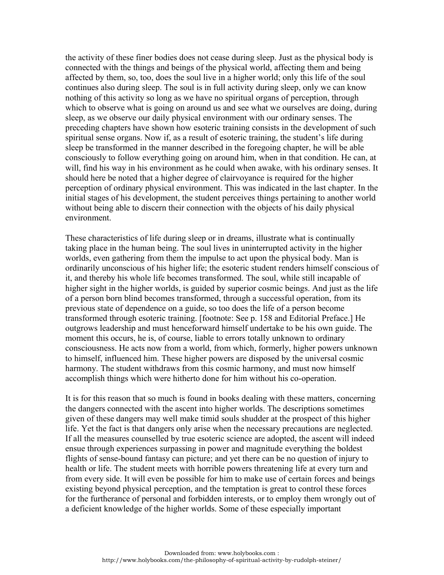the activity of these finer bodies does not cease during sleep. Just as the physical body is connected with the things and beings of the physical world, affecting them and being affected by them, so, too, does the soul live in a higher world; only this life of the soul continues also during sleep. The soul is in full activity during sleep, only we can know nothing of this activity so long as we have no spiritual organs of perception, through which to observe what is going on around us and see what we ourselves are doing, during sleep, as we observe our daily physical environment with our ordinary senses. The preceding chapters have shown how esoteric training consists in the development of such spiritual sense organs. Now if, as a result of esoteric training, the student's life during sleep be transformed in the manner described in the foregoing chapter, he will be able consciously to follow everything going on around him, when in that condition. He can, at will, find his way in his environment as he could when awake, with his ordinary senses. It should here be noted that a higher degree of clairvoyance is required for the higher perception of ordinary physical environment. This was indicated in the last chapter. In the initial stages of his development, the student perceives things pertaining to another world without being able to discern their connection with the objects of his daily physical environment.

These characteristics of life during sleep or in dreams, illustrate what is continually taking place in the human being. The soul lives in uninterrupted activity in the higher worlds, even gathering from them the impulse to act upon the physical body. Man is ordinarily unconscious of his higher life; the esoteric student renders himself conscious of it, and thereby his whole life becomes transformed. The soul, while still incapable of higher sight in the higher worlds, is guided by superior cosmic beings. And just as the life of a person born blind becomes transformed, through a successful operation, from its previous state of dependence on a guide, so too does the life of a person become transformed through esoteric training. [footnote: See p. 158 and Editorial Preface.] He outgrows leadership and must henceforward himself undertake to be his own guide. The moment this occurs, he is, of course, liable to errors totally unknown to ordinary consciousness. He acts now from a world, from which, formerly, higher powers unknown to himself, influenced him. These higher powers are disposed by the universal cosmic harmony. The student withdraws from this cosmic harmony, and must now himself accomplish things which were hitherto done for him without his co-operation.

It is for this reason that so much is found in books dealing with these matters, concerning the dangers connected with the ascent into higher worlds. The descriptions sometimes given of these dangers may well make timid souls shudder at the prospect of this higher life. Yet the fact is that dangers only arise when the necessary precautions are neglected. If all the measures counselled by true esoteric science are adopted, the ascent will indeed ensue through experiences surpassing in power and magnitude everything the boldest flights of sense-bound fantasy can picture; and yet there can be no question of injury to health or life. The student meets with horrible powers threatening life at every turn and from every side. It will even be possible for him to make use of certain forces and beings existing beyond physical perception, and the temptation is great to control these forces for the furtherance of personal and forbidden interests, or to employ them wrongly out of a deficient knowledge of the higher worlds. Some of these especially important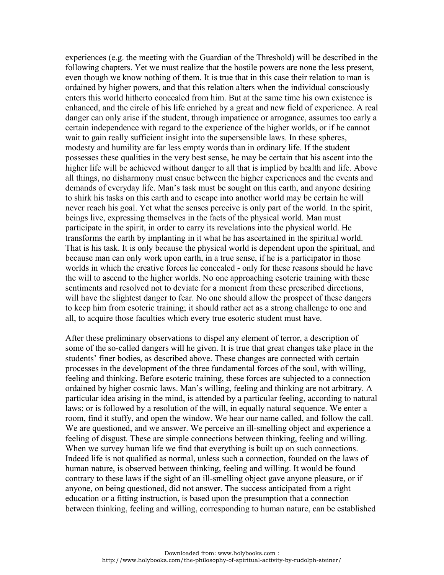experiences (e.g. the meeting with the Guardian of the Threshold) will be described in the following chapters. Yet we must realize that the hostile powers are none the less present, even though we know nothing of them. It is true that in this case their relation to man is ordained by higher powers, and that this relation alters when the individual consciously enters this world hitherto concealed from him. But at the same time his own existence is enhanced, and the circle of his life enriched by a great and new field of experience. A real danger can only arise if the student, through impatience or arrogance, assumes too early a certain independence with regard to the experience of the higher worlds, or if he cannot wait to gain really sufficient insight into the supersensible laws. In these spheres, modesty and humility are far less empty words than in ordinary life. If the student possesses these qualities in the very best sense, he may be certain that his ascent into the higher life will be achieved without danger to all that is implied by health and life. Above all things, no disharmony must ensue between the higher experiences and the events and demands of everyday life. Man's task must be sought on this earth, and anyone desiring to shirk his tasks on this earth and to escape into another world may be certain he will never reach his goal. Yet what the senses perceive is only part of the world. In the spirit, beings live, expressing themselves in the facts of the physical world. Man must participate in the spirit, in order to carry its revelations into the physical world. He transforms the earth by implanting in it what he has ascertained in the spiritual world. That is his task. It is only because the physical world is dependent upon the spiritual, and because man can only work upon earth, in a true sense, if he is a participator in those worlds in which the creative forces lie concealed - only for these reasons should he have the will to ascend to the higher worlds. No one approaching esoteric training with these sentiments and resolved not to deviate for a moment from these prescribed directions, will have the slightest danger to fear. No one should allow the prospect of these dangers to keep him from esoteric training; it should rather act as a strong challenge to one and all, to acquire those faculties which every true esoteric student must have.

After these preliminary observations to dispel any element of terror, a description of some of the so-called dangers will he given. It is true that great changes take place in the students' finer bodies, as described above. These changes are connected with certain processes in the development of the three fundamental forces of the soul, with willing, feeling and thinking. Before esoteric training, these forces are subjected to a connection ordained by higher cosmic laws. Man's willing, feeling and thinking are not arbitrary. A particular idea arising in the mind, is attended by a particular feeling, according to natural laws; or is followed by a resolution of the will, in equally natural sequence. We enter a room, find it stuffy, and open the window. We hear our name called, and follow the call. We are questioned, and we answer. We perceive an ill-smelling object and experience a feeling of disgust. These are simple connections between thinking, feeling and willing. When we survey human life we find that everything is built up on such connections. Indeed life is not qualified as normal, unless such a connection, founded on the laws of human nature, is observed between thinking, feeling and willing. It would be found contrary to these laws if the sight of an ill-smelling object gave anyone pleasure, or if anyone, on being questioned, did not answer. The success anticipated from a right education or a fitting instruction, is based upon the presumption that a connection between thinking, feeling and willing, corresponding to human nature, can be established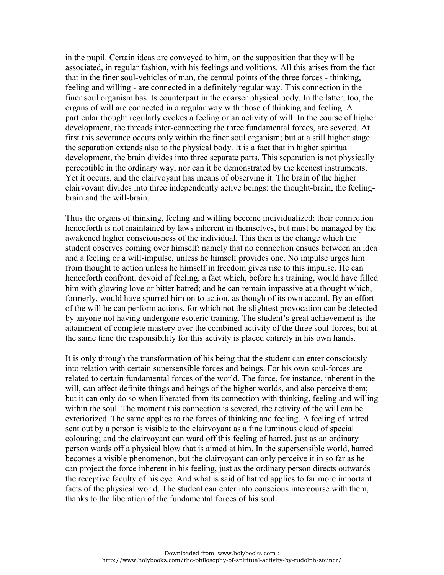in the pupil. Certain ideas are conveyed to him, on the supposition that they will be associated, in regular fashion, with his feelings and volitions. All this arises from the fact that in the finer soul-vehicles of man, the central points of the three forces - thinking, feeling and willing - are connected in a definitely regular way. This connection in the finer soul organism has its counterpart in the coarser physical body. In the latter, too, the organs of will are connected in a regular way with those of thinking and feeling. A particular thought regularly evokes a feeling or an activity of will. In the course of higher development, the threads inter-connecting the three fundamental forces, are severed. At first this severance occurs only within the finer soul organism; but at a still higher stage the separation extends also to the physical body. It is a fact that in higher spiritual development, the brain divides into three separate parts. This separation is not physically perceptible in the ordinary way, nor can it be demonstrated by the keenest instruments. Yet it occurs, and the clairvoyant has means of observing it. The brain of the higher clairvoyant divides into three independently active beings: the thought-brain, the feelingbrain and the will-brain.

Thus the organs of thinking, feeling and willing become individualized; their connection henceforth is not maintained by laws inherent in themselves, but must be managed by the awakened higher consciousness of the individual. This then is the change which the student observes coming over himself: namely that no connection ensues between an idea and a feeling or a will-impulse, unless he himself provides one. No impulse urges him from thought to action unless he himself in freedom gives rise to this impulse. He can henceforth confront, devoid of feeling, a fact which, before his training, would have filled him with glowing love or bitter hatred; and he can remain impassive at a thought which, formerly, would have spurred him on to action, as though of its own accord. By an effort of the will he can perform actions, for which not the slightest provocation can be detected by anyone not having undergone esoteric training. The student's great achievement is the attainment of complete mastery over the combined activity of the three soul-forces; but at the same time the responsibility for this activity is placed entirely in his own hands.

It is only through the transformation of his being that the student can enter consciously into relation with certain supersensible forces and beings. For his own soul-forces are related to certain fundamental forces of the world. The force, for instance, inherent in the will, can affect definite things and beings of the higher worlds, and also perceive them; but it can only do so when liberated from its connection with thinking, feeling and willing within the soul. The moment this connection is severed, the activity of the will can be exteriorized. The same applies to the forces of thinking and feeling. A feeling of hatred sent out by a person is visible to the clairvoyant as a fine luminous cloud of special colouring; and the clairvoyant can ward off this feeling of hatred, just as an ordinary person wards off a physical blow that is aimed at him. In the supersensible world, hatred becomes a visible phenomenon, but the clairvoyant can only perceive it in so far as he can project the force inherent in his feeling, just as the ordinary person directs outwards the receptive faculty of his eye. And what is said of hatred applies to far more important facts of the physical world. The student can enter into conscious intercourse with them, thanks to the liberation of the fundamental forces of his soul.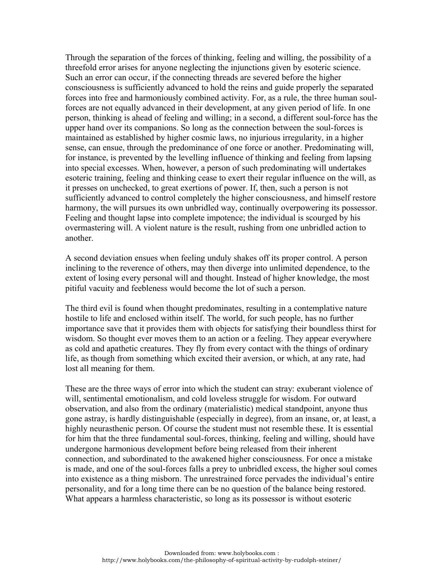Through the separation of the forces of thinking, feeling and willing, the possibility of a threefold error arises for anyone neglecting the injunctions given by esoteric science. Such an error can occur, if the connecting threads are severed before the higher consciousness is sufficiently advanced to hold the reins and guide properly the separated forces into free and harmoniously combined activity. For, as a rule, the three human soulforces are not equally advanced in their development, at any given period of life. In one person, thinking is ahead of feeling and willing; in a second, a different soul-force has the upper hand over its companions. So long as the connection between the soul-forces is maintained as established by higher cosmic laws, no injurious irregularity, in a higher sense, can ensue, through the predominance of one force or another. Predominating will, for instance, is prevented by the levelling influence of thinking and feeling from lapsing into special excesses. When, however, a person of such predominating will undertakes esoteric training, feeling and thinking cease to exert their regular influence on the will, as it presses on unchecked, to great exertions of power. If, then, such a person is not sufficiently advanced to control completely the higher consciousness, and himself restore harmony, the will pursues its own unbridled way, continually overpowering its possessor. Feeling and thought lapse into complete impotence; the individual is scourged by his overmastering will. A violent nature is the result, rushing from one unbridled action to another.

A second deviation ensues when feeling unduly shakes off its proper control. A person inclining to the reverence of others, may then diverge into unlimited dependence, to the extent of losing every personal will and thought. Instead of higher knowledge, the most pitiful vacuity and feebleness would become the lot of such a person.

The third evil is found when thought predominates, resulting in a contemplative nature hostile to life and enclosed within itself. The world, for such people, has no further importance save that it provides them with objects for satisfying their boundless thirst for wisdom. So thought ever moves them to an action or a feeling. They appear everywhere as cold and apathetic creatures. They fly from every contact with the things of ordinary life, as though from something which excited their aversion, or which, at any rate, had lost all meaning for them.

These are the three ways of error into which the student can stray: exuberant violence of will, sentimental emotionalism, and cold loveless struggle for wisdom. For outward observation, and also from the ordinary (materialistic) medical standpoint, anyone thus gone astray, is hardly distinguishable (especially in degree), from an insane, or, at least, a highly neurasthenic person. Of course the student must not resemble these. It is essential for him that the three fundamental soul-forces, thinking, feeling and willing, should have undergone harmonious development before being released from their inherent connection, and subordinated to the awakened higher consciousness. For once a mistake is made, and one of the soul-forces falls a prey to unbridled excess, the higher soul comes into existence as a thing misborn. The unrestrained force pervades the individual's entire personality, and for a long time there can be no question of the balance being restored. What appears a harmless characteristic, so long as its possessor is without esoteric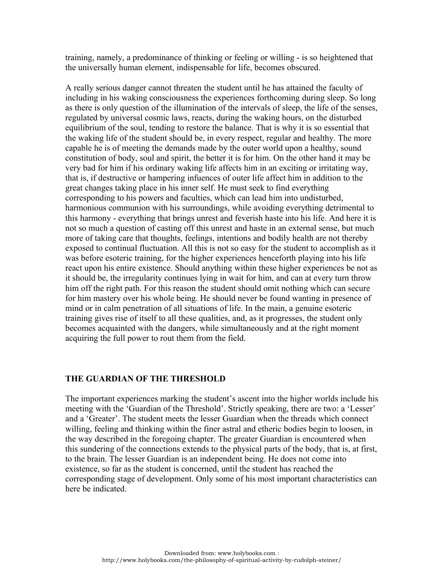training, namely, a predominance of thinking or feeling or willing - is so heightened that the universally human element, indispensable for life, becomes obscured.

A really serious danger cannot threaten the student until he has attained the faculty of including in his waking consciousness the experiences forthcoming during sleep. So long as there is only question of the illumination of the intervals of sleep, the life of the senses, regulated by universal cosmic laws, reacts, during the waking hours, on the disturbed equilibrium of the soul, tending to restore the balance. That is why it is so essential that the waking life of the student should be, in every respect, regular and healthy. The more capable he is of meeting the demands made by the outer world upon a healthy, sound constitution of body, soul and spirit, the better it is for him. On the other hand it may be very bad for him if his ordinary waking life affects him in an exciting or irritating way, that is, if destructive or hampering infuences of outer life affect him in addition to the great changes taking place in his inner self. He must seek to find everything corresponding to his powers and faculties, which can lead him into undisturbed, harmonious communion with his surroundings, while avoiding everything detrimental to this harmony - everything that brings unrest and feverish haste into his life. And here it is not so much a question of casting off this unrest and haste in an external sense, but much more of taking care that thoughts, feelings, intentions and bodily health are not thereby exposed to continual fluctuation. All this is not so easy for the student to accomplish as it was before esoteric training, for the higher experiences henceforth playing into his life react upon his entire existence. Should anything within these higher experiences be not as it should be, the irregularity continues lying in wait for him, and can at every turn throw him off the right path. For this reason the student should omit nothing which can secure for him mastery over his whole being. He should never be found wanting in presence of mind or in calm penetration of all situations of life. In the main, a genuine esoteric training gives rise of itself to all these qualities, and, as it progresses, the student only becomes acquainted with the dangers, while simultaneously and at the right moment acquiring the full power to rout them from the field.

## **THE GUARDIAN OF THE THRESHOLD**

The important experiences marking the student's ascent into the higher worlds include his meeting with the 'Guardian of the Threshold'. Strictly speaking, there are two: a 'Lesser' and a 'Greater'. The student meets the lesser Guardian when the threads which connect willing, feeling and thinking within the finer astral and etheric bodies begin to loosen, in the way described in the foregoing chapter. The greater Guardian is encountered when this sundering of the connections extends to the physical parts of the body, that is, at first, to the brain. The lesser Guardian is an independent being. He does not come into existence, so far as the student is concerned, until the student has reached the corresponding stage of development. Only some of his most important characteristics can here be indicated.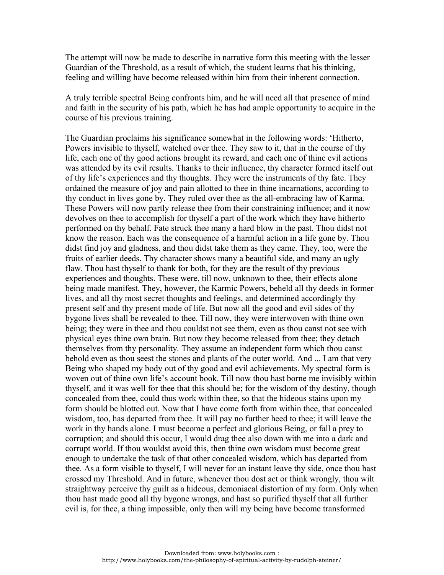The attempt will now be made to describe in narrative form this meeting with the lesser Guardian of the Threshold, as a result of which, the student learns that his thinking, feeling and willing have become released within him from their inherent connection.

A truly terrible spectral Being confronts him, and he will need all that presence of mind and faith in the security of his path, which he has had ample opportunity to acquire in the course of his previous training.

The Guardian proclaims his significance somewhat in the following words: 'Hitherto, Powers invisible to thyself, watched over thee. They saw to it, that in the course of thy life, each one of thy good actions brought its reward, and each one of thine evil actions was attended by its evil results. Thanks to their influence, thy character formed itself out of thy life's experiences and thy thoughts. They were the instruments of thy fate. They ordained the measure of joy and pain allotted to thee in thine incarnations, according to thy conduct in lives gone by. They ruled over thee as the all-embracing law of Karma. These Powers will now partly release thee from their constraining influence; and it now devolves on thee to accomplish for thyself a part of the work which they have hitherto performed on thy behalf. Fate struck thee many a hard blow in the past. Thou didst not know the reason. Each was the consequence of a harmful action in a life gone by. Thou didst find joy and gladness, and thou didst take them as they came. They, too, were the fruits of earlier deeds. Thy character shows many a beautiful side, and many an ugly flaw. Thou hast thyself to thank for both, for they are the result of thy previous experiences and thoughts. These were, till now, unknown to thee, their effects alone being made manifest. They, however, the Karmic Powers, beheld all thy deeds in former lives, and all thy most secret thoughts and feelings, and determined accordingly thy present self and thy present mode of life. But now all the good and evil sides of thy bygone lives shall be revealed to thee. Till now, they were interwoven with thine own being; they were in thee and thou couldst not see them, even as thou canst not see with physical eyes thine own brain. But now they become released from thee; they detach themselves from thy personality. They assume an independent form which thou canst behold even as thou seest the stones and plants of the outer world. And ... I am that very Being who shaped my body out of thy good and evil achievements. My spectral form is woven out of thine own life's account book. Till now thou hast borne me invisibly within thyself, and it was well for thee that this should be; for the wisdom of thy destiny, though concealed from thee, could thus work within thee, so that the hideous stains upon my form should be blotted out. Now that I have come forth from within thee, that concealed wisdom, too, has departed from thee. It will pay no further heed to thee; it will leave the work in thy hands alone. I must become a perfect and glorious Being, or fall a prey to corruption; and should this occur, I would drag thee also down with me into a dark and corrupt world. If thou wouldst avoid this, then thine own wisdom must become great enough to undertake the task of that other concealed wisdom, which has departed from thee. As a form visible to thyself, I will never for an instant leave thy side, once thou hast crossed my Threshold. And in future, whenever thou dost act or think wrongly, thou wilt straightway perceive thy guilt as a hideous, demoniacal distortion of my form. Only when thou hast made good all thy bygone wrongs, and hast so purified thyself that all further evil is, for thee, a thing impossible, only then will my being have become transformed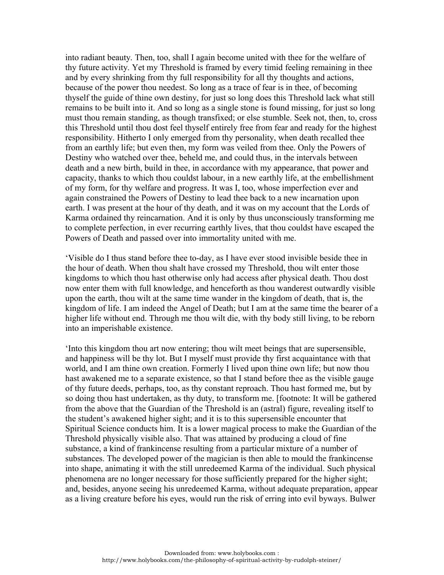into radiant beauty. Then, too, shall I again become united with thee for the welfare of thy future activity. Yet my Threshold is framed by every timid feeling remaining in thee and by every shrinking from thy full responsibility for all thy thoughts and actions, because of the power thou needest. So long as a trace of fear is in thee, of becoming thyself the guide of thine own destiny, for just so long does this Threshold lack what still remains to be built into it. And so long as a single stone is found missing, for just so long must thou remain standing, as though transfixed; or else stumble. Seek not, then, to, cross this Threshold until thou dost feel thyself entirely free from fear and ready for the highest responsibility. Hitherto I only emerged from thy personality, when death recalled thee from an earthly life; but even then, my form was veiled from thee. Only the Powers of Destiny who watched over thee, beheld me, and could thus, in the intervals between death and a new birth, build in thee, in accordance with my appearance, that power and capacity, thanks to which thou couldst labour, in a new earthly life, at the embellishment of my form, for thy welfare and progress. It was I, too, whose imperfection ever and again constrained the Powers of Destiny to lead thee back to a new incarnation upon earth. I was present at the hour of thy death, and it was on my account that the Lords of Karma ordained thy reincarnation. And it is only by thus unconsciously transforming me to complete perfection, in ever recurring earthly lives, that thou couldst have escaped the Powers of Death and passed over into immortality united with me.

'Visible do I thus stand before thee to-day, as I have ever stood invisible beside thee in the hour of death. When thou shalt have crossed my Threshold, thou wilt enter those kingdoms to which thou hast otherwise only had access after physical death. Thou dost now enter them with full knowledge, and henceforth as thou wanderest outwardly visible upon the earth, thou wilt at the same time wander in the kingdom of death, that is, the kingdom of life. I am indeed the Angel of Death; but I am at the same time the bearer of a higher life without end. Through me thou wilt die, with thy body still living, to be reborn into an imperishable existence.

'Into this kingdom thou art now entering; thou wilt meet beings that are supersensible, and happiness will be thy lot. But I myself must provide thy first acquaintance with that world, and I am thine own creation. Formerly I lived upon thine own life; but now thou hast awakened me to a separate existence, so that I stand before thee as the visible gauge of thy future deeds, perhaps, too, as thy constant reproach. Thou hast formed me, but by so doing thou hast undertaken, as thy duty, to transform me. [footnote: It will be gathered from the above that the Guardian of the Threshold is an (astral) figure, revealing itself to the student's awakened higher sight; and it is to this supersensible encounter that Spiritual Science conducts him. It is a lower magical process to make the Guardian of the Threshold physically visible also. That was attained by producing a cloud of fine substance, a kind of frankincense resulting from a particular mixture of a number of substances. The developed power of the magician is then able to mould the frankincense into shape, animating it with the still unredeemed Karma of the individual. Such physical phenomena are no longer necessary for those sufficiently prepared for the higher sight; and, besides, anyone seeing his unredeemed Karma, without adequate preparation, appear as a living creature before his eyes, would run the risk of erring into evil byways. Bulwer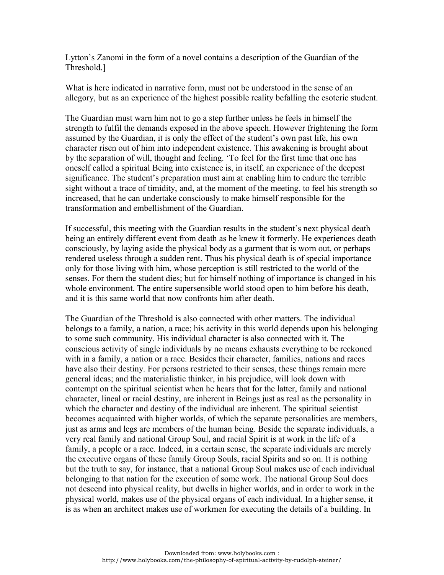Lytton's Zanomi in the form of a novel contains a description of the Guardian of the Threshold.]

What is here indicated in narrative form, must not be understood in the sense of an allegory, but as an experience of the highest possible reality befalling the esoteric student.

The Guardian must warn him not to go a step further unless he feels in himself the strength to fulfil the demands exposed in the above speech. However frightening the form assumed by the Guardian, it is only the effect of the student's own past life, his own character risen out of him into independent existence. This awakening is brought about by the separation of will, thought and feeling. 'To feel for the first time that one has oneself called a spiritual Being into existence is, in itself, an experience of the deepest significance. The student's preparation must aim at enabling him to endure the terrible sight without a trace of timidity, and, at the moment of the meeting, to feel his strength so increased, that he can undertake consciously to make himself responsible for the transformation and embellishment of the Guardian.

If successful, this meeting with the Guardian results in the student's next physical death being an entirely different event from death as he knew it formerly. He experiences death consciously, by laying aside the physical body as a garment that is worn out, or perhaps rendered useless through a sudden rent. Thus his physical death is of special importance only for those living with him, whose perception is still restricted to the world of the senses. For them the student dies; but for himself nothing of importance is changed in his whole environment. The entire supersensible world stood open to him before his death, and it is this same world that now confronts him after death.

The Guardian of the Threshold is also connected with other matters. The individual belongs to a family, a nation, a race; his activity in this world depends upon his belonging to some such community. His individual character is also connected with it. The conscious activity of single individuals by no means exhausts everything to be reckoned with in a family, a nation or a race. Besides their character, families, nations and races have also their destiny. For persons restricted to their senses, these things remain mere general ideas; and the materialistic thinker, in his prejudice, will look down with contempt on the spiritual scientist when he hears that for the latter, family and national character, lineal or racial destiny, are inherent in Beings just as real as the personality in which the character and destiny of the individual are inherent. The spiritual scientist becomes acquainted with higher worlds, of which the separate personalities are members, just as arms and legs are members of the human being. Beside the separate individuals, a very real family and national Group Soul, and racial Spirit is at work in the life of a family, a people or a race. Indeed, in a certain sense, the separate individuals are merely the executive organs of these family Group Souls, racial Spirits and so on. It is nothing but the truth to say, for instance, that a national Group Soul makes use of each individual belonging to that nation for the execution of some work. The national Group Soul does not descend into physical reality, but dwells in higher worlds, and in order to work in the physical world, makes use of the physical organs of each individual. In a higher sense, it is as when an architect makes use of workmen for executing the details of a building. In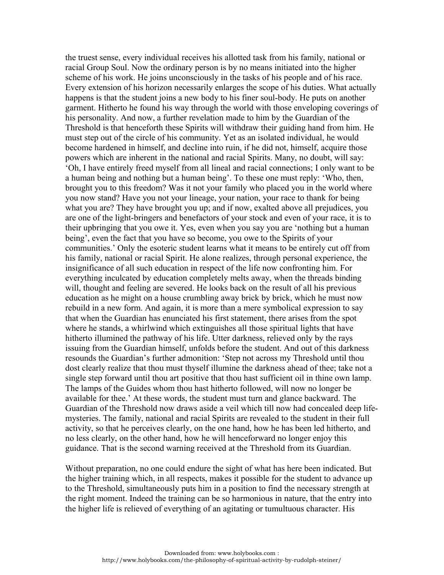the truest sense, every individual receives his allotted task from his family, national or racial Group Soul. Now the ordinary person is by no means initiated into the higher scheme of his work. He joins unconsciously in the tasks of his people and of his race. Every extension of his horizon necessarily enlarges the scope of his duties. What actually happens is that the student joins a new body to his finer soul-body. He puts on another garment. Hitherto he found his way through the world with those enveloping coverings of his personality. And now, a further revelation made to him by the Guardian of the Threshold is that henceforth these Spirits will withdraw their guiding hand from him. He must step out of the circle of his community. Yet as an isolated individual, he would become hardened in himself, and decline into ruin, if he did not, himself, acquire those powers which are inherent in the national and racial Spirits. Many, no doubt, will say: 'Oh, I have entirely freed myself from all lineal and racial connections; I only want to be a human being and nothing but a human being'. To these one must reply: 'Who, then, brought you to this freedom? Was it not your family who placed you in the world where you now stand? Have you not your lineage, your nation, your race to thank for being what you are? They have brought you up; and if now, exalted above all prejudices, you are one of the light-bringers and benefactors of your stock and even of your race, it is to their upbringing that you owe it. Yes, even when you say you are 'nothing but a human being', even the fact that you have so become, you owe to the Spirits of your communities.' Only the esoteric student learns what it means to be entirely cut off from his family, national or racial Spirit. He alone realizes, through personal experience, the insignificance of all such education in respect of the life now confronting him. For everything inculcated by education completely melts away, when the threads binding will, thought and feeling are severed. He looks back on the result of all his previous education as he might on a house crumbling away brick by brick, which he must now rebuild in a new form. And again, it is more than a mere symbolical expression to say that when the Guardian has enunciated his first statement, there arises from the spot where he stands, a whirlwind which extinguishes all those spiritual lights that have hitherto illumined the pathway of his life. Utter darkness, relieved only by the rays issuing from the Guardian himself, unfolds before the student. And out of this darkness resounds the Guardian's further admonition: 'Step not across my Threshold until thou dost clearly realize that thou must thyself illumine the darkness ahead of thee; take not a single step forward until thou art positive that thou hast sufficient oil in thine own lamp. The lamps of the Guides whom thou hast hitherto followed, will now no longer be available for thee.' At these words, the student must turn and glance backward. The Guardian of the Threshold now draws aside a veil which till now had concealed deep lifemysteries. The family, national and racial Spirits are revealed to the student in their full activity, so that he perceives clearly, on the one hand, how he has been led hitherto, and no less clearly, on the other hand, how he will henceforward no longer enjoy this guidance. That is the second warning received at the Threshold from its Guardian.

Without preparation, no one could endure the sight of what has here been indicated. But the higher training which, in all respects, makes it possible for the student to advance up to the Threshold, simultaneously puts him in a position to find the necessary strength at the right moment. Indeed the training can be so harmonious in nature, that the entry into the higher life is relieved of everything of an agitating or tumultuous character. His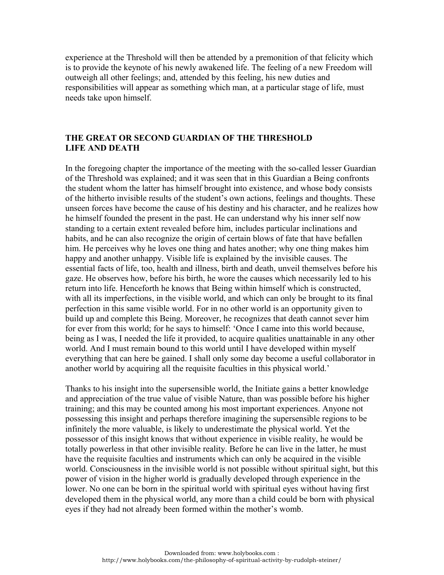experience at the Threshold will then be attended by a premonition of that felicity which is to provide the keynote of his newly awakened life. The feeling of a new Freedom will outweigh all other feelings; and, attended by this feeling, his new duties and responsibilities will appear as something which man, at a particular stage of life, must needs take upon himself.

## **THE GREAT OR SECOND GUARDIAN OF THE THRESHOLD LIFE AND DEATH**

In the foregoing chapter the importance of the meeting with the so-called lesser Guardian of the Threshold was explained; and it was seen that in this Guardian a Being confronts the student whom the latter has himself brought into existence, and whose body consists of the hitherto invisible results of the student's own actions, feelings and thoughts. These unseen forces have become the cause of his destiny and his character, and he realizes how he himself founded the present in the past. He can understand why his inner self now standing to a certain extent revealed before him, includes particular inclinations and habits, and he can also recognize the origin of certain blows of fate that have befallen him. He perceives why he loves one thing and hates another; why one thing makes him happy and another unhappy. Visible life is explained by the invisible causes. The essential facts of life, too, health and illness, birth and death, unveil themselves before his gaze. He observes how, before his birth, he wore the causes which necessarily led to his return into life. Henceforth he knows that Being within himself which is constructed, with all its imperfections, in the visible world, and which can only be brought to its final perfection in this same visible world. For in no other world is an opportunity given to build up and complete this Being. Moreover, he recognizes that death cannot sever him for ever from this world; for he says to himself: 'Once I came into this world because, being as I was, I needed the life it provided, to acquire qualities unattainable in any other world. And I must remain bound to this world until I have developed within myself everything that can here be gained. I shall only some day become a useful collaborator in another world by acquiring all the requisite faculties in this physical world.'

Thanks to his insight into the supersensible world, the Initiate gains a better knowledge and appreciation of the true value of visible Nature, than was possible before his higher training; and this may be counted among his most important experiences. Anyone not possessing this insight and perhaps therefore imagining the supersensible regions to be infinitely the more valuable, is likely to underestimate the physical world. Yet the possessor of this insight knows that without experience in visible reality, he would be totally powerless in that other invisible reality. Before he can live in the latter, he must have the requisite faculties and instruments which can only be acquired in the visible world. Consciousness in the invisible world is not possible without spiritual sight, but this power of vision in the higher world is gradually developed through experience in the lower. No one can be born in the spiritual world with spiritual eyes without having first developed them in the physical world, any more than a child could be born with physical eyes if they had not already been formed within the mother's womb.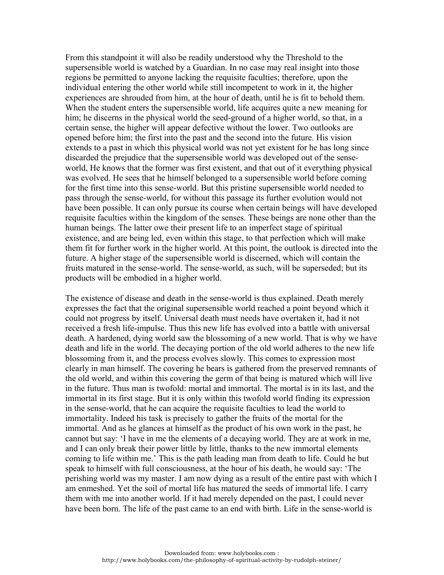From this standpoint it will also be readily understood why the Threshold to the supersensible world is watched by a Guardian. In no case may real insight into those regions be permitted to anyone lacking the requisite faculties; therefore, upon the individual entering the other world while still incompetent to work in it, the higher experiences are shrouded from him, at the hour of death, until he is fit to behold them. When the student enters the supersensible world, life acquires quite a new meaning for him; he discerns in the physical world the seed-ground of a higher world, so that, in a certain sense, the higher will appear defective without the lower. Two outlooks are opened before him; the first into the past and the second into the future. His vision extends to a past in which this physical world was not yet existent for he has long since discarded the prejudice that the supersensible world was developed out of the senseworld, He knows that the former was first existent, and that out of it everything physical was evolved. He sees that he himself belonged to a supersensible world before coming for the first time into this sense-world. But this pristine supersensible world needed to pass through the sense-world, for without this passage its further evolution would not have been possible. It can only pursue its course when certain beings will have developed requisite faculties within the kingdom of the senses. These beings are none other than the human beings. The latter owe their present life to an imperfect stage of spiritual existence, and are being led, even within this stage, to that perfection which will make them fit for further work in the higher world. At this point, the outlook is directed into the future. A higher stage of the supersensible world is discerned, which will contain the fruits matured in the sense-world. The sense-world, as such, will be superseded; but its products will be embodied in a higher world.

The existence of disease and death in the sense-world is thus explained. Death merely expresses the fact that the original supersensible world reached a point beyond which it could not progress by itself. Universal death must needs have overtaken it, had it not received a fresh life-impulse. Thus this new life has evolved into a battle with universal death. A hardened, dying world saw the blossoming of a new world. That is why we have death and life in the world. The decaying portion of the old world adheres to the new life blossoming from it, and the process evolves slowly. This comes to expression most clearly in man himself. The covering he bears is gathered from the preserved remnants of the old world, and within this covering the germ of that being is matured which will live in the future. Thus man is twofold: mortal and immortal. The mortal is in its last, and the immortal in its first stage. But it is only within this twofold world finding its expression in the sense-world, that he can acquire the requisite faculties to lead the world to immortality. Indeed his task is precisely to gather the fruits of the mortal for the immortal. And as he glances at himself as the product of his own work in the past, he cannot but say: 'I have in me the elements of a decaying world. They are at work in me, and I can only break their power little by little, thanks to the new immortal elements coming to life within me.' This is the path leading man from death to life. Could he but speak to himself with full consciousness, at the hour of his death, he would say: 'The perishing world was my master. I am now dying as a result of the entire past with which I am enmeshed. Yet the soil of mortal life has matured the seeds of immortal life. I carry them with me into another world. If it had merely depended on the past, I could never have been born. The life of the past came to an end with birth. Life in the sense-world is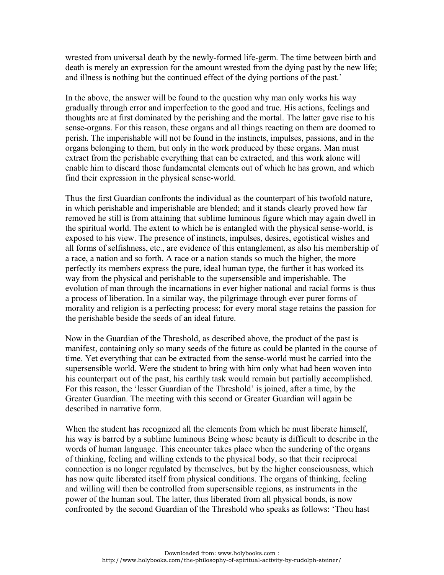wrested from universal death by the newly-formed life-germ. The time between birth and death is merely an expression for the amount wrested from the dying past by the new life; and illness is nothing but the continued effect of the dying portions of the past.'

In the above, the answer will be found to the question why man only works his way gradually through error and imperfection to the good and true. His actions, feelings and thoughts are at first dominated by the perishing and the mortal. The latter gave rise to his sense-organs. For this reason, these organs and all things reacting on them are doomed to perish. The imperishable will not be found in the instincts, impulses, passions, and in the organs belonging to them, but only in the work produced by these organs. Man must extract from the perishable everything that can be extracted, and this work alone will enable him to discard those fundamental elements out of which he has grown, and which find their expression in the physical sense-world.

Thus the first Guardian confronts the individual as the counterpart of his twofold nature, in which perishable and imperishable are blended; and it stands clearly proved how far removed he still is from attaining that sublime luminous figure which may again dwell in the spiritual world. The extent to which he is entangled with the physical sense-world, is exposed to his view. The presence of instincts, impulses, desires, egotistical wishes and all forms of selfishness, etc., are evidence of this entanglement, as also his membership of a race, a nation and so forth. A race or a nation stands so much the higher, the more perfectly its members express the pure, ideal human type, the further it has worked its way from the physical and perishable to the supersensible and imperishable. The evolution of man through the incarnations in ever higher national and racial forms is thus a process of liberation. In a similar way, the pilgrimage through ever purer forms of morality and religion is a perfecting process; for every moral stage retains the passion for the perishable beside the seeds of an ideal future.

Now in the Guardian of the Threshold, as described above, the product of the past is manifest, containing only so many seeds of the future as could be planted in the course of time. Yet everything that can be extracted from the sense-world must be carried into the supersensible world. Were the student to bring with him only what had been woven into his counterpart out of the past, his earthly task would remain but partially accomplished. For this reason, the 'lesser Guardian of the Threshold' is joined, after a time, by the Greater Guardian. The meeting with this second or Greater Guardian will again be described in narrative form.

When the student has recognized all the elements from which he must liberate himself, his way is barred by a sublime luminous Being whose beauty is difficult to describe in the words of human language. This encounter takes place when the sundering of the organs of thinking, feeling and willing extends to the physical body, so that their reciprocal connection is no longer regulated by themselves, but by the higher consciousness, which has now quite liberated itself from physical conditions. The organs of thinking, feeling and willing will then be controlled from supersensible regions, as instruments in the power of the human soul. The latter, thus liberated from all physical bonds, is now confronted by the second Guardian of the Threshold who speaks as follows: 'Thou hast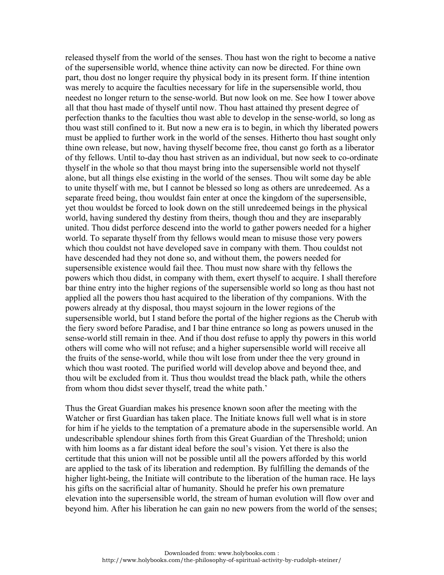released thyself from the world of the senses. Thou hast won the right to become a native of the supersensible world, whence thine activity can now be directed. For thine own part, thou dost no longer require thy physical body in its present form. If thine intention was merely to acquire the faculties necessary for life in the supersensible world, thou needest no longer return to the sense-world. But now look on me. See how I tower above all that thou hast made of thyself until now. Thou hast attained thy present degree of perfection thanks to the faculties thou wast able to develop in the sense-world, so long as thou wast still confined to it. But now a new era is to begin, in which thy liberated powers must be applied to further work in the world of the senses. Hitherto thou hast sought only thine own release, but now, having thyself become free, thou canst go forth as a liberator of thy fellows. Until to-day thou hast striven as an individual, but now seek to co-ordinate thyself in the whole so that thou mayst bring into the supersensible world not thyself alone, but all things else existing in the world of the senses. Thou wilt some day be able to unite thyself with me, but I cannot be blessed so long as others are unredeemed. As a separate freed being, thou wouldst fain enter at once the kingdom of the supersensible, yet thou wouldst be forced to look down on the still unredeemed beings in the physical world, having sundered thy destiny from theirs, though thou and they are inseparably united. Thou didst perforce descend into the world to gather powers needed for a higher world. To separate thyself from thy fellows would mean to misuse those very powers which thou couldst not have developed save in company with them. Thou couldst not have descended had they not done so, and without them, the powers needed for supersensible existence would fail thee. Thou must now share with thy fellows the powers which thou didst, in company with them, exert thyself to acquire. I shall therefore bar thine entry into the higher regions of the supersensible world so long as thou hast not applied all the powers thou hast acquired to the liberation of thy companions. With the powers already at thy disposal, thou mayst sojourn in the lower regions of the supersensible world, but I stand before the portal of the higher regions as the Cherub with the fiery sword before Paradise, and I bar thine entrance so long as powers unused in the sense-world still remain in thee. And if thou dost refuse to apply thy powers in this world others will come who will not refuse; and a higher supersensible world will receive all the fruits of the sense-world, while thou wilt lose from under thee the very ground in which thou wast rooted. The purified world will develop above and beyond thee, and thou wilt be excluded from it. Thus thou wouldst tread the black path, while the others from whom thou didst sever thyself, tread the white path.'

Thus the Great Guardian makes his presence known soon after the meeting with the Watcher or first Guardian has taken place. The Initiate knows full well what is in store for him if he yields to the temptation of a premature abode in the supersensible world. An undescribable splendour shines forth from this Great Guardian of the Threshold; union with him looms as a far distant ideal before the soul's vision. Yet there is also the certitude that this union will not be possible until all the powers afforded by this world are applied to the task of its liberation and redemption. By fulfilling the demands of the higher light-being, the Initiate will contribute to the liberation of the human race. He lays his gifts on the sacrificial altar of humanity. Should he prefer his own premature elevation into the supersensible world, the stream of human evolution will flow over and beyond him. After his liberation he can gain no new powers from the world of the senses;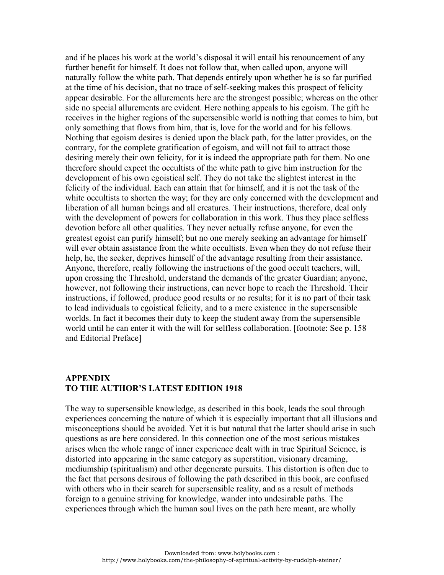and if he places his work at the world's disposal it will entail his renouncement of any further benefit for himself. It does not follow that, when called upon, anyone will naturally follow the white path. That depends entirely upon whether he is so far purified at the time of his decision, that no trace of self-seeking makes this prospect of felicity appear desirable. For the allurements here are the strongest possible; whereas on the other side no special allurements are evident. Here nothing appeals to his egoism. The gift he receives in the higher regions of the supersensible world is nothing that comes to him, but only something that flows from him, that is, love for the world and for his fellows. Nothing that egoism desires is denied upon the black path, for the latter provides, on the contrary, for the complete gratification of egoism, and will not fail to attract those desiring merely their own felicity, for it is indeed the appropriate path for them. No one therefore should expect the occultists of the white path to give him instruction for the development of his own egoistical self. They do not take the slightest interest in the felicity of the individual. Each can attain that for himself, and it is not the task of the white occultists to shorten the way; for they are only concerned with the development and liberation of all human beings and all creatures. Their instructions, therefore, deal only with the development of powers for collaboration in this work. Thus they place selfless devotion before all other qualities. They never actually refuse anyone, for even the greatest egoist can purify himself; but no one merely seeking an advantage for himself will ever obtain assistance from the white occultists. Even when they do not refuse their help, he, the seeker, deprives himself of the advantage resulting from their assistance. Anyone, therefore, really following the instructions of the good occult teachers, will, upon crossing the Threshold, understand the demands of the greater Guardian; anyone, however, not following their instructions, can never hope to reach the Threshold. Their instructions, if followed, produce good results or no results; for it is no part of their task to lead individuals to egoistical felicity, and to a mere existence in the supersensible worlds. In fact it becomes their duty to keep the student away from the supersensible world until he can enter it with the will for selfless collaboration. [footnote: See p. 158 and Editorial Preface]

## **APPENDIX TO THE AUTHOR'S LATEST EDITION 1918**

The way to supersensible knowledge, as described in this book, leads the soul through experiences concerning the nature of which it is especially important that all illusions and misconceptions should be avoided. Yet it is but natural that the latter should arise in such questions as are here considered. In this connection one of the most serious mistakes arises when the whole range of inner experience dealt with in true Spiritual Science, is distorted into appearing in the same category as superstition, visionary dreaming, mediumship (spiritualism) and other degenerate pursuits. This distortion is often due to the fact that persons desirous of following the path described in this book, are confused with others who in their search for supersensible reality, and as a result of methods foreign to a genuine striving for knowledge, wander into undesirable paths. The experiences through which the human soul lives on the path here meant, are wholly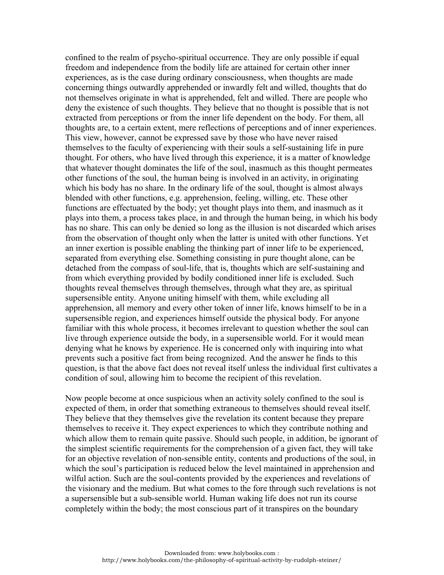confined to the realm of psycho-spiritual occurrence. They are only possible if equal freedom and independence from the bodily life are attained for certain other inner experiences, as is the case during ordinary consciousness, when thoughts are made concerning things outwardly apprehended or inwardly felt and willed, thoughts that do not themselves originate in what is apprehended, felt and willed. There are people who deny the existence of such thoughts. They believe that no thought is possible that is not extracted from perceptions or from the inner life dependent on the body. For them, all thoughts are, to a certain extent, mere reflections of perceptions and of inner experiences. This view, however, cannot be expressed save by those who have never raised themselves to the faculty of experiencing with their souls a self-sustaining life in pure thought. For others, who have lived through this experience, it is a matter of knowledge that whatever thought dominates the life of the soul, inasmuch as this thought permeates other functions of the soul, the human being is involved in an activity, in originating which his body has no share. In the ordinary life of the soul, thought is almost always blended with other functions, e.g. apprehension, feeling, willing, etc. These other functions are effectuated by the body; yet thought plays into them, and inasmuch as it plays into them, a process takes place, in and through the human being, in which his body has no share. This can only be denied so long as the illusion is not discarded which arises from the observation of thought only when the latter is united with other functions. Yet an inner exertion is possible enabling the thinking part of inner life to be experienced, separated from everything else. Something consisting in pure thought alone, can be detached from the compass of soul-life, that is, thoughts which are self-sustaining and from which everything provided by bodily conditioned inner life is excluded. Such thoughts reveal themselves through themselves, through what they are, as spiritual supersensible entity. Anyone uniting himself with them, while excluding all apprehension, all memory and every other token of inner life, knows himself to be in a supersensible region, and experiences himself outside the physical body. For anyone familiar with this whole process, it becomes irrelevant to question whether the soul can live through experience outside the body, in a supersensible world. For it would mean denying what he knows by experience. He is concerned only with inquiring into what prevents such a positive fact from being recognized. And the answer he finds to this question, is that the above fact does not reveal itself unless the individual first cultivates a condition of soul, allowing him to become the recipient of this revelation.

Now people become at once suspicious when an activity solely confined to the soul is expected of them, in order that something extraneous to themselves should reveal itself. They believe that they themselves give the revelation its content because they prepare themselves to receive it. They expect experiences to which they contribute nothing and which allow them to remain quite passive. Should such people, in addition, be ignorant of the simplest scientific requirements for the comprehension of a given fact, they will take for an objective revelation of non-sensible entity, contents and productions of the soul, in which the soul's participation is reduced below the level maintained in apprehension and wilful action. Such are the soul-contents provided by the experiences and revelations of the visionary and the medium. But what comes to the fore through such revelations is not a supersensible but a sub-sensible world. Human waking life does not run its course completely within the body; the most conscious part of it transpires on the boundary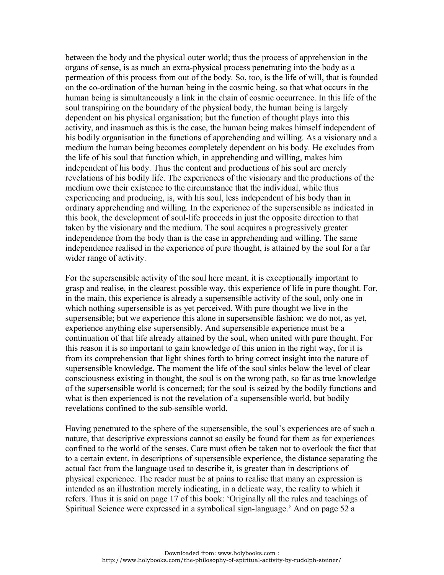between the body and the physical outer world; thus the process of apprehension in the organs of sense, is as much an extra-physical process penetrating into the body as a permeation of this process from out of the body. So, too, is the life of will, that is founded on the co-ordination of the human being in the cosmic being, so that what occurs in the human being is simultaneously a link in the chain of cosmic occurrence. In this life of the soul transpiring on the boundary of the physical body, the human being is largely dependent on his physical organisation; but the function of thought plays into this activity, and inasmuch as this is the case, the human being makes himself independent of his bodily organisation in the functions of apprehending and willing. As a visionary and a medium the human being becomes completely dependent on his body. He excludes from the life of his soul that function which, in apprehending and willing, makes him independent of his body. Thus the content and productions of his soul are merely revelations of his bodily life. The experiences of the visionary and the productions of the medium owe their existence to the circumstance that the individual, while thus experiencing and producing, is, with his soul, less independent of his body than in ordinary apprehending and willing. In the experience of the supersensible as indicated in this book, the development of soul-life proceeds in just the opposite direction to that taken by the visionary and the medium. The soul acquires a progressively greater independence from the body than is the case in apprehending and willing. The same independence realised in the experience of pure thought, is attained by the soul for a far wider range of activity.

For the supersensible activity of the soul here meant, it is exceptionally important to grasp and realise, in the clearest possible way, this experience of life in pure thought. For, in the main, this experience is already a supersensible activity of the soul, only one in which nothing supersensible is as yet perceived. With pure thought we live in the supersensible; but we experience this alone in supersensible fashion; we do not, as yet, experience anything else supersensibly. And supersensible experience must be a continuation of that life already attained by the soul, when united with pure thought. For this reason it is so important to gain knowledge of this union in the right way, for it is from its comprehension that light shines forth to bring correct insight into the nature of supersensible knowledge. The moment the life of the soul sinks below the level of clear consciousness existing in thought, the soul is on the wrong path, so far as true knowledge of the supersensible world is concerned; for the soul is seized by the bodily functions and what is then experienced is not the revelation of a supersensible world, but bodily revelations confined to the sub-sensible world.

Having penetrated to the sphere of the supersensible, the soul's experiences are of such a nature, that descriptive expressions cannot so easily be found for them as for experiences confined to the world of the senses. Care must often be taken not to overlook the fact that to a certain extent, in descriptions of supersensible experience, the distance separating the actual fact from the language used to describe it, is greater than in descriptions of physical experience. The reader must be at pains to realise that many an expression is intended as an illustration merely indicating, in a delicate way, the reality to which it refers. Thus it is said on page 17 of this book: 'Originally all the rules and teachings of Spiritual Science were expressed in a symbolical sign-language.' And on page 52 a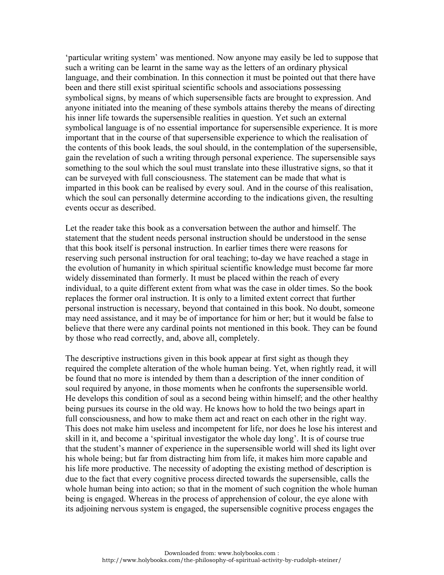'particular writing system' was mentioned. Now anyone may easily be led to suppose that such a writing can be learnt in the same way as the letters of an ordinary physical language, and their combination. In this connection it must be pointed out that there have been and there still exist spiritual scientific schools and associations possessing symbolical signs, by means of which supersensible facts are brought to expression. And anyone initiated into the meaning of these symbols attains thereby the means of directing his inner life towards the supersensible realities in question. Yet such an external symbolical language is of no essential importance for supersensible experience. It is more important that in the course of that supersensible experience to which the realisation of the contents of this book leads, the soul should, in the contemplation of the supersensible, gain the revelation of such a writing through personal experience. The supersensible says something to the soul which the soul must translate into these illustrative signs, so that it can be surveyed with full consciousness. The statement can be made that what is imparted in this book can be realised by every soul. And in the course of this realisation, which the soul can personally determine according to the indications given, the resulting events occur as described.

Let the reader take this book as a conversation between the author and himself. The statement that the student needs personal instruction should be understood in the sense that this book itself is personal instruction. In earlier times there were reasons for reserving such personal instruction for oral teaching; to-day we have reached a stage in the evolution of humanity in which spiritual scientific knowledge must become far more widely disseminated than formerly. It must be placed within the reach of every individual, to a quite different extent from what was the case in older times. So the book replaces the former oral instruction. It is only to a limited extent correct that further personal instruction is necessary, beyond that contained in this book. No doubt, someone may need assistance, and it may be of importance for him or her; but it would be false to believe that there were any cardinal points not mentioned in this book. They can be found by those who read correctly, and, above all, completely.

The descriptive instructions given in this book appear at first sight as though they required the complete alteration of the whole human being. Yet, when rightly read, it will be found that no more is intended by them than a description of the inner condition of soul required by anyone, in those moments when he confronts the supersensible world. He develops this condition of soul as a second being within himself; and the other healthy being pursues its course in the old way. He knows how to hold the two beings apart in full consciousness, and how to make them act and react on each other in the right way. This does not make him useless and incompetent for life, nor does he lose his interest and skill in it, and become a 'spiritual investigator the whole day long'. It is of course true that the student's manner of experience in the supersensible world will shed its light over his whole being; but far from distracting him from life, it makes him more capable and his life more productive. The necessity of adopting the existing method of description is due to the fact that every cognitive process directed towards the supersensible, calls the whole human being into action; so that in the moment of such cognition the whole human being is engaged. Whereas in the process of apprehension of colour, the eye alone with its adjoining nervous system is engaged, the supersensible cognitive process engages the